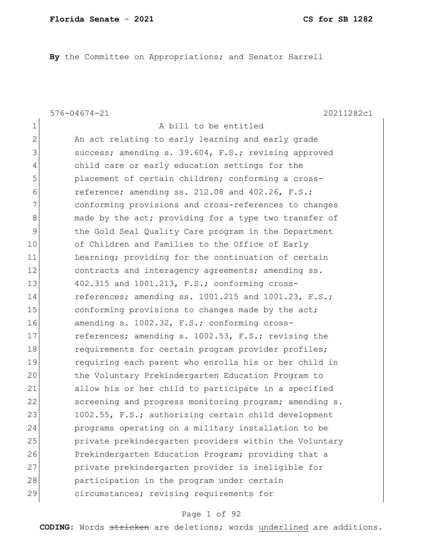**By** the Committee on Appropriations; and Senator Harrell

1 a bill to be entitled

576-04674-21 20211282c1

2 An act relating to early learning and early grade 3 success; amending s. 39.604, F.S.; revising approved 4 child care or early education settings for the 5 **placement of certain children; conforming a cross-** $6$  reference; amending ss. 212.08 and 402.26, F.S.; 7 **conforming provisions and cross-references to changes** 8 and 8 made by the act; providing for a type two transfer of 9 the Gold Seal Quality Care program in the Department 10 of Children and Families to the Office of Early 11 Learning; providing for the continuation of certain 12 contracts and interagency agreements; amending ss. 13 402.315 and 1001.213, F.S.; conforming cross-14 references; amending ss. 1001.215 and 1001.23, F.S.; 15 15 conforming provisions to changes made by the act; 16 amending s. 1002.32, F.S.; conforming cross-17 references; amending s. 1002.53, F.S.; revising the 18 requirements for certain program provider profiles; 19 requiring each parent who enrolls his or her child in 20 the Voluntary Prekindergarten Education Program to 21 allow his or her child to participate in a specified 22 screening and progress monitoring program; amending s. 23 1002.55, F.S.; authorizing certain child development 24 programs operating on a military installation to be 25 private prekindergarten providers within the Voluntary 26 Prekindergarten Education Program; providing that a 27 private prekindergarten provider is ineligible for 28 participation in the program under certain 29 circumstances; revising requirements for

### Page 1 of 92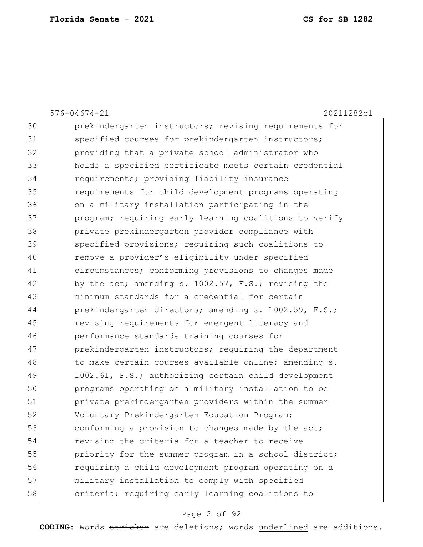|    | $576 - 04674 - 21$<br>20211282c1                       |
|----|--------------------------------------------------------|
| 30 | prekindergarten instructors; revising requirements for |
| 31 | specified courses for prekindergarten instructors;     |
| 32 | providing that a private school administrator who      |
| 33 | holds a specified certificate meets certain credential |
| 34 | requirements; providing liability insurance            |
| 35 | requirements for child development programs operating  |
| 36 | on a military installation participating in the        |
| 37 | program; requiring early learning coalitions to verify |
| 38 | private prekindergarten provider compliance with       |
| 39 | specified provisions; requiring such coalitions to     |
| 40 | remove a provider's eligibility under specified        |
| 41 | circumstances; conforming provisions to changes made   |
| 42 | by the act; amending s. 1002.57, F.S.; revising the    |
| 43 | minimum standards for a credential for certain         |
| 44 | prekindergarten directors; amending s. 1002.59, F.S.;  |
| 45 | revising requirements for emergent literacy and        |
| 46 | performance standards training courses for             |
| 47 | prekindergarten instructors; requiring the department  |
| 48 | to make certain courses available online; amending s.  |
| 49 | 1002.61, F.S.; authorizing certain child development   |
| 50 | programs operating on a military installation to be    |
| 51 | private prekindergarten providers within the summer    |
| 52 | Voluntary Prekindergarten Education Program;           |
| 53 | conforming a provision to changes made by the act;     |
| 54 | revising the criteria for a teacher to receive         |
| 55 | priority for the summer program in a school district;  |
| 56 | requiring a child development program operating on a   |
| 57 | military installation to comply with specified         |
| 58 | criteria; requiring early learning coalitions to       |

# Page 2 of 92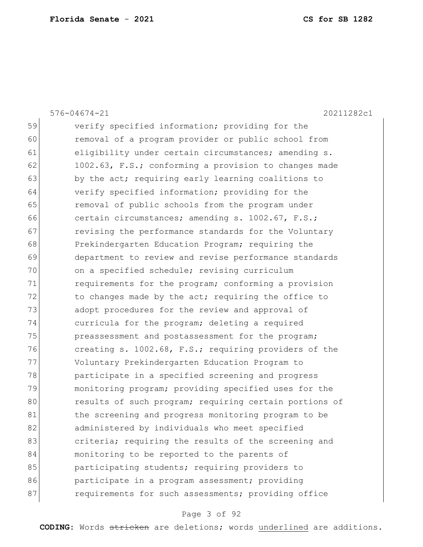|    | 20211282c1<br>$576 - 04674 - 21$                       |
|----|--------------------------------------------------------|
| 59 | verify specified information; providing for the        |
| 60 | removal of a program provider or public school from    |
| 61 | eligibility under certain circumstances; amending s.   |
| 62 | 1002.63, F.S.; conforming a provision to changes made  |
| 63 | by the act; requiring early learning coalitions to     |
| 64 | verify specified information; providing for the        |
| 65 | removal of public schools from the program under       |
| 66 | certain circumstances; amending s. 1002.67, F.S.;      |
| 67 | revising the performance standards for the Voluntary   |
| 68 | Prekindergarten Education Program; requiring the       |
| 69 | department to review and revise performance standards  |
| 70 | on a specified schedule; revising curriculum           |
| 71 | requirements for the program; conforming a provision   |
| 72 | to changes made by the act; requiring the office to    |
| 73 | adopt procedures for the review and approval of        |
| 74 | curricula for the program; deleting a required         |
| 75 | preassessment and postassessment for the program;      |
| 76 | creating s. 1002.68, F.S.; requiring providers of the  |
| 77 | Voluntary Prekindergarten Education Program to         |
| 78 | participate in a specified screening and progress      |
| 79 | monitoring program; providing specified uses for the   |
| 80 | results of such program; requiring certain portions of |
| 81 | the screening and progress monitoring program to be    |
| 82 | administered by individuals who meet specified         |
| 83 | criteria; requiring the results of the screening and   |
| 84 | monitoring to be reported to the parents of            |
| 85 | participating students; requiring providers to         |
| 86 | participate in a program assessment; providing         |
| 87 | requirements for such assessments; providing office    |

# Page 3 of 92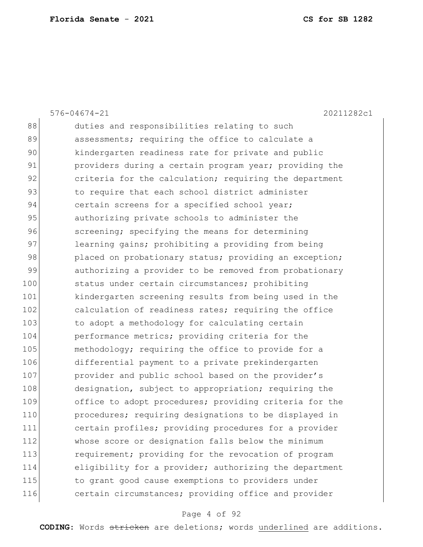|     | $576 - 04674 - 21$<br>20211282c1                       |
|-----|--------------------------------------------------------|
| 88  | duties and responsibilities relating to such           |
| 89  | assessments; requiring the office to calculate a       |
| 90  | kindergarten readiness rate for private and public     |
| 91  | providers during a certain program year; providing the |
| 92  | criteria for the calculation; requiring the department |
| 93  | to require that each school district administer        |
| 94  | certain screens for a specified school year;           |
| 95  | authorizing private schools to administer the          |
| 96  | screening; specifying the means for determining        |
| 97  | learning gains; prohibiting a providing from being     |
| 98  | placed on probationary status; providing an exception; |
| 99  | authorizing a provider to be removed from probationary |
| 100 | status under certain circumstances; prohibiting        |
| 101 | kindergarten screening results from being used in the  |
| 102 | calculation of readiness rates; requiring the office   |
| 103 | to adopt a methodology for calculating certain         |
| 104 | performance metrics; providing criteria for the        |
| 105 | methodology; requiring the office to provide for a     |
| 106 | differential payment to a private prekindergarten      |
| 107 | provider and public school based on the provider's     |
| 108 | designation, subject to appropriation; requiring the   |
| 109 | office to adopt procedures; providing criteria for the |
| 110 | procedures; requiring designations to be displayed in  |
| 111 | certain profiles; providing procedures for a provider  |
| 112 | whose score or designation falls below the minimum     |
| 113 | requirement; providing for the revocation of program   |
| 114 | eligibility for a provider; authorizing the department |
| 115 | to grant good cause exemptions to providers under      |
| 116 | certain circumstances; providing office and provider   |
|     |                                                        |

# Page 4 of 92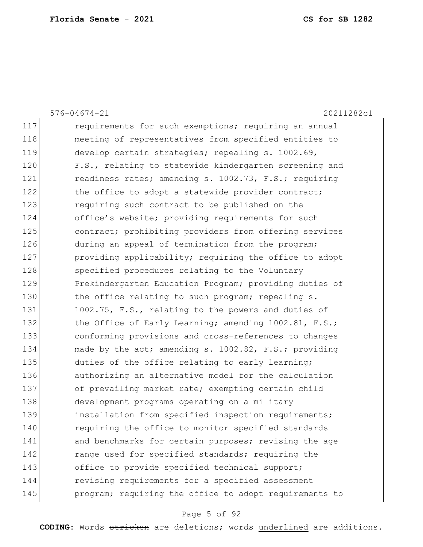|     | $576 - 04674 - 21$<br>20211282c1                       |
|-----|--------------------------------------------------------|
| 117 | requirements for such exemptions; requiring an annual  |
| 118 | meeting of representatives from specified entities to  |
| 119 | develop certain strategies; repealing s. 1002.69,      |
| 120 | F.S., relating to statewide kindergarten screening and |
| 121 | readiness rates; amending s. 1002.73, F.S.; requiring  |
| 122 | the office to adopt a statewide provider contract;     |
| 123 | requiring such contract to be published on the         |
| 124 | office's website; providing requirements for such      |
| 125 | contract; prohibiting providers from offering services |
| 126 | during an appeal of termination from the program;      |
| 127 | providing applicability; requiring the office to adopt |
| 128 | specified procedures relating to the Voluntary         |
| 129 | Prekindergarten Education Program; providing duties of |
| 130 | the office relating to such program; repealing s.      |
| 131 | 1002.75, F.S., relating to the powers and duties of    |
| 132 | the Office of Early Learning; amending 1002.81, F.S.;  |
| 133 | conforming provisions and cross-references to changes  |
| 134 | made by the act; amending s. 1002.82, F.S.; providing  |
| 135 | duties of the office relating to early learning;       |
| 136 | authorizing an alternative model for the calculation   |
| 137 | of prevailing market rate; exempting certain child     |
| 138 | development programs operating on a military           |
| 139 | installation from specified inspection requirements;   |
| 140 | requiring the office to monitor specified standards    |
| 141 | and benchmarks for certain purposes; revising the age  |
| 142 | range used for specified standards; requiring the      |
| 143 | office to provide specified technical support;         |
| 144 | revising requirements for a specified assessment       |
| 145 | program; requiring the office to adopt requirements to |

# Page 5 of 92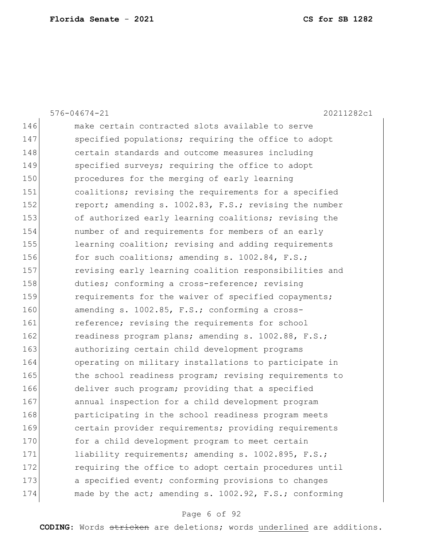|     | $576 - 04674 - 21$<br>20211282c1                       |
|-----|--------------------------------------------------------|
| 146 | make certain contracted slots available to serve       |
| 147 | specified populations; requiring the office to adopt   |
| 148 | certain standards and outcome measures including       |
| 149 | specified surveys; requiring the office to adopt       |
| 150 | procedures for the merging of early learning           |
| 151 | coalitions; revising the requirements for a specified  |
| 152 | report; amending s. 1002.83, F.S.; revising the number |
| 153 | of authorized early learning coalitions; revising the  |
| 154 | number of and requirements for members of an early     |
| 155 | learning coalition; revising and adding requirements   |
| 156 | for such coalitions; amending s. 1002.84, F.S.;        |
| 157 | revising early learning coalition responsibilities and |
| 158 | duties; conforming a cross-reference; revising         |
| 159 | requirements for the waiver of specified copayments;   |
| 160 | amending s. 1002.85, F.S.; conforming a cross-         |
| 161 | reference; revising the requirements for school        |
| 162 | readiness program plans; amending s. 1002.88, F.S.;    |
| 163 | authorizing certain child development programs         |
| 164 | operating on military installations to participate in  |
| 165 | the school readiness program; revising requirements to |
| 166 | deliver such program; providing that a specified       |
| 167 | annual inspection for a child development program      |
| 168 | participating in the school readiness program meets    |
| 169 | certain provider requirements; providing requirements  |
| 170 | for a child development program to meet certain        |
| 171 | liability requirements; amending s. 1002.895, F.S.;    |
| 172 | requiring the office to adopt certain procedures until |
| 173 | a specified event; conforming provisions to changes    |
| 174 | made by the act; amending s. 1002.92, F.S.; conforming |

# Page 6 of 92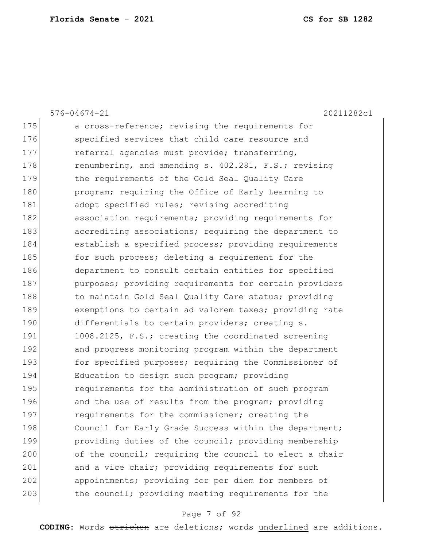|     | 20211282c1<br>$576 - 04674 - 21$                       |
|-----|--------------------------------------------------------|
| 175 | a cross-reference; revising the requirements for       |
| 176 | specified services that child care resource and        |
| 177 | referral agencies must provide; transferring,          |
| 178 | renumbering, and amending s. 402.281, F.S.; revising   |
| 179 | the requirements of the Gold Seal Quality Care         |
| 180 | program; requiring the Office of Early Learning to     |
| 181 | adopt specified rules; revising accrediting            |
| 182 | association requirements; providing requirements for   |
| 183 | accrediting associations; requiring the department to  |
| 184 | establish a specified process; providing requirements  |
| 185 | for such process; deleting a requirement for the       |
| 186 | department to consult certain entities for specified   |
| 187 | purposes; providing requirements for certain providers |
| 188 | to maintain Gold Seal Quality Care status; providing   |
| 189 | exemptions to certain ad valorem taxes; providing rate |
| 190 | differentials to certain providers; creating s.        |
| 191 | 1008.2125, F.S.; creating the coordinated screening    |
| 192 | and progress monitoring program within the department  |
| 193 | for specified purposes; requiring the Commissioner of  |
| 194 | Education to design such program; providing            |
| 195 | requirements for the administration of such program    |
| 196 | and the use of results from the program; providing     |
| 197 | requirements for the commissioner; creating the        |
| 198 | Council for Early Grade Success within the department; |
| 199 | providing duties of the council; providing membership  |
| 200 | of the council; requiring the council to elect a chair |
| 201 | and a vice chair; providing requirements for such      |
| 202 | appointments; providing for per diem for members of    |
| 203 | the council; providing meeting requirements for the    |
|     |                                                        |

# Page 7 of 92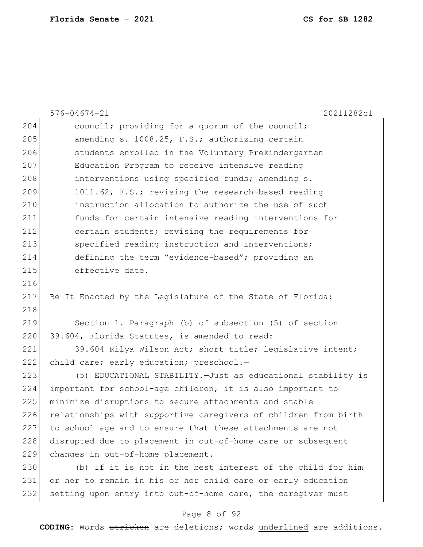|     | $576 - 04674 - 21$<br>20211282c1                                |
|-----|-----------------------------------------------------------------|
| 204 | council; providing for a quorum of the council;                 |
| 205 | amending s. 1008.25, F.S.; authorizing certain                  |
| 206 | students enrolled in the Voluntary Prekindergarten              |
| 207 | Education Program to receive intensive reading                  |
| 208 | interventions using specified funds; amending s.                |
| 209 | 1011.62, F.S.; revising the research-based reading              |
| 210 | instruction allocation to authorize the use of such             |
| 211 | funds for certain intensive reading interventions for           |
| 212 | certain students; revising the requirements for                 |
| 213 | specified reading instruction and interventions;                |
| 214 | defining the term "evidence-based"; providing an                |
| 215 | effective date.                                                 |
| 216 |                                                                 |
| 217 | Be It Enacted by the Legislature of the State of Florida:       |
| 218 |                                                                 |
| 219 | Section 1. Paragraph (b) of subsection (5) of section           |
| 220 | 39.604, Florida Statutes, is amended to read:                   |
| 221 | 39.604 Rilya Wilson Act; short title; legislative intent;       |
| 222 | child care; early education; preschool.-                        |
| 223 | (5) EDUCATIONAL STABILITY. - Just as educational stability is   |
| 224 | important for school-age children, it is also important to      |
| 225 | minimize disruptions to secure attachments and stable           |
| 226 | relationships with supportive caregivers of children from birth |
| 227 | to school age and to ensure that these attachments are not      |
| 228 | disrupted due to placement in out-of-home care or subsequent    |
| 229 | changes in out-of-home placement.                               |
| 230 | (b) If it is not in the best interest of the child for him      |
| 231 | or her to remain in his or her child care or early education    |
| 232 | setting upon entry into out-of-home care, the caregiver must    |

# Page 8 of 92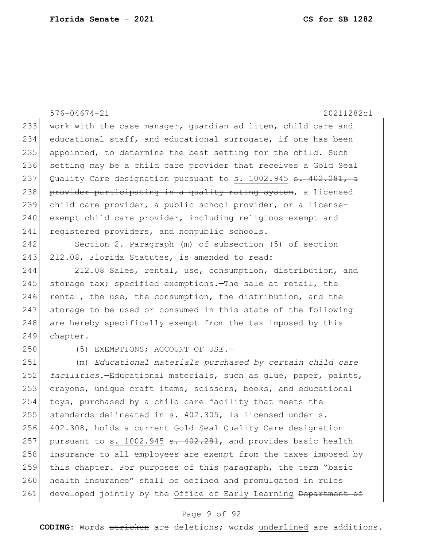576-04674-21 20211282c1 233 work with the case manager, guardian ad litem, child care and 234 educational staff, and educational surrogate, if one has been 235 appointed, to determine the best setting for the child. Such 236 setting may be a child care provider that receives a Gold Seal 237 Quality Care designation pursuant to s. 1002.945 <del>s. 402.281, a</del> 238 provider participating in a quality rating system, a licensed 239 child care provider, a public school provider, or a license-240 exempt child care provider, including religious-exempt and 241 registered providers, and nonpublic schools. 242 Section 2. Paragraph (m) of subsection (5) of section 243 212.08, Florida Statutes, is amended to read: 244 212.08 Sales, rental, use, consumption, distribution, and 245 storage tax; specified exemptions.—The sale at retail, the 246 rental, the use, the consumption, the distribution, and the 247 storage to be used or consumed in this state of the following 248 are hereby specifically exempt from the tax imposed by this 249 chapter. 250 (5) EXEMPTIONS; ACCOUNT OF USE. 251 (m) *Educational materials purchased by certain child care*  252 *facilities.*—Educational materials, such as glue, paper, paints, 253 crayons, unique craft items, scissors, books, and educational 254 toys, purchased by a child care facility that meets the 255 standards delineated in s. 402.305, is licensed under s. 256 402.308, holds a current Gold Seal Quality Care designation 257 pursuant to s.  $1002.945$   $\text{S}$ .  $402.281$ , and provides basic health 258 insurance to all employees are exempt from the taxes imposed by 259 this chapter. For purposes of this paragraph, the term "basic 260 health insurance" shall be defined and promulgated in rules 261 developed jointly by the Office of Early Learning Department of

### Page 9 of 92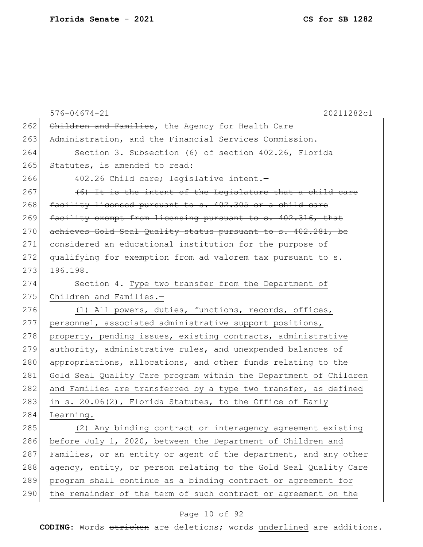|     | $576 - 04674 - 21$<br>20211282c1                                 |
|-----|------------------------------------------------------------------|
| 262 | Children and Families, the Agency for Health Care                |
| 263 | Administration, and the Financial Services Commission.           |
| 264 | Section 3. Subsection (6) of section 402.26, Florida             |
| 265 | Statutes, is amended to read:                                    |
| 266 | 402.26 Child care; legislative intent.-                          |
| 267 | (6) It is the intent of the Legislature that a child care        |
| 268 | facility licensed pursuant to s. 402.305 or a child care         |
| 269 | facility exempt from licensing pursuant to s. 402.316, that      |
| 270 | achieves Gold Seal Quality status pursuant to s. 402.281, be     |
| 271 | considered an educational institution for the purpose of         |
| 272 | qualifying for exemption from ad valorem tax pursuant to s.      |
| 273 | 196.198.                                                         |
| 274 | Section 4. Type two transfer from the Department of              |
| 275 | Children and Families.-                                          |
| 276 | (1) All powers, duties, functions, records, offices,             |
| 277 | personnel, associated administrative support positions,          |
| 278 | property, pending issues, existing contracts, administrative     |
| 279 | authority, administrative rules, and unexpended balances of      |
| 280 | appropriations, allocations, and other funds relating to the     |
| 281 | Gold Seal Quality Care program within the Department of Children |
| 282 | and Families are transferred by a type two transfer, as defined  |
| 283 | in s. 20.06(2), Florida Statutes, to the Office of Early         |
| 284 | Learning.                                                        |
| 285 | (2) Any binding contract or interagency agreement existing       |
| 286 | before July 1, 2020, between the Department of Children and      |
| 287 | Families, or an entity or agent of the department, and any other |
| 288 | agency, entity, or person relating to the Gold Seal Quality Care |
| 289 | program shall continue as a binding contract or agreement for    |
| 290 | the remainder of the term of such contract or agreement on the   |

# Page 10 of 92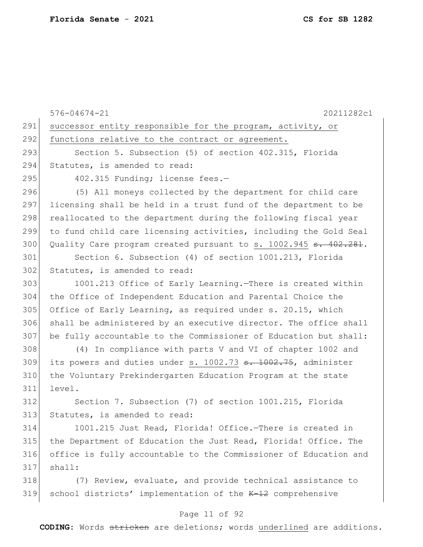576-04674-21 20211282c1 Page 11 of 92 291 successor entity responsible for the program, activity, or 292 functions relative to the contract or agreement. 293 Section 5. Subsection (5) of section 402.315, Florida 294 Statutes, is amended to read: 295 402.315 Funding; license fees.-296 (5) All moneys collected by the department for child care 297 licensing shall be held in a trust fund of the department to be 298 reallocated to the department during the following fiscal year 299 to fund child care licensing activities, including the Gold Seal 300 Quality Care program created pursuant to s. 1002.945 s. 402.281. 301 Section 6. Subsection (4) of section 1001.213, Florida 302 Statutes, is amended to read: 303 1001.213 Office of Early Learning.—There is created within 304 the Office of Independent Education and Parental Choice the 305 Office of Early Learning, as required under s. 20.15, which 306 shall be administered by an executive director. The office shall 307 be fully accountable to the Commissioner of Education but shall: 308 (4) In compliance with parts V and VI of chapter 1002 and 309 its powers and duties under s. 1002.73 <del>s. 1002.75</del>, administer 310 the Voluntary Prekindergarten Education Program at the state 311 level. 312 Section 7. Subsection (7) of section 1001.215, Florida 313 Statutes, is amended to read: 314 1001.215 Just Read, Florida! Office.—There is created in 315 the Department of Education the Just Read, Florida! Office. The 316 office is fully accountable to the Commissioner of Education and  $317$  shall: 318 (7) Review, evaluate, and provide technical assistance to 319 school districts' implementation of the K-12 comprehensive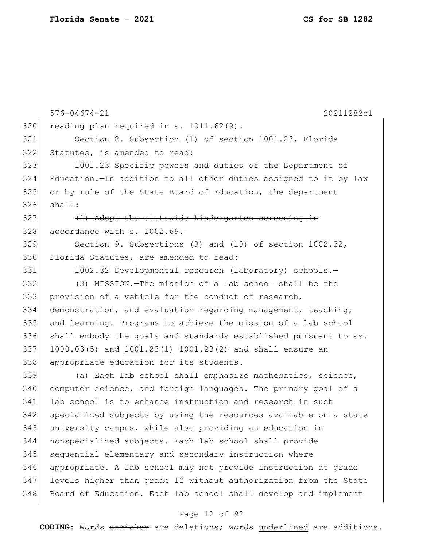|     | $576 - 04674 - 21$<br>20211282c1                                              |
|-----|-------------------------------------------------------------------------------|
| 320 | reading plan required in s. 1011.62(9).                                       |
| 321 | Section 8. Subsection (1) of section 1001.23, Florida                         |
| 322 | Statutes, is amended to read:                                                 |
| 323 | 1001.23 Specific powers and duties of the Department of                       |
| 324 | Education.-In addition to all other duties assigned to it by law              |
| 325 | or by rule of the State Board of Education, the department                    |
| 326 | shall:                                                                        |
| 327 | (1) Adopt the statewide kindergarten screening in                             |
| 328 | accordance with s. 1002.69.                                                   |
| 329 | Section 9. Subsections (3) and (10) of section 1002.32,                       |
| 330 | Florida Statutes, are amended to read:                                        |
| 331 | 1002.32 Developmental research (laboratory) schools.-                         |
| 332 | (3) MISSION. - The mission of a lab school shall be the                       |
| 333 | provision of a vehicle for the conduct of research,                           |
| 334 | demonstration, and evaluation regarding management, teaching,                 |
| 335 | and learning. Programs to achieve the mission of a lab school                 |
| 336 | shall embody the goals and standards established pursuant to ss.              |
| 337 | 1000.03(5) and 1001.23(1) $\frac{1001.23(2)}{1001.23(2)}$ and shall ensure an |
| 338 | appropriate education for its students.                                       |
| 339 | (a) Each lab school shall emphasize mathematics, science,                     |
| 340 | computer science, and foreign languages. The primary goal of a                |
| 341 | lab school is to enhance instruction and research in such                     |
| 342 | specialized subjects by using the resources available on a state              |
| 343 | university campus, while also providing an education in                       |
| 344 | nonspecialized subjects. Each lab school shall provide                        |
| 345 | sequential elementary and secondary instruction where                         |
| 346 | appropriate. A lab school may not provide instruction at grade                |
| 347 | levels higher than grade 12 without authorization from the State              |
| 348 | Board of Education. Each lab school shall develop and implement               |

# Page 12 of 92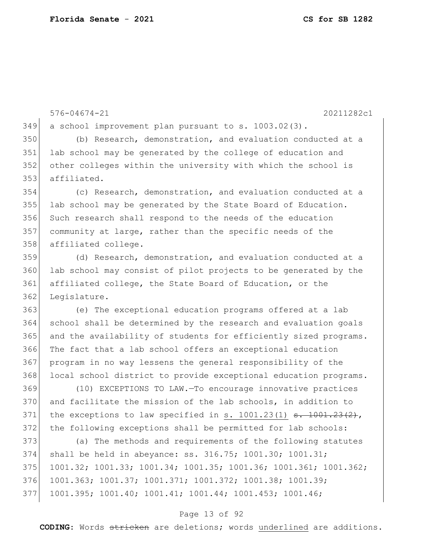576-04674-21 20211282c1 a school improvement plan pursuant to s. 1003.02(3). (b) Research, demonstration, and evaluation conducted at a 351 lab school may be generated by the college of education and other colleges within the university with which the school is affiliated. (c) Research, demonstration, and evaluation conducted at a 355 lab school may be generated by the State Board of Education. Such research shall respond to the needs of the education community at large, rather than the specific needs of the 358 affiliated college. (d) Research, demonstration, and evaluation conducted at a lab school may consist of pilot projects to be generated by the affiliated college, the State Board of Education, or the 362 Leqislature. (e) The exceptional education programs offered at a lab school shall be determined by the research and evaluation goals 365 and the availability of students for efficiently sized programs. The fact that a lab school offers an exceptional education program in no way lessens the general responsibility of the 368 local school district to provide exceptional education programs. (10) EXCEPTIONS TO LAW.—To encourage innovative practices 370 and facilitate the mission of the lab schools, in addition to 371 the exceptions to law specified in s.  $1001.23(1)$  s.  $1001.23(2)$ , the following exceptions shall be permitted for lab schools: (a) The methods and requirements of the following statutes shall be held in abeyance: ss. 316.75; 1001.30; 1001.31; 1001.32; 1001.33; 1001.34; 1001.35; 1001.36; 1001.361; 1001.362; 1001.363; 1001.37; 1001.371; 1001.372; 1001.38; 1001.39; 1001.395; 1001.40; 1001.41; 1001.44; 1001.453; 1001.46;

### Page 13 of 92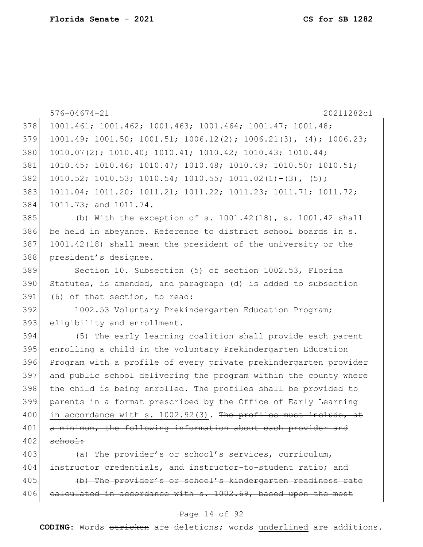|     | $576 - 04674 - 21$<br>20211282c1                                           |
|-----|----------------------------------------------------------------------------|
| 378 | 1001.461; 1001.462; 1001.463; 1001.464; 1001.47; 1001.48;                  |
| 379 | $1001.49; 1001.50; 1001.51; 1006.12(2); 1006.21(3), (4); 1006.23;$         |
| 380 | $1010.07(2)$ ; $1010.40$ ; $1010.41$ ; $1010.42$ ; $1010.43$ ; $1010.44$ ; |
| 381 | 1010.45; 1010.46; 1010.47; 1010.48; 1010.49; 1010.50; 1010.51;             |
| 382 | $1010.52; 1010.53; 1010.54; 1010.55; 1011.02(1) - (3), (5);$               |
| 383 | 1011.04; 1011.20; 1011.21; 1011.22; 1011.23; 1011.71; 1011.72;             |
| 384 | 1011.73; and 1011.74.                                                      |
| 385 | (b) With the exception of s. $1001.42(18)$ , s. $1001.42$ shall            |
| 386 | be held in abeyance. Reference to district school boards in s.             |
| 387 | 1001.42(18) shall mean the president of the university or the              |
| 388 | president's designee.                                                      |
| 389 | Section 10. Subsection (5) of section 1002.53, Florida                     |
| 390 | Statutes, is amended, and paragraph (d) is added to subsection             |
| 391 | (6) of that section, to read:                                              |
| 392 | 1002.53 Voluntary Prekindergarten Education Program;                       |
| 393 | eligibility and enrollment. $-$                                            |
| 394 | (5) The early learning coalition shall provide each parent                 |
| 395 | enrolling a child in the Voluntary Prekindergarten Education               |
| 396 | Program with a profile of every private prekindergarten provider           |
| 397 | and public school delivering the program within the county where           |
| 398 | the child is being enrolled. The profiles shall be provided to             |
| 399 | parents in a format prescribed by the Office of Early Learning             |
| 400 | in accordance with s. 1002.92(3). The profiles must include, at            |
| 401 | a minimum, the following information about each provider and               |
| 402 | school:                                                                    |
| 403 | (a) The provider's or school's services, curriculum,                       |
| 404 | instructor credentials, and instructor-to-student ratio; and               |

405 (b) The provider's or school's kindergarten readiness rate 406 calculated in accordance with s. 1002.69, based upon the most

### Page 14 of 92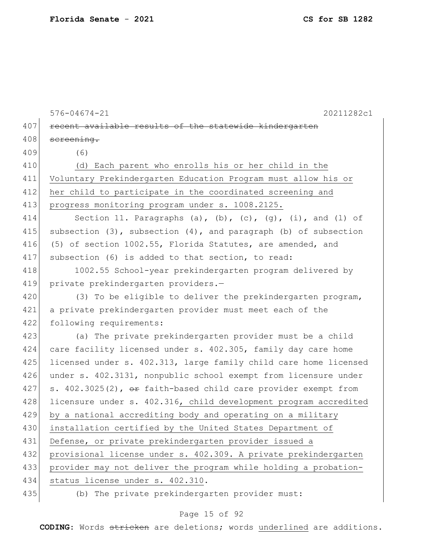576-04674-21 20211282c1 407 recent available results of the statewide kindergarten 408 screening. 409 (6) 410 (d) Each parent who enrolls his or her child in the 411 Voluntary Prekindergarten Education Program must allow his or 412 her child to participate in the coordinated screening and 413 progress monitoring program under s. 1008.2125. 414 Section 11. Paragraphs (a), (b), (c), (g), (i), and (l) of 415 subsection  $(3)$ , subsection  $(4)$ , and paragraph  $(b)$  of subsection 416 (5) of section 1002.55, Florida Statutes, are amended, and 417 subsection (6) is added to that section, to read: 418 1002.55 School-year prekindergarten program delivered by 419 private prekindergarten providers.-420 (3) To be eligible to deliver the prekindergarten program, 421 a private prekindergarten provider must meet each of the 422 following requirements: 423 (a) The private prekindergarten provider must be a child 424 care facility licensed under s. 402.305, family day care home 425 licensed under s. 402.313, large family child care home licensed 426 under s. 402.3131, nonpublic school exempt from licensure under 427 s. 402.3025(2),  $\theta$ r faith-based child care provider exempt from 428 licensure under s. 402.316, child development program accredited 429 by a national accrediting body and operating on a military 430 installation certified by the United States Department of 431 Defense, or private prekindergarten provider issued a 432 provisional license under s. 402.309. A private prekindergarten 433 provider may not deliver the program while holding a probation-434 status license under s. 402.310. 435 (b) The private prekindergarten provider must:

### Page 15 of 92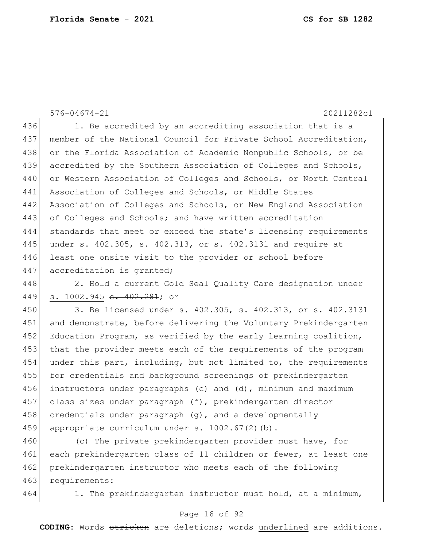576-04674-21 20211282c1 436 1. Be accredited by an accrediting association that is a 437 member of the National Council for Private School Accreditation, 438 or the Florida Association of Academic Nonpublic Schools, or be 439 accredited by the Southern Association of Colleges and Schools, 440 or Western Association of Colleges and Schools, or North Central 441 Association of Colleges and Schools, or Middle States 442 Association of Colleges and Schools, or New England Association 443 of Colleges and Schools; and have written accreditation 444 standards that meet or exceed the state's licensing requirements 445 under s. 402.305, s. 402.313, or s. 402.3131 and require at 446 least one onsite visit to the provider or school before

447 accreditation is granted;

448 2. Hold a current Gold Seal Quality Care designation under 449 s. 1002.945 <del>s. 402.281</del>; or

450 3. Be licensed under s. 402.305, s. 402.313, or s. 402.3131 451 and demonstrate, before delivering the Voluntary Prekindergarten 452 Education Program, as verified by the early learning coalition, 453 that the provider meets each of the requirements of the program 454 under this part, including, but not limited to, the requirements 455 for credentials and background screenings of prekindergarten 456 instructors under paragraphs (c) and (d), minimum and maximum 457 class sizes under paragraph (f), prekindergarten director 458 credentials under paragraph  $(q)$ , and a developmentally 459 appropriate curriculum under s. 1002.67(2)(b).

460 (c) The private prekindergarten provider must have, for 461 each prekindergarten class of 11 children or fewer, at least one 462 prekindergarten instructor who meets each of the following 463 requirements:

464 1. The prekindergarten instructor must hold, at a minimum,

#### Page 16 of 92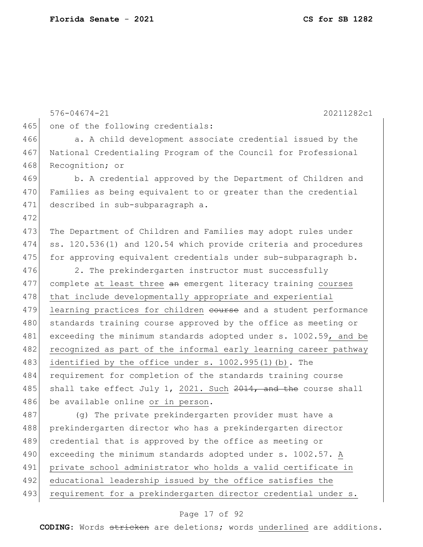576-04674-21 20211282c1 465 one of the following credentials: 466 a. A child development associate credential issued by the 467 National Credentialing Program of the Council for Professional 468 Recognition; or 469 b. A credential approved by the Department of Children and 470 Families as being equivalent to or greater than the credential 471 described in sub-subparagraph a. 472 473 The Department of Children and Families may adopt rules under 474 ss. 120.536(1) and 120.54 which provide criteria and procedures 475 for approving equivalent credentials under sub-subparagraph b. 476 2. The prekindergarten instructor must successfully 477 complete at least three an emergent literacy training courses 478 that include developmentally appropriate and experiential 479 learning practices for children course and a student performance 480 standards training course approved by the office as meeting or 481 exceeding the minimum standards adopted under s. 1002.59, and be 482 recognized as part of the informal early learning career pathway 483 identified by the office under s. 1002.995(1)(b). The 484 requirement for completion of the standards training course 485 shall take effect July 1, 2021. Such  $2014$ , and the course shall 486 be available online or in person. 487 (g) The private prekindergarten provider must have a 488 prekindergarten director who has a prekindergarten director 489 credential that is approved by the office as meeting or 490 exceeding the minimum standards adopted under s. 1002.57. A 491 private school administrator who holds a valid certificate in 492 educational leadership issued by the office satisfies the 493 requirement for a prekindergarten director credential under s.

### Page 17 of 92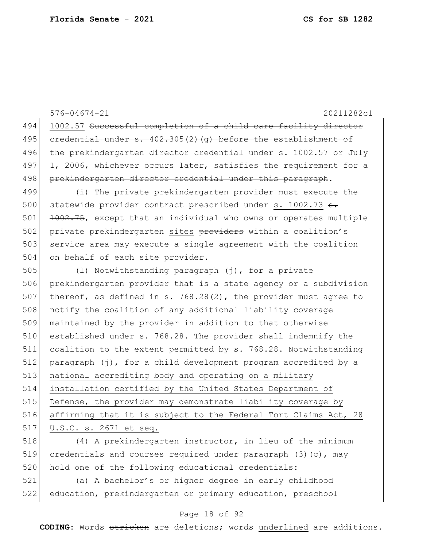576-04674-21 20211282c1 494 1002.57 Successful completion of a child care facility director 495 credential under  $s. 402.305(2)(q)$  before the establishment of 496 the prekindergarten director credential under s. 1002.57 or July  $497$  1, 2006, whichever occurs later, satisfies the requirement for a 498 prekindergarten director credential under this paragraph. 499 (i) The private prekindergarten provider must execute the 500 statewide provider contract prescribed under s. 1002.73 s. 501 1002.75, except that an individual who owns or operates multiple 502 private prekindergarten sites providers within a coalition's 503 service area may execute a single agreement with the coalition 504 on behalf of each site provider. 505 (l) Notwithstanding paragraph (j), for a private 506 prekindergarten provider that is a state agency or a subdivision 507 thereof, as defined in s. 768.28(2), the provider must agree to 508 notify the coalition of any additional liability coverage 509 maintained by the provider in addition to that otherwise 510 established under s. 768.28. The provider shall indemnify the 511 coalition to the extent permitted by s. 768.28. Notwithstanding 512 paragraph (j), for a child development program accredited by a 513 national accrediting body and operating on a military 514 installation certified by the United States Department of 515 Defense, the provider may demonstrate liability coverage by 516 affirming that it is subject to the Federal Tort Claims Act, 28 517 U.S.C. s. 2671 et seq. 518 (4) A prekindergarten instructor, in lieu of the minimum

519 credentials and courses required under paragraph  $(3)(c)$ , may 520 hold one of the following educational credentials:

521 (a) A bachelor's or higher degree in early childhood 522 education, prekindergarten or primary education, preschool

#### Page 18 of 92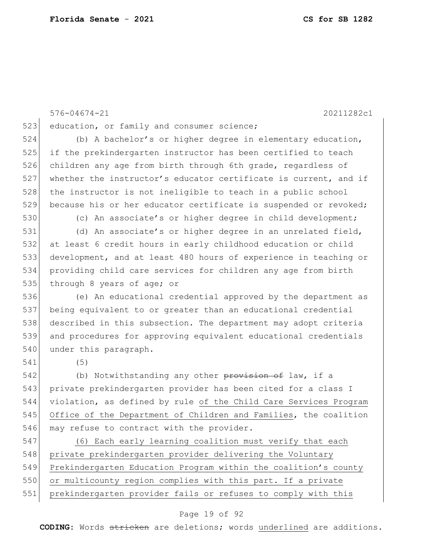576-04674-21 20211282c1 523 education, or family and consumer science; 524 (b) A bachelor's or higher degree in elementary education, 525 if the prekindergarten instructor has been certified to teach 526 children any age from birth through 6th grade, regardless of 527 whether the instructor's educator certificate is current, and if 528 the instructor is not ineligible to teach in a public school 529 because his or her educator certificate is suspended or revoked; 530 (c) An associate's or higher degree in child development; 531 (d) An associate's or higher degree in an unrelated field, 532 at least 6 credit hours in early childhood education or child 533 development, and at least 480 hours of experience in teaching or 534 providing child care services for children any age from birth 535 through 8 years of age; or 536 (e) An educational credential approved by the department as 537 being equivalent to or greater than an educational credential 538 described in this subsection. The department may adopt criteria 539 and procedures for approving equivalent educational credentials 540 under this paragraph. 541 (5) 542 (b) Notwithstanding any other provision of law, if a 543 private prekindergarten provider has been cited for a class I 544 violation, as defined by rule of the Child Care Services Program 545 Office of the Department of Children and Families, the coalition 546 may refuse to contract with the provider. 547 (6) Each early learning coalition must verify that each 548 private prekindergarten provider delivering the Voluntary 549 Prekindergarten Education Program within the coalition's county 550 or multicounty region complies with this part. If a private 551 prekindergarten provider fails or refuses to comply with this

#### Page 19 of 92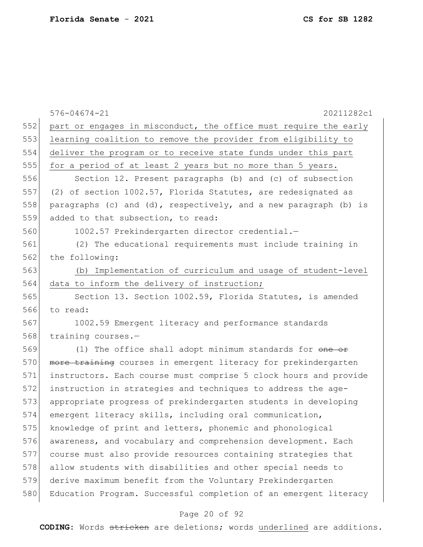|     | $576 - 04674 - 21$<br>20211282c1                                 |
|-----|------------------------------------------------------------------|
| 552 | part or engages in misconduct, the office must require the early |
| 553 | learning coalition to remove the provider from eligibility to    |
| 554 | deliver the program or to receive state funds under this part    |
| 555 | for a period of at least 2 years but no more than 5 years.       |
| 556 | Section 12. Present paragraphs (b) and (c) of subsection         |
| 557 | (2) of section 1002.57, Florida Statutes, are redesignated as    |
| 558 | paragraphs (c) and (d), respectively, and a new paragraph (b) is |
| 559 | added to that subsection, to read:                               |
| 560 | 1002.57 Prekindergarten director credential.-                    |
| 561 | (2) The educational requirements must include training in        |
| 562 | the following:                                                   |
| 563 | Implementation of curriculum and usage of student-level<br>(b)   |
| 564 | data to inform the delivery of instruction;                      |
| 565 | Section 13. Section 1002.59, Florida Statutes, is amended        |
| 566 | to read:                                                         |
| 567 | 1002.59 Emergent literacy and performance standards              |
| 568 | training courses.-                                               |
| 569 | (1) The office shall adopt minimum standards for one or          |
| 570 | more training courses in emergent literacy for prekindergarten   |
| 571 | instructors. Each course must comprise 5 clock hours and provide |
| 572 | instruction in strategies and techniques to address the age-     |
| 573 | appropriate progress of prekindergarten students in developing   |
| 574 | emergent literacy skills, including oral communication,          |
| 575 | knowledge of print and letters, phonemic and phonological        |
| 576 | awareness, and vocabulary and comprehension development. Each    |
| 577 | course must also provide resources containing strategies that    |
| 578 | allow students with disabilities and other special needs to      |
| 579 | derive maximum benefit from the Voluntary Prekindergarten        |
| 580 | Education Program. Successful completion of an emergent literacy |

# Page 20 of 92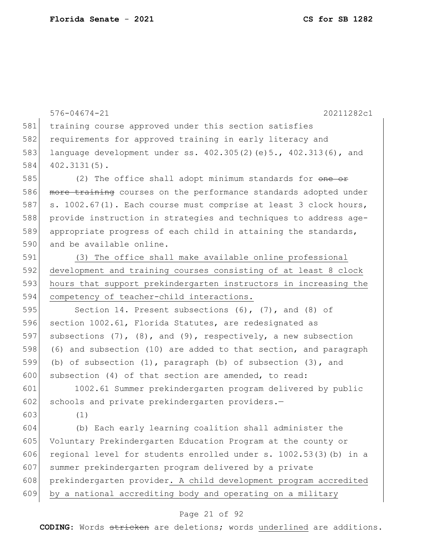576-04674-21 20211282c1 581 training course approved under this section satisfies 582 requirements for approved training in early literacy and 583 language development under ss. 402.305(2)(e)5., 402.313(6), and 584 402.3131(5). 585 (2) The office shall adopt minimum standards for one or 586 more training courses on the performance standards adopted under 587 s. 1002.67(1). Each course must comprise at least 3 clock hours, 588 provide instruction in strategies and techniques to address age-589 appropriate progress of each child in attaining the standards, 590 and be available online. 591 (3) The office shall make available online professional 592 development and training courses consisting of at least 8 clock 593 hours that support prekindergarten instructors in increasing the 594 competency of teacher-child interactions. 595 Section 14. Present subsections (6), (7), and (8) of 596 section 1002.61, Florida Statutes, are redesignated as 597 subsections  $(7)$ ,  $(8)$ , and  $(9)$ , respectively, a new subsection 598 (6) and subsection (10) are added to that section, and paragraph 599 (b) of subsection (1), paragraph (b) of subsection (3), and 600 subsection (4) of that section are amended, to read: 601 1002.61 Summer prekindergarten program delivered by public 602 schools and private prekindergarten providers.-603 (1) 604 (b) Each early learning coalition shall administer the 605 Voluntary Prekindergarten Education Program at the county or 606 regional level for students enrolled under s.  $1002.53(3)$  (b) in a 607 summer prekindergarten program delivered by a private 608 prekindergarten provider. A child development program accredited 609 by a national accrediting body and operating on a military

### Page 21 of 92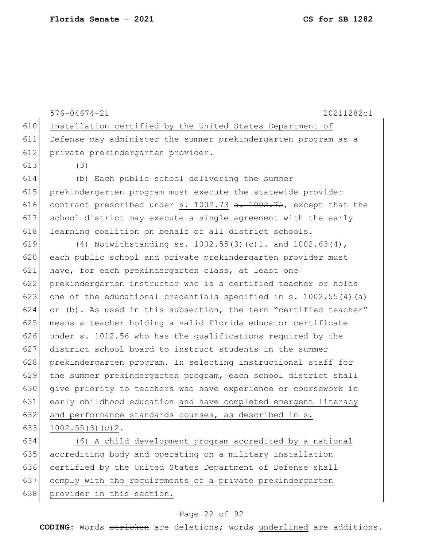576-04674-21 20211282c1 610 installation certified by the United States Department of 611 Defense may administer the summer prekindergarten program as a 612 private prekindergarten provider. 613 (3) 614 (b) Each public school delivering the summer 615 prekindergarten program must execute the statewide provider 616 contract prescribed under s. 1002.73  $s$ . 1002.75, except that the 617 school district may execute a single agreement with the early 618 learning coalition on behalf of all district schools. 619 (4) Notwithstanding ss. 1002.55(3)(c)1. and  $1002.63(4)$ , 620 each public school and private prekindergarten provider must 621 have, for each prekindergarten class, at least one 622 prekindergarten instructor who is a certified teacher or holds 623 one of the educational credentials specified in s.  $1002.55(4)(a)$ 624 or (b). As used in this subsection, the term "certified teacher" 625 means a teacher holding a valid Florida educator certificate 626 under s. 1012.56 who has the qualifications required by the 627 district school board to instruct students in the summer 628 prekindergarten program. In selecting instructional staff for 629 the summer prekindergarten program, each school district shall 630 give priority to teachers who have experience or coursework in 631 early childhood education and have completed emergent literacy 632 and performance standards courses, as described in s. 633 1002.55(3)(c)2. 634 (6) A child development program accredited by a national 635 accrediting body and operating on a military installation 636 certified by the United States Department of Defense shall 637 comply with the requirements of a private prekindergarten 638 provider in this section.

### Page 22 of 92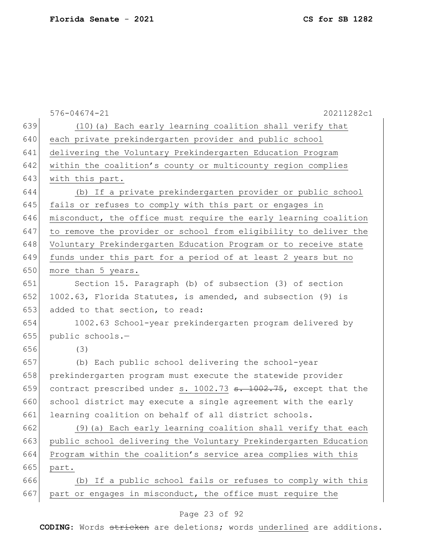576-04674-21 20211282c1 639 (10)(a) Each early learning coalition shall verify that 640 each private prekindergarten provider and public school 641 delivering the Voluntary Prekindergarten Education Program 642 within the coalition's county or multicounty region complies 643 with this part. 644 (b) If a private prekindergarten provider or public school 645 fails or refuses to comply with this part or engages in 646 misconduct, the office must require the early learning coalition 647 to remove the provider or school from eligibility to deliver the 648 Voluntary Prekindergarten Education Program or to receive state 649 funds under this part for a period of at least 2 years but no 650 more than 5 years. 651 Section 15. Paragraph (b) of subsection (3) of section 652 1002.63, Florida Statutes, is amended, and subsection  $(9)$  is 653 added to that section, to read: 654 1002.63 School-year prekindergarten program delivered by 655 public schools.— 656 (3) 657 (b) Each public school delivering the school-year 658 prekindergarten program must execute the statewide provider 659 contract prescribed under s. 1002.73  $\texttt{s. } 1002.75$ , except that the 660 school district may execute a single agreement with the early 661 learning coalition on behalf of all district schools. 662 (9)(a) Each early learning coalition shall verify that each 663 public school delivering the Voluntary Prekindergarten Education 664 Program within the coalition's service area complies with this 665 part. 666 (b) If a public school fails or refuses to comply with this 667 part or engages in misconduct, the office must require the

### Page 23 of 92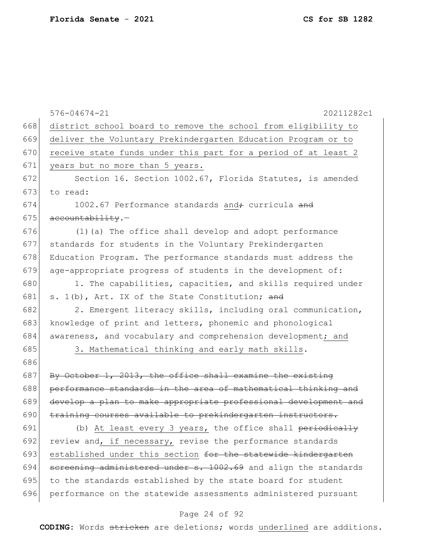576-04674-21 20211282c1 668 district school board to remove the school from eligibility to 669 deliver the Voluntary Prekindergarten Education Program or to 670 receive state funds under this part for a period of at least 2 671 years but no more than 5 years. 672 Section 16. Section 1002.67, Florida Statutes, is amended  $673$  to read: 674 1002.67 Performance standards and  $\div$  curricula and  $675$  accountability. 676 (1)(a) The office shall develop and adopt performance 677 standards for students in the Voluntary Prekindergarten 678 Education Program. The performance standards must address the 679 age-appropriate progress of students in the development of: 680 1. The capabilities, capacities, and skills required under 681 s. 1(b), Art. IX of the State Constitution; and 682 2. Emergent literacy skills, including oral communication, 683 knowledge of print and letters, phonemic and phonological 684 awareness, and vocabulary and comprehension development; and 685 3. Mathematical thinking and early math skills. 686 687 By October 1, 2013, the office shall examine the existing 688 performance standards in the area of mathematical thinking and 689 develop a plan to make appropriate professional development and 690 training courses available to prekindergarten instructors. 691 (b) At least every 3 years, the office shall periodically 692 review and, if necessary, revise the performance standards 693 established under this section for the statewide kindergarten 694  $\sigma$  sereening administered under s. 1002.69 and align the standards 695 to the standards established by the state board for student 696 performance on the statewide assessments administered pursuant

#### Page 24 of 92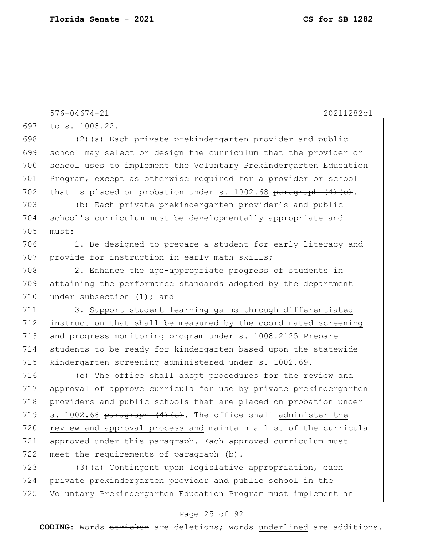576-04674-21 20211282c1 697 to s. 1008.22. 698 (2)(a) Each private prekindergarten provider and public 699 school may select or design the curriculum that the provider or 700 school uses to implement the Voluntary Prekindergarten Education 701 Program, except as otherwise required for a provider or school 702 that is placed on probation under s. 1002.68  $\frac{1}{2}$  paragraph (4)(c). 703 (b) Each private prekindergarten provider's and public 704 school's curriculum must be developmentally appropriate and 705 must: 706 1. Be designed to prepare a student for early literacy and 707 provide for instruction in early math skills; 708 2. Enhance the age-appropriate progress of students in 709 attaining the performance standards adopted by the department 710 under subsection (1); and 711 3. Support student learning gains through differentiated 712 instruction that shall be measured by the coordinated screening 713 and progress monitoring program under s. 1008.2125 Prepare 714 students to be ready for kindergarten based upon the statewide 715 kindergarten screening administered under s. 1002.69. 716 (c) The office shall adopt procedures for the review and 717 approval of approve curricula for use by private prekindergarten 718 providers and public schools that are placed on probation under 719 s. 1002.68 paragraph  $(4)$   $(c)$ . The office shall administer the 720 review and approval process and maintain a list of the curricula 721 approved under this paragraph. Each approved curriculum must 722 meet the requirements of paragraph (b). 723  $(3)$  (a) Contingent upon legislative appropriation, each 724 private prekindergarten provider and public school in the 725 Voluntary Prekindergarten Education Program must implement an

#### Page 25 of 92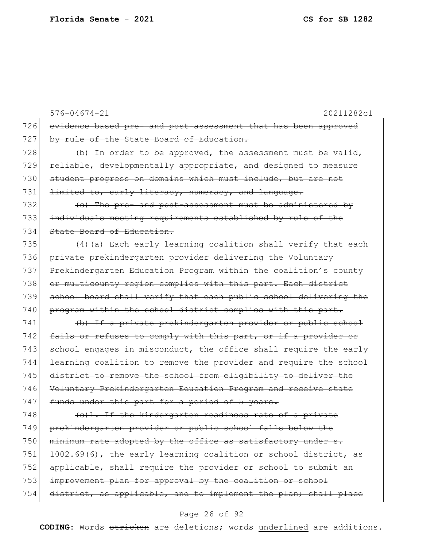576-04674-21 20211282c1 726 evidence-based pre- and post-assessment that has been approved 727 by rule of the State Board of Education.  $728$  (b) In order to be approved, the assessment must be valid, 729 reliable, developmentally appropriate, and designed to measure 730 student progress on domains which must include, but are not 731  $l$  <del>limited to, early literacy, numeracy, and language.</del>  $732$  (c) The pre- and post-assessment must be administered by 733 individuals meeting requirements established by rule of the 734 State Board of Education. 735  $(4)$  (a) Each early learning coalition shall verify that each 736 private prekindergarten provider delivering the Voluntary 737 Prekindergarten Education Program within the coalition's county 738 or multicounty region complies with this part. Each district 739 school board shall verify that each public school delivering the 740 program within the school district complies with this part. 741 (b) If a private prekindergarten provider or public school 742 fails or refuses to comply with this part, or if a provider or 743 school engages in misconduct, the office shall require the early 744 learning coalition to remove the provider and require the school 745 district to remove the school from eligibility to deliver the 746 Voluntary Prekindergarten Education Program and receive state 747 funds under this part for a period of 5 years.  $748$  (c)1. If the kindergarten readiness rate of a private 749 prekindergarten provider or public school falls below the 750  $\vert$  minimum rate adopted by the office as satisfactory under s. 751  $1002.69(6)$ , the early learning coalition or school district, as 752 applicable, shall require the provider or school to submit an 753 improvement plan for approval by the coalition or school 754 district, as applicable, and to implement the plan; shall place

#### Page 26 of 92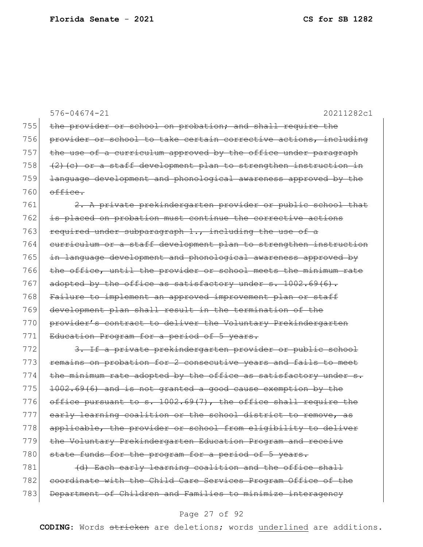576-04674-21 20211282c1 755 the provider or school on probation; and shall require the 756 provider or school to take certain corrective actions, including 757 the use of a curriculum approved by the office under paragraph 758  $(2)$  (c) or a staff development plan to strengthen instruction in 759 <del>language development and phonological awareness approved by the</del>  $760$  office. 761 2. A private prekindergarten provider or public school that 762 is placed on probation must continue the corrective actions 763 required under subparagraph  $1.,$  including the use of a 764 curriculum or a staff development plan to strengthen instruction 765 in language development and phonological awareness approved by 766 the office, until the provider or school meets the minimum rate 767 adopted by the office as satisfactory under s.  $1002.69(6)$ . 768 Failure to implement an approved improvement plan or staff 769 development plan shall result in the termination of the 770 provider's contract to deliver the Voluntary Prekindergarten 771 Education Program for a period of 5 years. 772 3. If a private prekindergarten provider or public school 773 remains on probation for 2 consecutive years and fails to meet 774 the minimum rate adopted by the office as satisfactory under  $s$ .  $775$  1002.69(6) and is not granted a good cause exemption by the 776 office pursuant to s.  $1002.69(7)$ , the office shall require the 777 early learning coalition or the school district to remove, as 778 applicable, the provider or school from eligibility to deliver 779 the Voluntary Prekindergarten Education Program and receive 780 state funds for the program for a period of 5 years. 781 (d) Each early learning coalition and the office shall 782 coordinate with the Child Care Services Program Office of the 783 Department of Children and Families to minimize interagency

#### Page 27 of 92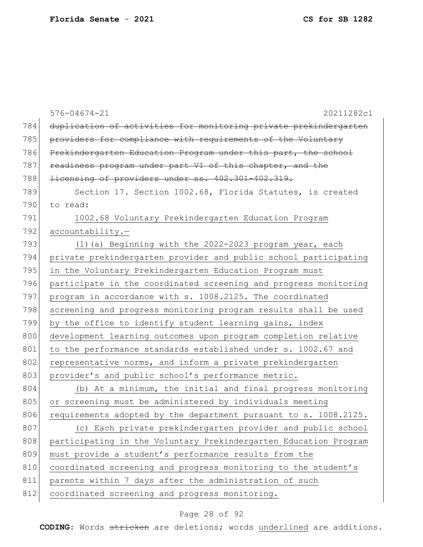|     | $576 - 04674 - 21$<br>20211282c1                                 |
|-----|------------------------------------------------------------------|
| 784 | duplication of activities for monitoring private prekindergarten |
| 785 | providers for compliance with requirements of the Voluntary      |
| 786 | Prekindergarten Education Program under this part, the school    |
| 787 | readiness program under part VI of this chapter, and the         |
| 788 | licensing of providers under ss. 402.301-402.319.                |
| 789 | Section 17. Section 1002.68, Florida Statutes, is created        |
| 790 | to read:                                                         |
| 791 | 1002.68 Voluntary Prekindergarten Education Program              |
| 792 | $accountability. -$                                              |
| 793 | (1) (a) Beginning with the 2022-2023 program year, each          |
| 794 | private prekindergarten provider and public school participating |
| 795 | in the Voluntary Prekindergarten Education Program must          |
| 796 | participate in the coordinated screening and progress monitoring |
| 797 | program in accordance with s. 1008.2125. The coordinated         |
| 798 | screening and progress monitoring program results shall be used  |
| 799 | by the office to identify student learning gains, index          |
| 800 | development learning outcomes upon program completion relative   |
| 801 | to the performance standards established under s. 1002.67 and    |
| 802 | representative norms, and inform a private prekindergarten       |
| 803 | provider's and public school's performance metric.               |
| 804 | (b) At a minimum, the initial and final progress monitoring      |
| 805 | or screening must be administered by individuals meeting         |
| 806 | requirements adopted by the department pursuant to s. 1008.2125. |
| 807 | (c) Each private prekindergarten provider and public school      |
| 808 | participating in the Voluntary Prekindergarten Education Program |
| 809 | must provide a student's performance results from the            |
| 810 | coordinated screening and progress monitoring to the student's   |
| 811 | parents within 7 days after the administration of such           |
| 812 | coordinated screening and progress monitoring.                   |

# Page 28 of 92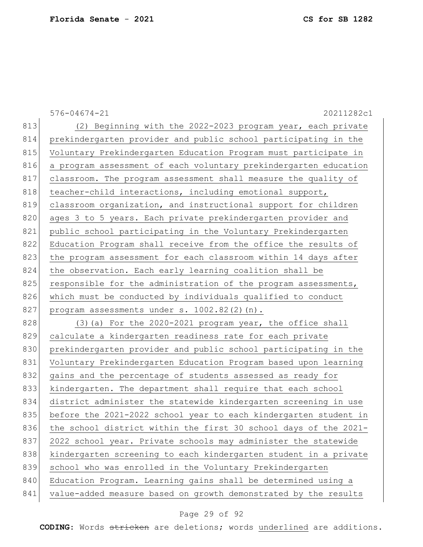|     | $576 - 04674 - 21$<br>20211282c1                                 |
|-----|------------------------------------------------------------------|
| 813 | (2) Beginning with the 2022-2023 program year, each private      |
| 814 | prekindergarten provider and public school participating in the  |
| 815 | Voluntary Prekindergarten Education Program must participate in  |
| 816 | a program assessment of each voluntary prekindergarten education |
| 817 | classroom. The program assessment shall measure the quality of   |
| 818 | teacher-child interactions, including emotional support,         |
| 819 | classroom organization, and instructional support for children   |
| 820 | ages 3 to 5 years. Each private prekindergarten provider and     |
| 821 | public school participating in the Voluntary Prekindergarten     |
| 822 | Education Program shall receive from the office the results of   |
| 823 | the program assessment for each classroom within 14 days after   |
| 824 | the observation. Each early learning coalition shall be          |
| 825 | responsible for the administration of the program assessments,   |
| 826 | which must be conducted by individuals qualified to conduct      |
| 827 | program assessments under s. 1002.82(2)(n).                      |
| 828 | (3) (a) For the 2020-2021 program year, the office shall         |
| 829 | calculate a kindergarten readiness rate for each private         |
| 830 | prekindergarten provider and public school participating in the  |
| 831 | Voluntary Prekindergarten Education Program based upon learning  |
| 832 | gains and the percentage of students assessed as ready for       |
| 833 | kindergarten. The department shall require that each school      |
| 834 | district administer the statewide kindergarten screening in use  |
| 835 | before the 2021-2022 school year to each kindergarten student in |
| 836 | the school district within the first 30 school days of the 2021- |
| 837 | 2022 school year. Private schools may administer the statewide   |
| 838 | kindergarten screening to each kindergarten student in a private |
| 839 | school who was enrolled in the Voluntary Prekindergarten         |
| 840 | Education Program. Learning gains shall be determined using a    |
| 841 | value-added measure based on growth demonstrated by the results  |
|     |                                                                  |

# Page 29 of 92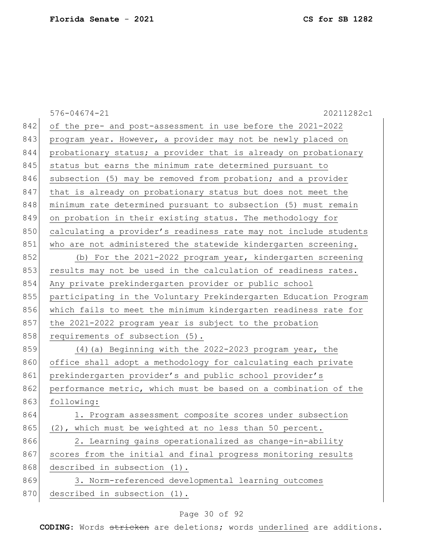|     | $576 - 04674 - 21$<br>20211282c1                                 |
|-----|------------------------------------------------------------------|
| 842 | of the pre- and post-assessment in use before the 2021-2022      |
| 843 | program year. However, a provider may not be newly placed on     |
| 844 | probationary status; a provider that is already on probationary  |
| 845 | status but earns the minimum rate determined pursuant to         |
| 846 | subsection (5) may be removed from probation; and a provider     |
| 847 | that is already on probationary status but does not meet the     |
| 848 | minimum rate determined pursuant to subsection (5) must remain   |
| 849 | on probation in their existing status. The methodology for       |
| 850 | calculating a provider's readiness rate may not include students |
| 851 | who are not administered the statewide kindergarten screening.   |
| 852 | (b) For the 2021-2022 program year, kindergarten screening       |
| 853 | results may not be used in the calculation of readiness rates.   |
| 854 | Any private prekindergarten provider or public school            |
| 855 | participating in the Voluntary Prekindergarten Education Program |
| 856 | which fails to meet the minimum kindergarten readiness rate for  |
| 857 | the 2021-2022 program year is subject to the probation           |
| 858 | requirements of subsection (5).                                  |
| 859 | (4) (a) Beginning with the 2022-2023 program year, the           |
| 860 | office shall adopt a methodology for calculating each private    |
| 861 | prekindergarten provider's and public school provider's          |
| 862 | performance metric, which must be based on a combination of the  |
| 863 | following:                                                       |
| 864 | 1. Program assessment composite scores under subsection          |
| 865 | (2), which must be weighted at no less than 50 percent.          |
| 866 | 2. Learning gains operationalized as change-in-ability           |
| 867 | scores from the initial and final progress monitoring results    |
| 868 | described in subsection (1).                                     |
| 869 | 3. Norm-referenced developmental learning outcomes               |
| 870 | described in subsection (1).                                     |

# Page 30 of 92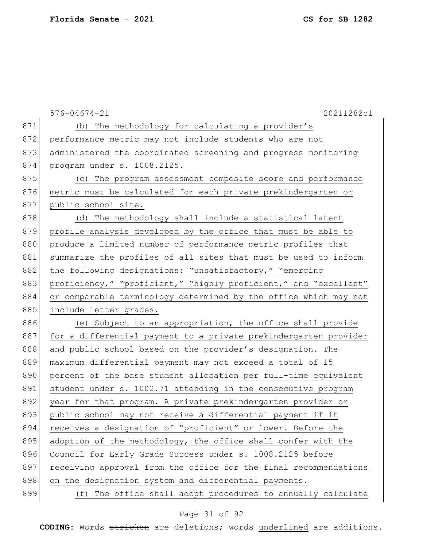|     | $576 - 04674 - 21$<br>20211282c1                                 |
|-----|------------------------------------------------------------------|
| 871 | (b) The methodology for calculating a provider's                 |
| 872 | performance metric may not include students who are not          |
| 873 | administered the coordinated screening and progress monitoring   |
| 874 | program under s. 1008.2125.                                      |
| 875 | (c) The program assessment composite score and performance       |
| 876 | metric must be calculated for each private prekindergarten or    |
| 877 | public school site.                                              |
| 878 | (d) The methodology shall include a statistical latent           |
| 879 | profile analysis developed by the office that must be able to    |
| 880 | produce a limited number of performance metric profiles that     |
| 881 | summarize the profiles of all sites that must be used to inform  |
| 882 | the following designations: "unsatisfactory," "emerging          |
| 883 | proficiency," "proficient," "highly proficient," and "excellent" |
| 884 | or comparable terminology determined by the office which may not |
| 885 | include letter grades.                                           |
| 886 | (e) Subject to an appropriation, the office shall provide        |
| 887 | for a differential payment to a private prekindergarten provider |
| 888 | and public school based on the provider's designation. The       |
| 889 | maximum differential payment may not exceed a total of 15        |
| 890 | percent of the base student allocation per full-time equivalent  |
| 891 | student under s. 1002.71 attending in the consecutive program    |
| 892 | year for that program. A private prekindergarten provider or     |
| 893 | public school may not receive a differential payment if it       |
| 894 | receives a designation of "proficient" or lower. Before the      |
| 895 | adoption of the methodology, the office shall confer with the    |
| 896 | Council for Early Grade Success under s. 1008.2125 before        |
| 897 | receiving approval from the office for the final recommendations |
| 898 | on the designation system and differential payments.             |
| 899 | (f) The office shall adopt procedures to annually calculate      |

# Page 31 of 92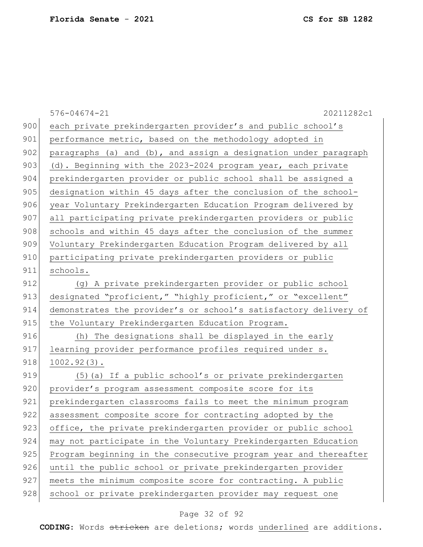| 900<br>each private prekindergarten provider's and public school's<br>901<br>performance metric, based on the methodology adopted in<br>902<br>paragraphs (a) and $(b)$ , and assign a designation under paragraph<br>903<br>(d). Beginning with the 2023-2024 program year, each private<br>904<br>prekindergarten provider or public school shall be assigned a<br>905<br>designation within 45 days after the conclusion of the school-<br>906<br>year Voluntary Prekindergarten Education Program delivered by<br>907<br>all participating private prekindergarten providers or public<br>908<br>schools and within 45 days after the conclusion of the summer<br>909<br>Voluntary Prekindergarten Education Program delivered by all<br>910<br>participating private prekindergarten providers or public<br>911<br>schools.<br>912<br>(g) A private prekindergarten provider or public school | 20211282c1 |
|----------------------------------------------------------------------------------------------------------------------------------------------------------------------------------------------------------------------------------------------------------------------------------------------------------------------------------------------------------------------------------------------------------------------------------------------------------------------------------------------------------------------------------------------------------------------------------------------------------------------------------------------------------------------------------------------------------------------------------------------------------------------------------------------------------------------------------------------------------------------------------------------------|------------|
|                                                                                                                                                                                                                                                                                                                                                                                                                                                                                                                                                                                                                                                                                                                                                                                                                                                                                                    |            |
|                                                                                                                                                                                                                                                                                                                                                                                                                                                                                                                                                                                                                                                                                                                                                                                                                                                                                                    |            |
|                                                                                                                                                                                                                                                                                                                                                                                                                                                                                                                                                                                                                                                                                                                                                                                                                                                                                                    |            |
|                                                                                                                                                                                                                                                                                                                                                                                                                                                                                                                                                                                                                                                                                                                                                                                                                                                                                                    |            |
|                                                                                                                                                                                                                                                                                                                                                                                                                                                                                                                                                                                                                                                                                                                                                                                                                                                                                                    |            |
|                                                                                                                                                                                                                                                                                                                                                                                                                                                                                                                                                                                                                                                                                                                                                                                                                                                                                                    |            |
|                                                                                                                                                                                                                                                                                                                                                                                                                                                                                                                                                                                                                                                                                                                                                                                                                                                                                                    |            |
|                                                                                                                                                                                                                                                                                                                                                                                                                                                                                                                                                                                                                                                                                                                                                                                                                                                                                                    |            |
|                                                                                                                                                                                                                                                                                                                                                                                                                                                                                                                                                                                                                                                                                                                                                                                                                                                                                                    |            |
|                                                                                                                                                                                                                                                                                                                                                                                                                                                                                                                                                                                                                                                                                                                                                                                                                                                                                                    |            |
|                                                                                                                                                                                                                                                                                                                                                                                                                                                                                                                                                                                                                                                                                                                                                                                                                                                                                                    |            |
|                                                                                                                                                                                                                                                                                                                                                                                                                                                                                                                                                                                                                                                                                                                                                                                                                                                                                                    |            |
|                                                                                                                                                                                                                                                                                                                                                                                                                                                                                                                                                                                                                                                                                                                                                                                                                                                                                                    |            |
| 913<br>designated "proficient," "highly proficient," or "excellent"                                                                                                                                                                                                                                                                                                                                                                                                                                                                                                                                                                                                                                                                                                                                                                                                                                |            |
| 914<br>demonstrates the provider's or school's satisfactory delivery of                                                                                                                                                                                                                                                                                                                                                                                                                                                                                                                                                                                                                                                                                                                                                                                                                            |            |
| 915<br>the Voluntary Prekindergarten Education Program.                                                                                                                                                                                                                                                                                                                                                                                                                                                                                                                                                                                                                                                                                                                                                                                                                                            |            |
| 916<br>(h) The designations shall be displayed in the early                                                                                                                                                                                                                                                                                                                                                                                                                                                                                                                                                                                                                                                                                                                                                                                                                                        |            |
| 917<br>learning provider performance profiles required under s.                                                                                                                                                                                                                                                                                                                                                                                                                                                                                                                                                                                                                                                                                                                                                                                                                                    |            |
| 918<br>$1002.92(3)$ .                                                                                                                                                                                                                                                                                                                                                                                                                                                                                                                                                                                                                                                                                                                                                                                                                                                                              |            |
| 919<br>(5) (a) If a public school's or private prekindergarten                                                                                                                                                                                                                                                                                                                                                                                                                                                                                                                                                                                                                                                                                                                                                                                                                                     |            |
| 920<br>provider's program assessment composite score for its                                                                                                                                                                                                                                                                                                                                                                                                                                                                                                                                                                                                                                                                                                                                                                                                                                       |            |
| 921<br>prekindergarten classrooms fails to meet the minimum program                                                                                                                                                                                                                                                                                                                                                                                                                                                                                                                                                                                                                                                                                                                                                                                                                                |            |
| 922<br>assessment composite score for contracting adopted by the                                                                                                                                                                                                                                                                                                                                                                                                                                                                                                                                                                                                                                                                                                                                                                                                                                   |            |
| 923<br>office, the private prekindergarten provider or public school                                                                                                                                                                                                                                                                                                                                                                                                                                                                                                                                                                                                                                                                                                                                                                                                                               |            |
| 924<br>may not participate in the Voluntary Prekindergarten Education                                                                                                                                                                                                                                                                                                                                                                                                                                                                                                                                                                                                                                                                                                                                                                                                                              |            |
| 925<br>Program beginning in the consecutive program year and thereafter                                                                                                                                                                                                                                                                                                                                                                                                                                                                                                                                                                                                                                                                                                                                                                                                                            |            |
| 926<br>until the public school or private prekindergarten provider                                                                                                                                                                                                                                                                                                                                                                                                                                                                                                                                                                                                                                                                                                                                                                                                                                 |            |
| 927<br>meets the minimum composite score for contracting. A public                                                                                                                                                                                                                                                                                                                                                                                                                                                                                                                                                                                                                                                                                                                                                                                                                                 |            |
| 928<br>school or private prekindergarten provider may request one                                                                                                                                                                                                                                                                                                                                                                                                                                                                                                                                                                                                                                                                                                                                                                                                                                  |            |

# Page 32 of 92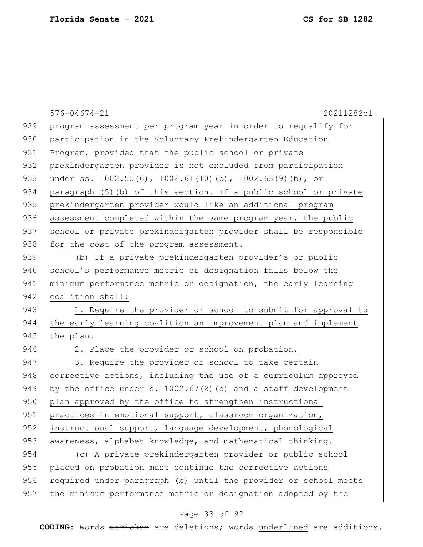576-04674-21 20211282c1 929 program assessment per program year in order to requalify for 930 participation in the Voluntary Prekindergarten Education 931 Program, provided that the public school or private 932 prekindergarten provider is not excluded from participation 933 under ss. 1002.55(6), 1002.61(10)(b), 1002.63(9)(b), or 934 paragraph (5)(b) of this section. If a public school or private 935 | prekindergarten provider would like an additional program 936 assessment completed within the same program year, the public 937 school or private prekindergarten provider shall be responsible 938 for the cost of the program assessment. 939 (b) If a private prekindergarten provider's or public 940 school's performance metric or designation falls below the 941 | minimum performance metric or designation, the early learning 942 coalition shall: 943 1. Require the provider or school to submit for approval to 944 the early learning coalition an improvement plan and implement 945 the plan. 946 2. Place the provider or school on probation. 947 3. Require the provider or school to take certain 948 corrective actions, including the use of a curriculum approved 949 by the office under s.  $1002.67(2)(c)$  and a staff development 950 plan approved by the office to strengthen instructional 951 practices in emotional support, classroom organization, 952 instructional support, language development, phonological 953 awareness, alphabet knowledge, and mathematical thinking. 954 (c) A private prekindergarten provider or public school 955 placed on probation must continue the corrective actions 956 required under paragraph (b) until the provider or school meets 957 the minimum performance metric or designation adopted by the

### Page 33 of 92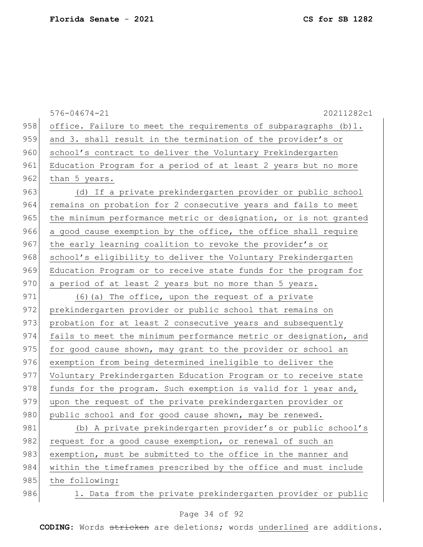576-04674-21 20211282c1 958 office. Failure to meet the requirements of subparagraphs (b)1. 959 and 3. shall result in the termination of the provider's or 960 school's contract to deliver the Voluntary Prekindergarten 961 Education Program for a period of at least 2 years but no more 962 than 5 years. 963 (d) If a private prekindergarten provider or public school 964 remains on probation for 2 consecutive years and fails to meet 965 the minimum performance metric or designation, or is not granted 966 a good cause exemption by the office, the office shall require 967 the early learning coalition to revoke the provider's or 968 school's eligibility to deliver the Voluntary Prekindergarten 969 Education Program or to receive state funds for the program for 970 a period of at least 2 years but no more than 5 years. 971 (6) (a) The office, upon the request of a private 972 prekindergarten provider or public school that remains on 973 probation for at least 2 consecutive years and subsequently 974 fails to meet the minimum performance metric or designation, and  $975$  for good cause shown, may grant to the provider or school an 976 exemption from being determined ineligible to deliver the 977 Voluntary Prekindergarten Education Program or to receive state 978 funds for the program. Such exemption is valid for 1 year and, 979 upon the request of the private prekindergarten provider or 980 public school and for good cause shown, may be renewed. 981 (b) A private prekindergarten provider's or public school's 982 request for a good cause exemption, or renewal of such an 983 exemption, must be submitted to the office in the manner and 984 within the timeframes prescribed by the office and must include 985 the following: 986 1. Data from the private prekindergarten provider or public

### Page 34 of 92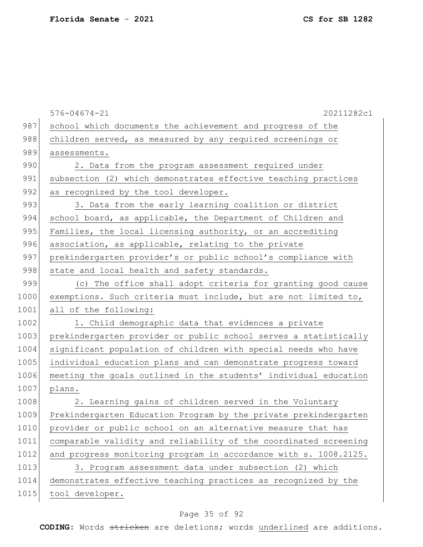|      | $576 - 04674 - 21$<br>20211282c1                                 |
|------|------------------------------------------------------------------|
| 987  | school which documents the achievement and progress of the       |
| 988  | children served, as measured by any required screenings or       |
| 989  | assessments.                                                     |
| 990  | 2. Data from the program assessment required under               |
| 991  | subsection (2) which demonstrates effective teaching practices   |
| 992  | as recognized by the tool developer.                             |
| 993  | 3. Data from the early learning coalition or district            |
| 994  | school board, as applicable, the Department of Children and      |
| 995  | Families, the local licensing authority, or an accrediting       |
| 996  | association, as applicable, relating to the private              |
| 997  | prekindergarten provider's or public school's compliance with    |
| 998  | state and local health and safety standards.                     |
| 999  | (c) The office shall adopt criteria for granting good cause      |
| 1000 | exemptions. Such criteria must include, but are not limited to,  |
| 1001 | all of the following:                                            |
| 1002 | 1. Child demographic data that evidences a private               |
| 1003 | prekindergarten provider or public school serves a statistically |
| 1004 | significant population of children with special needs who have   |
| 1005 | individual education plans and can demonstrate progress toward   |
| 1006 | meeting the goals outlined in the students' individual education |
| 1007 | plans.                                                           |
| 1008 | 2. Learning gains of children served in the Voluntary            |
| 1009 | Prekindergarten Education Program by the private prekindergarten |
| 1010 | provider or public school on an alternative measure that has     |
| 1011 | comparable validity and reliability of the coordinated screening |
| 1012 | and progress monitoring program in accordance with s. 1008.2125. |
| 1013 | 3. Program assessment data under subsection (2) which            |
| 1014 | demonstrates effective teaching practices as recognized by the   |
| 1015 | tool developer.                                                  |
|      |                                                                  |

# Page 35 of 92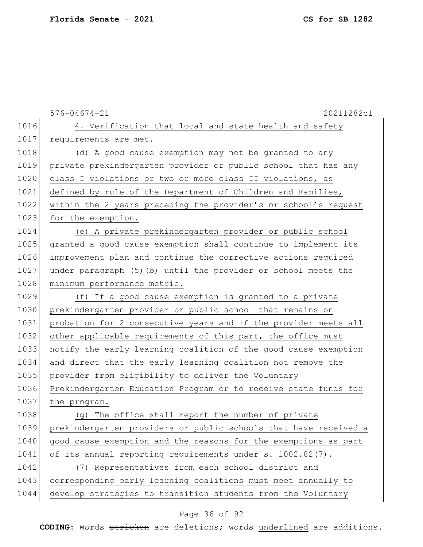|      | $576 - 04674 - 21$<br>20211282c1                                 |
|------|------------------------------------------------------------------|
| 1016 | 4. Verification that local and state health and safety           |
| 1017 | requirements are met.                                            |
| 1018 | (d) A good cause exemption may not be granted to any             |
| 1019 | private prekindergarten provider or public school that has any   |
| 1020 | class I violations or two or more class II violations, as        |
| 1021 | defined by rule of the Department of Children and Families,      |
| 1022 | within the 2 years preceding the provider's or school's request  |
| 1023 | for the exemption.                                               |
| 1024 | (e) A private prekindergarten provider or public school          |
| 1025 | granted a good cause exemption shall continue to implement its   |
| 1026 | improvement plan and continue the corrective actions required    |
| 1027 | under paragraph (5) (b) until the provider or school meets the   |
| 1028 | minimum performance metric.                                      |
| 1029 | (f) If a good cause exemption is granted to a private            |
| 1030 | prekindergarten provider or public school that remains on        |
| 1031 | probation for 2 consecutive years and if the provider meets all  |
| 1032 | other applicable requirements of this part, the office must      |
| 1033 | notify the early learning coalition of the good cause exemption  |
| 1034 | and direct that the early learning coalition not remove the      |
| 1035 | provider from eligibility to deliver the Voluntary               |
| 1036 | Prekindergarten Education Program or to receive state funds for  |
| 1037 | the program.                                                     |
| 1038 | (g) The office shall report the number of private                |
| 1039 | prekindergarten providers or public schools that have received a |
| 1040 | good cause exemption and the reasons for the exemptions as part  |
| 1041 | of its annual reporting requirements under s. 1002.82(7).        |
| 1042 | (7) Representatives from each school district and                |
| 1043 | corresponding early learning coalitions must meet annually to    |
| 1044 | develop strategies to transition students from the Voluntary     |

# Page 36 of 92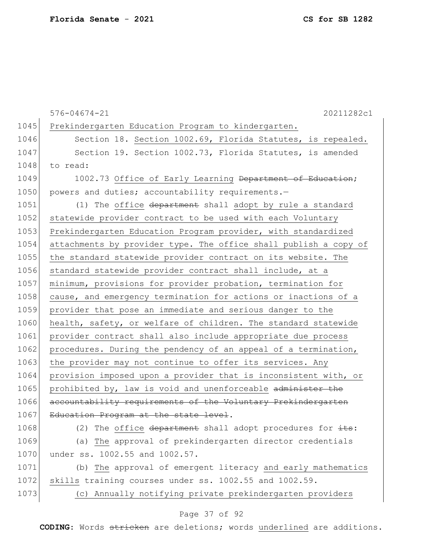|      | $576 - 04674 - 21$<br>20211282c1                                 |
|------|------------------------------------------------------------------|
| 1045 | Prekindergarten Education Program to kindergarten.               |
| 1046 | Section 18. Section 1002.69, Florida Statutes, is repealed.      |
| 1047 | Section 19. Section 1002.73, Florida Statutes, is amended        |
| 1048 | to read:                                                         |
| 1049 | 1002.73 Office of Early Learning Department of Education;        |
| 1050 | powers and duties; accountability requirements.-                 |
| 1051 | (1) The office department shall adopt by rule a standard         |
| 1052 | statewide provider contract to be used with each Voluntary       |
| 1053 | Prekindergarten Education Program provider, with standardized    |
| 1054 | attachments by provider type. The office shall publish a copy of |
| 1055 | the standard statewide provider contract on its website. The     |
| 1056 | standard statewide provider contract shall include, at a         |
| 1057 | minimum, provisions for provider probation, termination for      |
| 1058 | cause, and emergency termination for actions or inactions of a   |
| 1059 | provider that pose an immediate and serious danger to the        |
| 1060 | health, safety, or welfare of children. The standard statewide   |
| 1061 | provider contract shall also include appropriate due process     |
| 1062 | procedures. During the pendency of an appeal of a termination,   |
| 1063 | the provider may not continue to offer its services. Any         |
| 1064 | provision imposed upon a provider that is inconsistent with, or  |
| 1065 | prohibited by, law is void and unenforceable administer the      |
| 1066 | accountability requirements of the Voluntary Prekindergarten     |
| 1067 | Education Program at the state level                             |
| 1068 | The office department shall adopt procedures for its:<br>(2)     |
| 1069 | (a) The approval of prekindergarten director credentials         |
| 1070 | under ss. 1002.55 and 1002.57.                                   |
| 1071 | (b) The approval of emergent literacy and early mathematics      |
| 1072 | skills training courses under ss. 1002.55 and 1002.59.           |
| 1073 | (c) Annually notifying private prekindergarten providers         |

# Page 37 of 92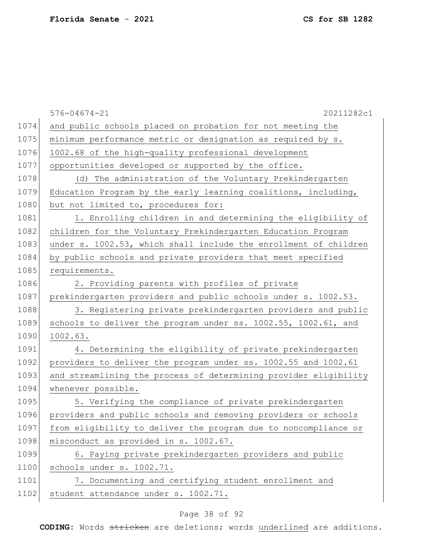|      | $576 - 04674 - 21$<br>20211282c1                                 |
|------|------------------------------------------------------------------|
| 1074 | and public schools placed on probation for not meeting the       |
| 1075 | minimum performance metric or designation as required by s.      |
| 1076 | 1002.68 of the high-quality professional development             |
| 1077 | opportunities developed or supported by the office.              |
| 1078 | (d) The administration of the Voluntary Prekindergarten          |
| 1079 | Education Program by the early learning coalitions, including,   |
| 1080 | but not limited to, procedures for:                              |
| 1081 | 1. Enrolling children in and determining the eligibility of      |
| 1082 | children for the Voluntary Prekindergarten Education Program     |
| 1083 | under s. 1002.53, which shall include the enrollment of children |
| 1084 | by public schools and private providers that meet specified      |
| 1085 | requirements.                                                    |
| 1086 | 2. Providing parents with profiles of private                    |
| 1087 | prekindergarten providers and public schools under s. 1002.53.   |
| 1088 | 3. Registering private prekindergarten providers and public      |
| 1089 | schools to deliver the program under ss. 1002.55, 1002.61, and   |
| 1090 | 1002.63.                                                         |
| 1091 | 4. Determining the eligibility of private prekindergarten        |
| 1092 | providers to deliver the program under ss. 1002.55 and 1002.61   |
| 1093 | and streamlining the process of determining provider eligibility |
| 1094 | whenever possible.                                               |
| 1095 | 5. Verifying the compliance of private prekindergarten           |
| 1096 | providers and public schools and removing providers or schools   |
| 1097 | from eligibility to deliver the program due to noncompliance or  |
| 1098 | misconduct as provided in s. 1002.67.                            |
| 1099 | 6. Paying private prekindergarten providers and public           |
| 1100 | schools under s. 1002.71.                                        |
| 1101 | 7. Documenting and certifying student enrollment and             |
| 1102 | student attendance under s. 1002.71.                             |

# Page 38 of 92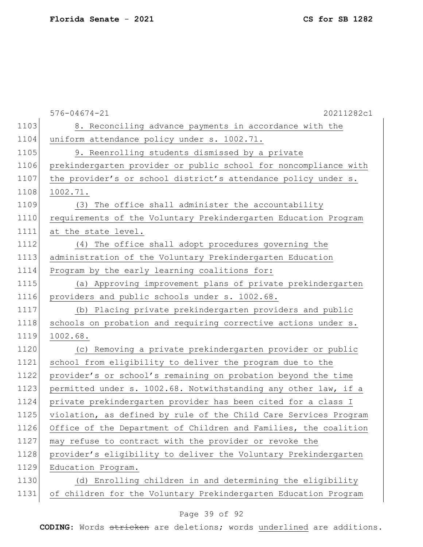|      | $576 - 04674 - 21$<br>20211282c1                                 |
|------|------------------------------------------------------------------|
| 1103 | 8. Reconciling advance payments in accordance with the           |
| 1104 | uniform attendance policy under s. 1002.71.                      |
| 1105 | 9. Reenrolling students dismissed by a private                   |
| 1106 | prekindergarten provider or public school for noncompliance with |
| 1107 | the provider's or school district's attendance policy under s.   |
| 1108 | 1002.71.                                                         |
| 1109 | (3) The office shall administer the accountability               |
| 1110 | requirements of the Voluntary Prekindergarten Education Program  |
| 1111 | at the state level.                                              |
| 1112 | (4) The office shall adopt procedures governing the              |
| 1113 | administration of the Voluntary Prekindergarten Education        |
| 1114 | Program by the early learning coalitions for:                    |
| 1115 | (a) Approving improvement plans of private prekindergarten       |
| 1116 | providers and public schools under s. 1002.68.                   |
| 1117 | (b) Placing private prekindergarten providers and public         |
| 1118 | schools on probation and requiring corrective actions under s.   |
| 1119 | 1002.68.                                                         |
| 1120 | (c) Removing a private prekindergarten provider or public        |
| 1121 | school from eligibility to deliver the program due to the        |
| 1122 | provider's or school's remaining on probation beyond the time    |
| 1123 | permitted under s. 1002.68. Notwithstanding any other law, if a  |
| 1124 | private prekindergarten provider has been cited for a class I    |
| 1125 | violation, as defined by rule of the Child Care Services Program |
| 1126 | Office of the Department of Children and Families, the coalition |
| 1127 | may refuse to contract with the provider or revoke the           |
| 1128 | provider's eligibility to deliver the Voluntary Prekindergarten  |
| 1129 | Education Program.                                               |
| 1130 | (d) Enrolling children in and determining the eligibility        |
| 1131 | of children for the Voluntary Prekindergarten Education Program  |

# Page 39 of 92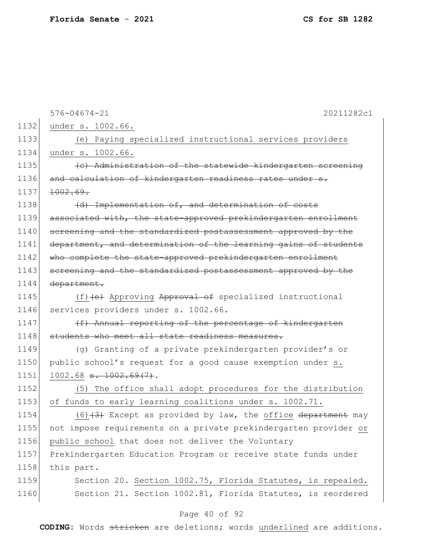| 1132 | $576 - 04674 - 21$<br>20211282c1                                 |
|------|------------------------------------------------------------------|
|      | under s. 1002.66.                                                |
| 1133 | (e) Paying specialized instructional services providers          |
| 1134 | under s. 1002.66.                                                |
| 1135 | (e) Administration of the statewide kindergarten screening       |
| 1136 | and calculation of kindergarten readiness rates under s.         |
| 1137 | 1002.69.                                                         |
| 1138 | (d) Implementation of, and determination of costs                |
| 1139 | associated with, the state-approved prekindergarten enrollment   |
| 1140 | screening and the standardized postassessment approved by the    |
| 1141 | department, and determination of the learning gains of students  |
| 1142 | who complete the state-approved prekindergarten enrollment       |
| 1143 | screening and the standardized postassessment approved by the    |
| 1144 | department.                                                      |
| 1145 | (f) (e) Approving Approval of specialized instructional          |
| 1146 | services providers under s. 1002.66.                             |
| 1147 | (f) Annual reporting of the percentage of kindergarten           |
| 1148 | students who meet all state readiness measures.                  |
| 1149 | (q) Granting of a private prekindergarten provider's or          |
| 1150 | public school's request for a good cause exemption under s.      |
| 1151 | $1002.68$ <del>s. <math>1002.69(7)</math></del> .                |
| 1152 | The office shall adopt procedures for the distribution<br>(5)    |
| 1153 | of funds to early learning coalitions under s. 1002.71.          |
| 1154 | $(6)$ $(3)$ Except as provided by law, the office department may |
| 1155 | not impose requirements on a private prekindergarten provider or |
| 1156 | public school that does not deliver the Voluntary                |
| 1157 | Prekindergarten Education Program or receive state funds under   |
| 1158 | this part.                                                       |
| 1159 | Section 20. Section 1002.75, Florida Statutes, is repealed.      |
| 1160 | Section 21. Section 1002.81, Florida Statutes, is reordered      |
|      |                                                                  |

# Page 40 of 92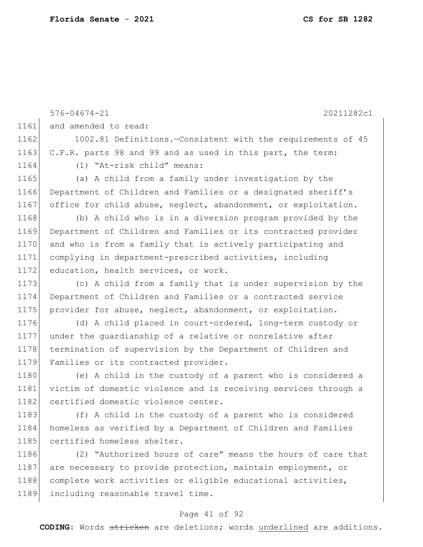576-04674-21 20211282c1 1161 and amended to read: 1162 1002.81 Definitions.—Consistent with the requirements of 45 1163 C.F.R. parts 98 and 99 and as used in this part, the term: 1164 (1) "At-risk child" means: 1165 (a) A child from a family under investigation by the 1166 Department of Children and Families or a designated sheriff's 1167 office for child abuse, neglect, abandonment, or exploitation. 1168 (b) A child who is in a diversion program provided by the 1169 Department of Children and Families or its contracted provider 1170 and who is from a family that is actively participating and 1171 complying in department-prescribed activities, including 1172 education, health services, or work. 1173 (c) A child from a family that is under supervision by the 1174 Department of Children and Families or a contracted service 1175 provider for abuse, neglect, abandonment, or exploitation. 1176 (d) A child placed in court-ordered, long-term custody or 1177 under the guardianship of a relative or nonrelative after 1178 termination of supervision by the Department of Children and 1179 Families or its contracted provider. 1180 (e) A child in the custody of a parent who is considered a 1181 victim of domestic violence and is receiving services through a 1182 certified domestic violence center. 1183 (f) A child in the custody of a parent who is considered 1184 homeless as verified by a Department of Children and Families 1185 certified homeless shelter. 1186 (2) "Authorized hours of care" means the hours of care that 1187 are necessary to provide protection, maintain employment, or 1188 complete work activities or eligible educational activities, 1189 including reasonable travel time.

#### Page 41 of 92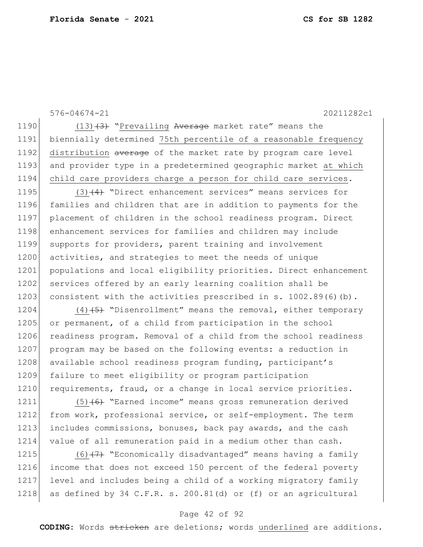576-04674-21 20211282c1

1190  $(13)$   $(3)$  "Prevailing Average market rate" means the 1191 biennially determined 75th percentile of a reasonable frequency 1192 distribution average of the market rate by program care level 1193 and provider type in a predetermined geographic market at which 1194 child care providers charge a person for child care services.

1195  $(3)$   $(4)$  "Direct enhancement services" means services for 1196 families and children that are in addition to payments for the 1197 placement of children in the school readiness program. Direct 1198 enhancement services for families and children may include 1199 supports for providers, parent training and involvement 1200 activities, and strategies to meet the needs of unique 1201 populations and local eligibility priorities. Direct enhancement 1202 services offered by an early learning coalition shall be 1203 consistent with the activities prescribed in s.  $1002.89(6)(b)$ .

1204 (4) $(5)$  "Disenrollment" means the removal, either temporary 1205 or permanent, of a child from participation in the school 1206 readiness program. Removal of a child from the school readiness 1207 program may be based on the following events: a reduction in 1208 available school readiness program funding, participant's 1209 failure to meet eligibility or program participation 1210 requirements, fraud, or a change in local service priorities.

1211 (5)<del>(6)</del> "Earned income" means gross remuneration derived 1212 from work, professional service, or self-employment. The term 1213 includes commissions, bonuses, back pay awards, and the cash 1214 value of all remuneration paid in a medium other than cash.

 $(6)$   $(7)$  "Economically disadvantaged" means having a family income that does not exceed 150 percent of the federal poverty level and includes being a child of a working migratory family 1218 as defined by 34 C.F.R. s. 200.81(d) or (f) or an agricultural

### Page 42 of 92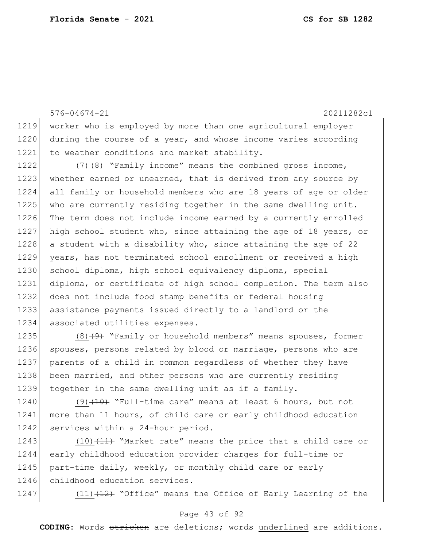576-04674-21 20211282c1 1219 worker who is employed by more than one agricultural employer 1220 during the course of a year, and whose income varies according 1221 to weather conditions and market stability. 1222  $(7)$   $(8)$  "Family income" means the combined gross income, 1223 whether earned or unearned, that is derived from any source by 1224 all family or household members who are 18 years of age or older 1225 who are currently residing together in the same dwelling unit. 1226 The term does not include income earned by a currently enrolled 1227 high school student who, since attaining the age of 18 years, or 1228 a student with a disability who, since attaining the age of 22 1229 years, has not terminated school enrollment or received a high 1230 school diploma, high school equivalency diploma, special 1231 diploma, or certificate of high school completion. The term also 1232 does not include food stamp benefits or federal housing 1233 assistance payments issued directly to a landlord or the 1234 associated utilities expenses. 1235 (8) $(9)$  "Family or household members" means spouses, former

1236 spouses, persons related by blood or marriage, persons who are 1237 parents of a child in common regardless of whether they have 1238 been married, and other persons who are currently residing 1239 together in the same dwelling unit as if a family.

1240  $(9)$   $(10)$  "Full-time care" means at least 6 hours, but not 1241 more than 11 hours, of child care or early childhood education 1242 services within a 24-hour period.

1243  $(10)$   $(11)$  "Market rate" means the price that a child care or 1244 early childhood education provider charges for full-time or 1245 part-time daily, weekly, or monthly child care or early 1246 childhood education services.

1247 (11) $(11)$   $(12)$  "Office" means the Office of Early Learning of the

#### Page 43 of 92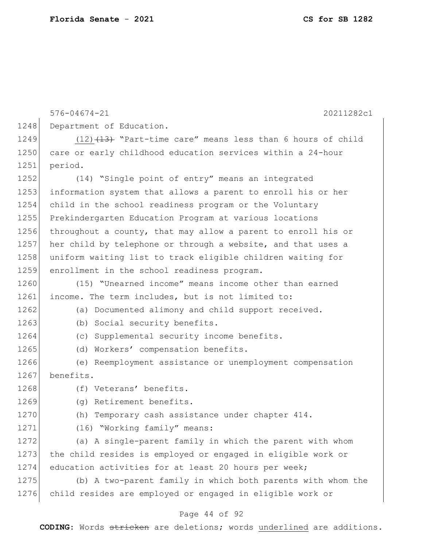576-04674-21 20211282c1 1248 Department of Education. 1249  $(12)$   $(13)$   $(13)$  "Part-time care" means less than 6 hours of child 1250 care or early childhood education services within a 24-hour 1251 period. 1252 (14) "Single point of entry" means an integrated 1253 information system that allows a parent to enroll his or her 1254 child in the school readiness program or the Voluntary 1255 Prekindergarten Education Program at various locations 1256 throughout a county, that may allow a parent to enroll his or 1257 her child by telephone or through a website, and that uses a 1258 uniform waiting list to track eligible children waiting for 1259 enrollment in the school readiness program. 1260 (15) "Unearned income" means income other than earned 1261 income. The term includes, but is not limited to: 1262 (a) Documented alimony and child support received. 1263 (b) Social security benefits. 1264 (c) Supplemental security income benefits. 1265 (d) Workers' compensation benefits. 1266 (e) Reemployment assistance or unemployment compensation 1267 benefits. 1268 (f) Veterans' benefits. 1269 (g) Retirement benefits. 1270 (h) Temporary cash assistance under chapter 414. 1271 (16) "Working family" means: 1272 (a) A single-parent family in which the parent with whom 1273 the child resides is employed or engaged in eligible work or 1274 education activities for at least 20 hours per week; 1275 (b) A two-parent family in which both parents with whom the 1276 child resides are employed or engaged in eligible work or

#### Page 44 of 92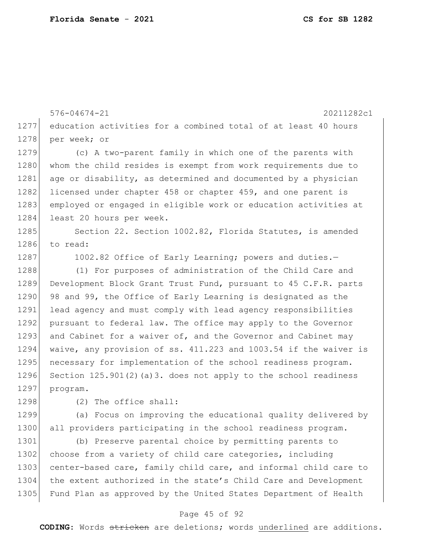576-04674-21 20211282c1 1277 education activities for a combined total of at least 40 hours 1278 per week; or 1279 (c) A two-parent family in which one of the parents with 1280 whom the child resides is exempt from work requirements due to 1281 age or disability, as determined and documented by a physician 1282 licensed under chapter 458 or chapter 459, and one parent is 1283 employed or engaged in eligible work or education activities at 1284 least 20 hours per week. 1285 Section 22. Section 1002.82, Florida Statutes, is amended 1286 to read: 1287 1002.82 Office of Early Learning; powers and duties. 1288 (1) For purposes of administration of the Child Care and 1289 Development Block Grant Trust Fund, pursuant to 45 C.F.R. parts 1290 98 and 99, the Office of Early Learning is designated as the 1291 lead agency and must comply with lead agency responsibilities 1292 pursuant to federal law. The office may apply to the Governor 1293 and Cabinet for a waiver of, and the Governor and Cabinet may 1294 waive, any provision of ss. 411.223 and 1003.54 if the waiver is 1295 necessary for implementation of the school readiness program. 1296 Section 125.901(2)(a)3. does not apply to the school readiness 1297 program. 1298 (2) The office shall: 1299 (a) Focus on improving the educational quality delivered by 1300 all providers participating in the school readiness program. 1301 (b) Preserve parental choice by permitting parents to

1302 choose from a variety of child care categories, including 1303 center-based care, family child care, and informal child care to 1304 the extent authorized in the state's Child Care and Development 1305 Fund Plan as approved by the United States Department of Health

#### Page 45 of 92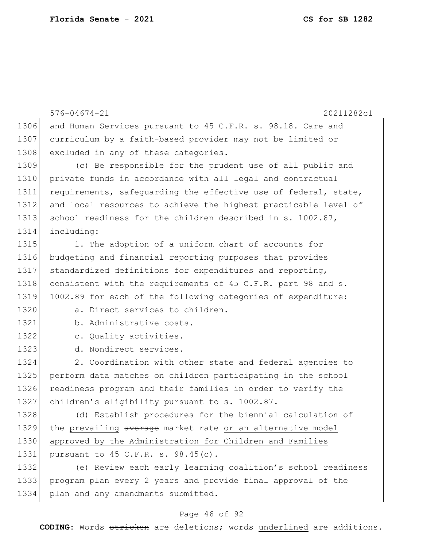576-04674-21 20211282c1 1306 and Human Services pursuant to 45 C.F.R. s. 98.18. Care and 1307 curriculum by a faith-based provider may not be limited or 1308 excluded in any of these categories. 1309 (c) Be responsible for the prudent use of all public and 1310 private funds in accordance with all legal and contractual 1311 requirements, safequarding the effective use of federal, state, 1312 and local resources to achieve the highest practicable level of 1313 school readiness for the children described in s. 1002.87, 1314 including: 1315 1. The adoption of a uniform chart of accounts for 1316 budgeting and financial reporting purposes that provides 1317 standardized definitions for expenditures and reporting, 1318 consistent with the requirements of 45 C.F.R. part 98 and s. 1319 1002.89 for each of the following categories of expenditure: 1320 a. Direct services to children. 1321 b. Administrative costs. 1322 c. Quality activities. 1323 d. Nondirect services. 1324 2. Coordination with other state and federal agencies to 1325 perform data matches on children participating in the school 1326 readiness program and their families in order to verify the 1327 children's eligibility pursuant to s. 1002.87. 1328 (d) Establish procedures for the biennial calculation of 1329 the prevailing average market rate or an alternative model 1330 approved by the Administration for Children and Families 1331 pursuant to 45 C.F.R. s. 98.45(c). 1332 (e) Review each early learning coalition's school readiness

1333 program plan every 2 years and provide final approval of the 1334 plan and any amendments submitted.

### Page 46 of 92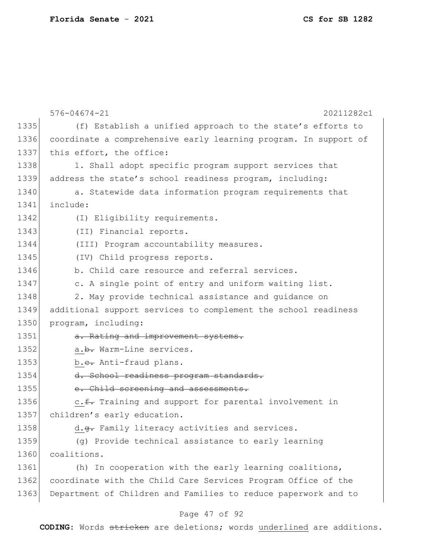|      | $576 - 04674 - 21$<br>20211282c1                                 |
|------|------------------------------------------------------------------|
| 1335 | (f) Establish a unified approach to the state's efforts to       |
| 1336 | coordinate a comprehensive early learning program. In support of |
| 1337 | this effort, the office:                                         |
| 1338 | 1. Shall adopt specific program support services that            |
| 1339 | address the state's school readiness program, including:         |
| 1340 | a. Statewide data information program requirements that          |
| 1341 | include:                                                         |
| 1342 | (I) Eligibility requirements.                                    |
| 1343 | (II) Financial reports.                                          |
| 1344 | (III) Program accountability measures.                           |
| 1345 | (IV) Child progress reports.                                     |
| 1346 | b. Child care resource and referral services.                    |
| 1347 | c. A single point of entry and uniform waiting list.             |
| 1348 | 2. May provide technical assistance and quidance on              |
| 1349 | additional support services to complement the school readiness   |
| 1350 | program, including:                                              |
| 1351 | a. Rating and improvement systems.                               |
| 1352 | a.b. Warm-Line services.                                         |
| 1353 | b.e. Anti-fraud plans.                                           |
| 1354 | d. School readiness program standards.                           |
| 1355 | e. Child screening and assessments.                              |
| 1356 | c.f. Training and support for parental involvement in            |
| 1357 | children's early education.                                      |
| 1358 | d.g. Family literacy activities and services.                    |
| 1359 | (g) Provide technical assistance to early learning               |
| 1360 | coalitions.                                                      |
| 1361 | (h) In cooperation with the early learning coalitions,           |
| 1362 | coordinate with the Child Care Services Program Office of the    |
| 1363 | Department of Children and Families to reduce paperwork and to   |

# Page 47 of 92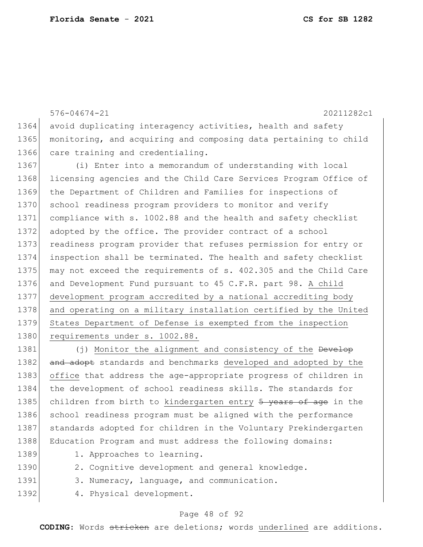576-04674-21 20211282c1 1364 avoid duplicating interagency activities, health and safety 1365 monitoring, and acquiring and composing data pertaining to child 1366 care training and credentialing. 1367 (i) Enter into a memorandum of understanding with local 1368 licensing agencies and the Child Care Services Program Office of 1369 the Department of Children and Families for inspections of 1370 school readiness program providers to monitor and verify 1371 compliance with s. 1002.88 and the health and safety checklist 1372 adopted by the office. The provider contract of a school 1373 readiness program provider that refuses permission for entry or 1374 inspection shall be terminated. The health and safety checklist 1375 may not exceed the requirements of s. 402.305 and the Child Care 1376 and Development Fund pursuant to 45 C.F.R. part 98. A child 1377 development program accredited by a national accrediting body 1378 and operating on a military installation certified by the United 1379 States Department of Defense is exempted from the inspection 1380 requirements under s. 1002.88. 1381 (j) Monitor the alignment and consistency of the Develop 1382 and adopt standards and benchmarks developed and adopted by the 1383 office that address the age-appropriate progress of children in

1384 the development of school readiness skills. The standards for 1385 children from birth to kindergarten entry 5 years of age in the 1386 school readiness program must be aligned with the performance 1387 standards adopted for children in the Voluntary Prekindergarten 1388 Education Program and must address the following domains:

- 
- 1389 1. Approaches to learning.
- 1390 2. Cognitive development and general knowledge.
- 1391 3. Numeracy, language, and communication.
- 1392 4. Physical development.

### Page 48 of 92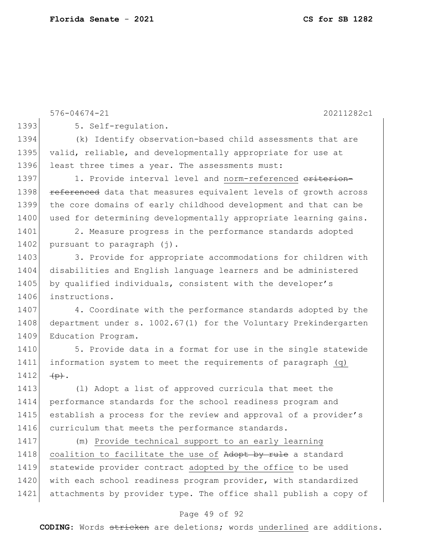576-04674-21 20211282c1 1393 5. Self-regulation. 1394 (k) Identify observation-based child assessments that are 1395 valid, reliable, and developmentally appropriate for use at 1396 least three times a year. The assessments must: 1397 1. Provide interval level and norm-referenced criterion-1398 **referenced** data that measures equivalent levels of growth across 1399 the core domains of early childhood development and that can be 1400 used for determining developmentally appropriate learning gains. 1401 2. Measure progress in the performance standards adopted 1402 pursuant to paragraph (j). 1403 3. Provide for appropriate accommodations for children with 1404 disabilities and English language learners and be administered 1405 by qualified individuals, consistent with the developer's 1406 instructions. 1407 4. Coordinate with the performance standards adopted by the 1408 department under s. 1002.67(1) for the Voluntary Prekindergarten 1409 Education Program. 1410 5. Provide data in a format for use in the single statewide 1411 information system to meet the requirements of paragraph (q)  $1412$   $\leftrightarrow$ . 1413 (l) Adopt a list of approved curricula that meet the 1414 performance standards for the school readiness program and 1415 establish a process for the review and approval of a provider's 1416 curriculum that meets the performance standards. 1417 (m) Provide technical support to an early learning 1418 coalition to facilitate the use of Adopt by rule a standard 1419 statewide provider contract adopted by the office to be used 1420 with each school readiness program provider, with standardized 1421 attachments by provider type. The office shall publish a copy of

### Page 49 of 92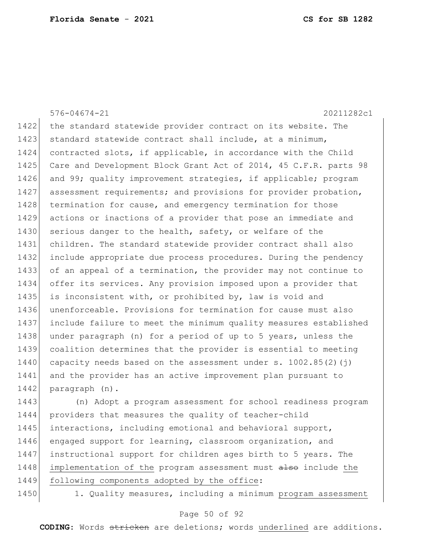576-04674-21 20211282c1 1422 the standard statewide provider contract on its website. The 1423 standard statewide contract shall include, at a minimum, 1424 contracted slots, if applicable, in accordance with the Child 1425| Care and Development Block Grant Act of 2014, 45 C.F.R. parts 98 1426 and 99; quality improvement strategies, if applicable; program 1427 assessment requirements; and provisions for provider probation, 1428 termination for cause, and emergency termination for those 1429 actions or inactions of a provider that pose an immediate and 1430 serious danger to the health, safety, or welfare of the 1431 children. The standard statewide provider contract shall also 1432 include appropriate due process procedures. During the pendency 1433 of an appeal of a termination, the provider may not continue to 1434 offer its services. Any provision imposed upon a provider that 1435 is inconsistent with, or prohibited by, law is void and 1436 unenforceable. Provisions for termination for cause must also 1437 include failure to meet the minimum quality measures established 1438 under paragraph (n) for a period of up to 5 years, unless the 1439 coalition determines that the provider is essential to meeting 1440 capacity needs based on the assessment under  $s. 1002.85(2)(j)$ 1441 and the provider has an active improvement plan pursuant to 1442 paragraph (n). 1443 (n) Adopt a program assessment for school readiness program

1444 providers that measures the quality of teacher-child 1445 interactions, including emotional and behavioral support, 1446 engaged support for learning, classroom organization, and 1447 instructional support for children ages birth to 5 years. The 1448 implementation of the program assessment must also include the 1449 following components adopted by the office:

1450 1. Quality measures, including a minimum program assessment

### Page 50 of 92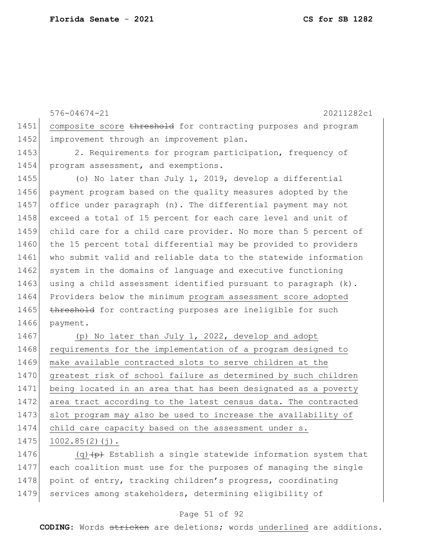576-04674-21 20211282c1 1451 composite score threshold for contracting purposes and program 1452 improvement through an improvement plan. 1453 2. Requirements for program participation, frequency of 1454 program assessment, and exemptions. 1455 (o) No later than July 1, 2019, develop a differential 1456 payment program based on the quality measures adopted by the 1457 office under paragraph (n). The differential payment may not 1458 exceed a total of 15 percent for each care level and unit of 1459 child care for a child care provider. No more than 5 percent of 1460 the 15 percent total differential may be provided to providers 1461 who submit valid and reliable data to the statewide information 1462 system in the domains of language and executive functioning 1463 using a child assessment identified pursuant to paragraph  $(k)$ . 1464 Providers below the minimum program assessment score adopted 1465 threshold for contracting purposes are ineligible for such 1466 payment. 1467 (p) No later than July 1, 2022, develop and adopt 1468 requirements for the implementation of a program designed to 1469 make available contracted slots to serve children at the 1470 greatest risk of school failure as determined by such children 1471 being located in an area that has been designated as a poverty 1472 area tract according to the latest census data. The contracted 1473 slot program may also be used to increase the availability of 1474 child care capacity based on the assessment under s.  $1475$  1002.85(2)(j).

1476  $(q)$   $\leftrightarrow$  Establish a single statewide information system that 1477 each coalition must use for the purposes of managing the single 1478 point of entry, tracking children's progress, coordinating 1479 services among stakeholders, determining eligibility of

### Page 51 of 92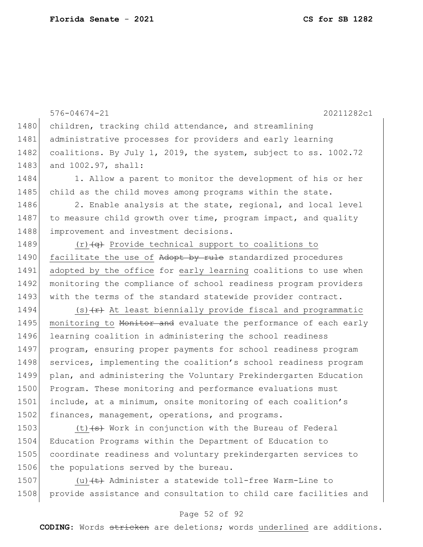576-04674-21 20211282c1 1480 children, tracking child attendance, and streamlining 1481 administrative processes for providers and early learning 1482 coalitions. By July 1, 2019, the system, subject to ss. 1002.72 1483 and 1002.97, shall: 1484 1. Allow a parent to monitor the development of his or her 1485 child as the child moves among programs within the state. 1486 2. Enable analysis at the state, regional, and local level 1487 to measure child growth over time, program impact, and quality 1488 improvement and investment decisions. 1489  $(r)$  (c)  $\left(\frac{1}{q}\right)$  Provide technical support to coalitions to 1490 facilitate the use of Adopt by rule standardized procedures 1491 adopted by the office for early learning coalitions to use when 1492 monitoring the compliance of school readiness program providers 1493 with the terms of the standard statewide provider contract. 1494  $(s)$   $\leftarrow$  At least biennially provide fiscal and programmatic 1495 monitoring to Monitor and evaluate the performance of each early 1496 learning coalition in administering the school readiness 1497 program, ensuring proper payments for school readiness program 1498 services, implementing the coalition's school readiness program 1499 plan, and administering the Voluntary Prekindergarten Education 1500 Program. These monitoring and performance evaluations must 1501 include, at a minimum, onsite monitoring of each coalition's 1502 finances, management, operations, and programs.

 $(t)$   $\left( t \right)$  Work in conjunction with the Bureau of Federal Education Programs within the Department of Education to coordinate readiness and voluntary prekindergarten services to 1506 the populations served by the bureau.

1507 (u) $\leftarrow$  Administer a statewide toll-free Warm-Line to 1508 provide assistance and consultation to child care facilities and

### Page 52 of 92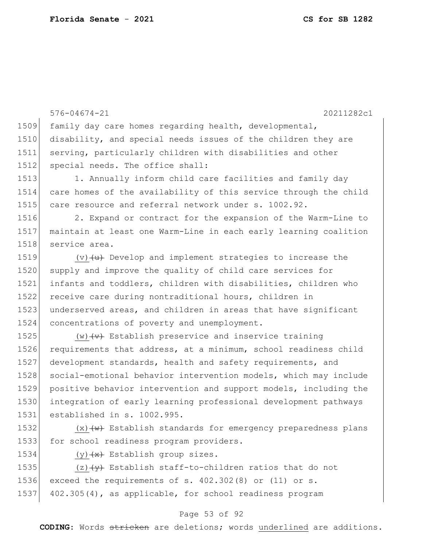576-04674-21 20211282c1 1509 family day care homes regarding health, developmental, 1510 disability, and special needs issues of the children they are 1511 serving, particularly children with disabilities and other 1512 special needs. The office shall: 1513 1. Annually inform child care facilities and family day 1514 care homes of the availability of this service through the child 1515 care resource and referral network under s. 1002.92. 1516 2. Expand or contract for the expansion of the Warm-Line to 1517 maintain at least one Warm-Line in each early learning coalition 1518 service area. 1519  $(v)$   $\left\{\text{u}\right\}$  Develop and implement strategies to increase the 1520 supply and improve the quality of child care services for 1521 infants and toddlers, children with disabilities, children who 1522 receive care during nontraditional hours, children in 1523 underserved areas, and children in areas that have significant 1524 concentrations of poverty and unemployment. 1525 (w)  $\left\langle w\right\rangle$  Establish preservice and inservice training 1526 requirements that address, at a minimum, school readiness child 1527 development standards, health and safety requirements, and 1528 social-emotional behavior intervention models, which may include 1529 positive behavior intervention and support models, including the 1530 integration of early learning professional development pathways 1531 established in s. 1002.995. 1532  $(x)$   $\leftarrow$  Establish standards for emergency preparedness plans

1534 (y) $\left\langle \frac{1}{x} \right\rangle$  Establish group sizes.

1533 for school readiness program providers.

1535  $(z)$   $\left\{\forall y\right\}$  Establish staff-to-children ratios that do not 1536 exceed the requirements of s. 402.302(8) or (11) or s. 1537 402.305(4), as applicable, for school readiness program

### Page 53 of 92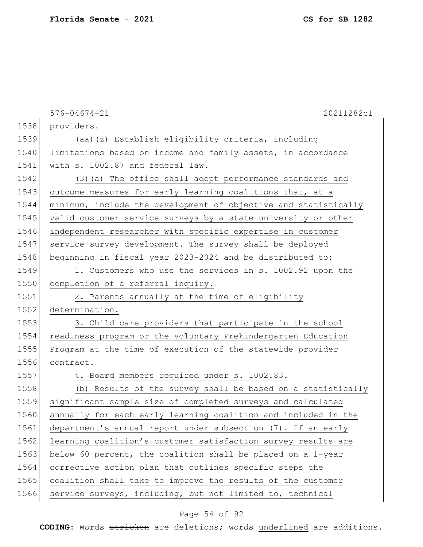576-04674-21 20211282c1 1538 providers. 1539 (aa) $\leftarrow$  Establish eligibility criteria, including 1540 limitations based on income and family assets, in accordance 1541 with s. 1002.87 and federal law. 1542 (3) (a) The office shall adopt performance standards and 1543 outcome measures for early learning coalitions that, at a 1544 minimum, include the development of objective and statistically 1545 valid customer service surveys by a state university or other 1546 independent researcher with specific expertise in customer 1547 service survey development. The survey shall be deployed 1548 beginning in fiscal year 2023-2024 and be distributed to: 1549 1. Customers who use the services in s. 1002.92 upon the 1550 completion of a referral inquiry. 1551 2. Parents annually at the time of eligibility 1552 determination. 1553 3. Child care providers that participate in the school 1554 readiness program or the Voluntary Prekindergarten Education 1555 Program at the time of execution of the statewide provider 1556 contract. 1557 4. Board members required under s. 1002.83. 1558 (b) Results of the survey shall be based on a statistically 1559 significant sample size of completed surveys and calculated 1560 annually for each early learning coalition and included in the 1561 department's annual report under subsection (7). If an early 1562 learning coalition's customer satisfaction survey results are 1563 below 60 percent, the coalition shall be placed on a 1-year 1564 corrective action plan that outlines specific steps the 1565 coalition shall take to improve the results of the customer

### 1566 service surveys, including, but not limited to, technical

### Page 54 of 92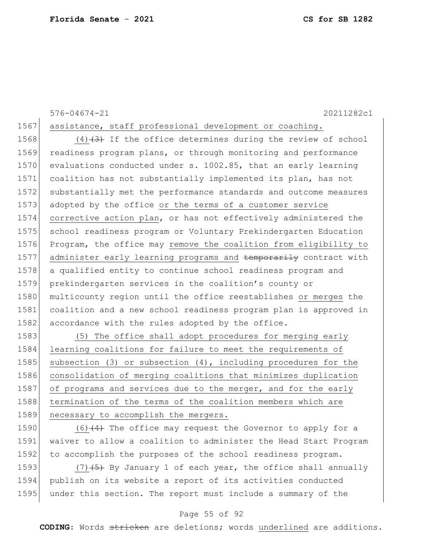# 576-04674-21 20211282c1 1567 assistance, staff professional development or coaching.

 $(4)$   $(3)$  If the office determines during the review of school 1569 readiness program plans, or through monitoring and performance 1570 evaluations conducted under s. 1002.85, that an early learning coalition has not substantially implemented its plan, has not substantially met the performance standards and outcome measures adopted by the office or the terms of a customer service corrective action plan, or has not effectively administered the school readiness program or Voluntary Prekindergarten Education Program, the office may remove the coalition from eligibility to 1577 administer early learning programs and temporarily contract with a qualified entity to continue school readiness program and prekindergarten services in the coalition's county or 1580 multicounty region until the office reestablishes or merges the coalition and a new school readiness program plan is approved in 1582 accordance with the rules adopted by the office.

1583 (5) The office shall adopt procedures for merging early 1584 learning coalitions for failure to meet the requirements of 1585 subsection (3) or subsection (4), including procedures for the 1586 consolidation of merging coalitions that minimizes duplication 1587 of programs and services due to the merger, and for the early 1588 termination of the terms of the coalition members which are 1589 necessary to accomplish the mergers.

1590  $(6)$   $(4)$  The office may request the Governor to apply for a 1591 waiver to allow a coalition to administer the Head Start Program 1592 to accomplish the purposes of the school readiness program.

1593 (7) $(7)$  (5) By January 1 of each year, the office shall annually 1594 publish on its website a report of its activities conducted 1595 under this section. The report must include a summary of the

### Page 55 of 92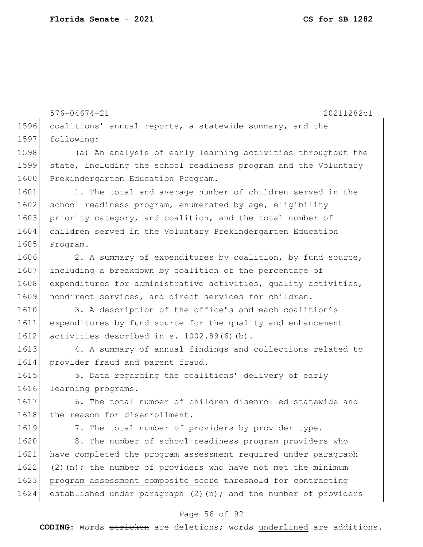576-04674-21 20211282c1 1596 coalitions' annual reports, a statewide summary, and the 1597 following: 1598 (a) An analysis of early learning activities throughout the 1599 state, including the school readiness program and the Voluntary 1600 Prekindergarten Education Program. 1601 1. The total and average number of children served in the 1602 school readiness program, enumerated by age, eligibility 1603 priority category, and coalition, and the total number of 1604 children served in the Voluntary Prekindergarten Education 1605 Program. 1606 2. A summary of expenditures by coalition, by fund source, 1607 including a breakdown by coalition of the percentage of 1608 expenditures for administrative activities, quality activities, 1609 nondirect services, and direct services for children. 1610 3. A description of the office's and each coalition's 1611 expenditures by fund source for the quality and enhancement 1612 activities described in s. 1002.89(6)(b). 1613 4. A summary of annual findings and collections related to 1614 provider fraud and parent fraud. 1615 5. Data regarding the coalitions' delivery of early 1616 learning programs. 1617 6. The total number of children disenrolled statewide and 1618 the reason for disenrollment. 1619 7. The total number of providers by provider type. 1620 8. The number of school readiness program providers who 1621 have completed the program assessment required under paragraph 1622 (2)(n); the number of providers who have not met the minimum 1623 program assessment composite score threshold for contracting 1624 established under paragraph  $(2)(n)$ ; and the number of providers

### Page 56 of 92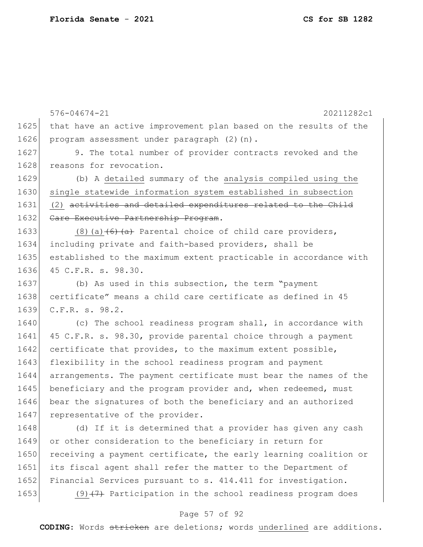576-04674-21 20211282c1 1625 that have an active improvement plan based on the results of the 1626 program assessment under paragraph (2)(n). 1627 9. The total number of provider contracts revoked and the 1628 reasons for revocation. 1629 (b) A detailed summary of the analysis compiled using the 1630 single statewide information system established in subsection 1631 (2) activities and detailed expenditures related to the Child 1632 Care Executive Partnership Program. 1633 (8)(a) $\left(6\right)$  (a)  $\left(6\right)$  Parental choice of child care providers, 1634 including private and faith-based providers, shall be 1635 established to the maximum extent practicable in accordance with 1636 45 C.F.R. s. 98.30. 1637 (b) As used in this subsection, the term "payment 1638 certificate" means a child care certificate as defined in 45 1639 C.F.R. s. 98.2. 1640 (c) The school readiness program shall, in accordance with 1641 45 C.F.R. s. 98.30, provide parental choice through a payment 1642 certificate that provides, to the maximum extent possible, 1643 flexibility in the school readiness program and payment 1644 arrangements. The payment certificate must bear the names of the 1645 beneficiary and the program provider and, when redeemed, must 1646 bear the signatures of both the beneficiary and an authorized 1647 representative of the provider. 1648 (d) If it is determined that a provider has given any cash 1649 or other consideration to the beneficiary in return for 1650 receiving a payment certificate, the early learning coalition or 1651 its fiscal agent shall refer the matter to the Department of 1652 Financial Services pursuant to s. 414.411 for investigation. 1653 (9) $\left(7\right)$  Participation in the school readiness program does

#### Page 57 of 92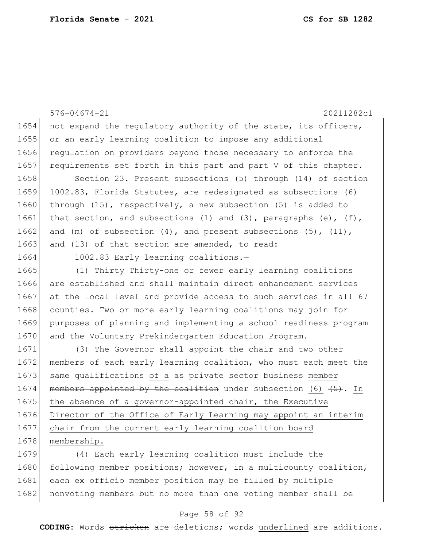576-04674-21 20211282c1 1654 not expand the regulatory authority of the state, its officers, 1655 or an early learning coalition to impose any additional 1656 regulation on providers beyond those necessary to enforce the 1657 requirements set forth in this part and part V of this chapter. 1658 Section 23. Present subsections (5) through (14) of section 1659 1002.83, Florida Statutes, are redesignated as subsections (6) 1660 through (15), respectively, a new subsection (5) is added to 1661 that section, and subsections (1) and (3), paragraphs (e),  $(f)$ , 1662 and (m) of subsection  $(4)$ , and present subsections  $(5)$ ,  $(11)$ , 1663 and (13) of that section are amended, to read: 1664 1002.83 Early learning coalitions.-1665 (1) Thirty Thirty-one or fewer early learning coalitions 1666 are established and shall maintain direct enhancement services 1667 at the local level and provide access to such services in all 67 1668 counties. Two or more early learning coalitions may join for 1669 purposes of planning and implementing a school readiness program 1670 and the Voluntary Prekindergarten Education Program. 1671 (3) The Governor shall appoint the chair and two other 1672 members of each early learning coalition, who must each meet the 1673 same qualifications of a as private sector business member 1674 members appointed by the coalition under subsection (6)  $(5)$ . In 1675 the absence of a governor-appointed chair, the Executive 1676 Director of the Office of Early Learning may appoint an interim 1677 chair from the current early learning coalition board 1678 membership.

1679 (4) Each early learning coalition must include the 1680 following member positions; however, in a multicounty coalition, 1681 each ex officio member position may be filled by multiple 1682 nonvoting members but no more than one voting member shall be

### Page 58 of 92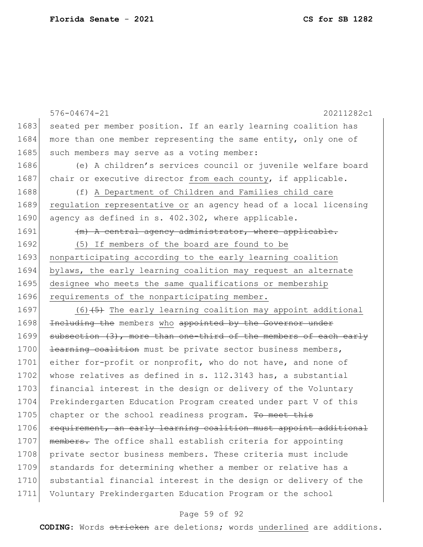|      | 20211282c1<br>$576 - 04674 - 21$                                 |
|------|------------------------------------------------------------------|
| 1683 | seated per member position. If an early learning coalition has   |
| 1684 | more than one member representing the same entity, only one of   |
| 1685 | such members may serve as a voting member:                       |
| 1686 | (e) A children's services council or juvenile welfare board      |
| 1687 | chair or executive director from each county, if applicable.     |
| 1688 | (f) A Department of Children and Families child care             |
| 1689 | regulation representative or an agency head of a local licensing |
| 1690 | agency as defined in s. 402.302, where applicable.               |
| 1691 | (m) A central agency administrator, where applicable.            |
| 1692 | (5) If members of the board are found to be                      |
| 1693 | nonparticipating according to the early learning coalition       |
| 1694 | bylaws, the early learning coalition may request an alternate    |
| 1695 | designee who meets the same qualifications or membership         |
| 1696 | requirements of the nonparticipating member.                     |
| 1697 | $(6)$ $(5)$ The early learning coalition may appoint additional  |
| 1698 | Including the members who appointed by the Governor under        |
| 1699 | subsection (3), more than one-third of the members of each early |
| 1700 | learning coalition must be private sector business members,      |
| 1701 | either for-profit or nonprofit, who do not have, and none of     |
| 1702 | whose relatives as defined in s. $112.3143$ has, a substantial   |
| 1703 | financial interest in the design or delivery of the Voluntary    |
| 1704 | Prekindergarten Education Program created under part V of this   |
| 1705 | chapter or the school readiness program. To meet this            |
| 1706 | requirement, an early learning coalition must appoint additional |
| 1707 | members. The office shall establish criteria for appointing      |
| 1708 | private sector business members. These criteria must include     |
| 1709 | standards for determining whether a member or relative has a     |
| 1710 | substantial financial interest in the design or delivery of the  |
| 1711 | Voluntary Prekindergarten Education Program or the school        |

# Page 59 of 92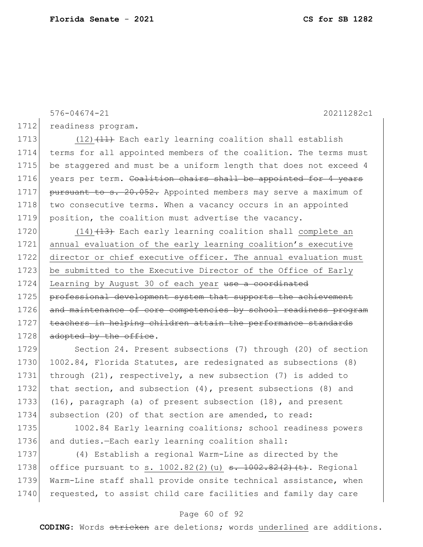576-04674-21 20211282c1

1712 readiness program.

1713  $(12)$   $(11)$  Each early learning coalition shall establish 1714 terms for all appointed members of the coalition. The terms must 1715 be staggered and must be a uniform length that does not exceed 4 1716 years per term. Coalition chairs shall be appointed for 4 years 1717 pursuant to s. 20.052. Appointed members may serve a maximum of 1718 two consecutive terms. When a vacancy occurs in an appointed 1719 position, the coalition must advertise the vacancy.

1720  $(14)$   $(13)$  Each early learning coalition shall complete an 1721 annual evaluation of the early learning coalition's executive 1722 director or chief executive officer. The annual evaluation must 1723 be submitted to the Executive Director of the Office of Early 1724 Learning by August 30 of each year use a coordinated 1725 professional development system that supports the achievement 1726 and maintenance of core competencies by school readiness program 1727 teachers in helping children attain the performance standards 1728 adopted by the office.

1729 Section 24. Present subsections (7) through (20) of section 1730 1002.84, Florida Statutes, are redesignated as subsections (8) 1731 through (21), respectively, a new subsection (7) is added to 1732 that section, and subsection (4), present subsections (8) and 1733 (16), paragraph (a) of present subsection (18), and present 1734 subsection (20) of that section are amended, to read:

1735 1002.84 Early learning coalitions; school readiness powers 1736 and duties.—Each early learning coalition shall:

1737 (4) Establish a regional Warm-Line as directed by the 1738 office pursuant to s. 1002.82(2)(u)  $\frac{1002.82(2)}{t}$ . Regional 1739 Warm-Line staff shall provide onsite technical assistance, when 1740 requested, to assist child care facilities and family day care

#### Page 60 of 92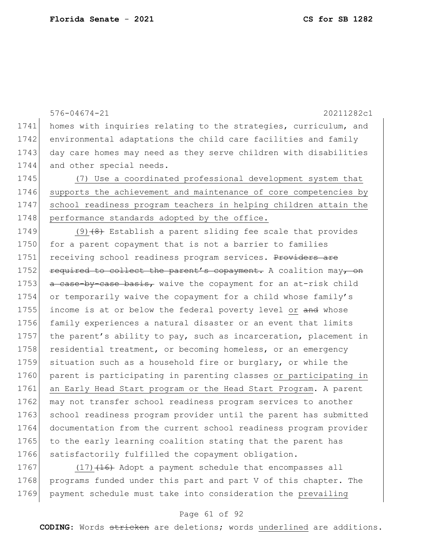576-04674-21 20211282c1 1741 homes with inquiries relating to the strategies, curriculum, and 1742 environmental adaptations the child care facilities and family 1743 day care homes may need as they serve children with disabilities 1744 and other special needs. 1745 (7) Use a coordinated professional development system that 1746 supports the achievement and maintenance of core competencies by 1747 school readiness program teachers in helping children attain the 1748 performance standards adopted by the office. 1749 (9) $(8)$  Establish a parent sliding fee scale that provides 1750 for a parent copayment that is not a barrier to families 1751 receiving school readiness program services. Providers are 1752 required to collect the parent's copayment. A coalition may, on 1753 a case-by-case basis, waive the copayment for an at-risk child 1754 or temporarily waive the copayment for a child whose family's 1755 income is at or below the federal poverty level or and whose 1756 family experiences a natural disaster or an event that limits 1757 the parent's ability to pay, such as incarceration, placement in 1758 residential treatment, or becoming homeless, or an emergency 1759 situation such as a household fire or burglary, or while the 1760 parent is participating in parenting classes or participating in 1761 an Early Head Start program or the Head Start Program. A parent 1762 may not transfer school readiness program services to another 1763 school readiness program provider until the parent has submitted 1764 documentation from the current school readiness program provider 1765 to the early learning coalition stating that the parent has 1766 satisfactorily fulfilled the copayment obligation. 1767  $(17)$   $(16)$  Adopt a payment schedule that encompasses all

1768 programs funded under this part and part V of this chapter. The 1769 payment schedule must take into consideration the prevailing

### Page 61 of 92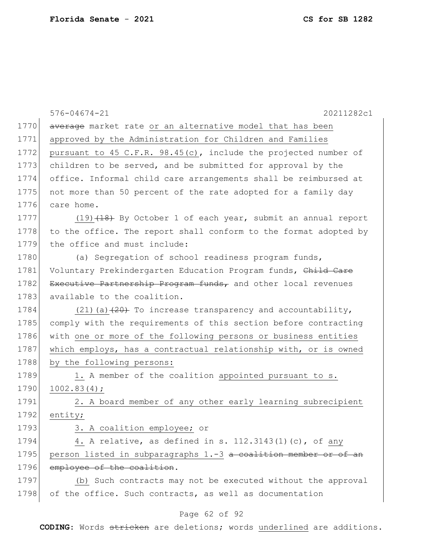|      | 20211282c1<br>$576 - 04674 - 21$                                 |
|------|------------------------------------------------------------------|
| 1770 | average market rate or an alternative model that has been        |
| 1771 | approved by the Administration for Children and Families         |
| 1772 | pursuant to 45 C.F.R. 98.45(c), include the projected number of  |
| 1773 | children to be served, and be submitted for approval by the      |
| 1774 | office. Informal child care arrangements shall be reimbursed at  |
| 1775 | not more than 50 percent of the rate adopted for a family day    |
| 1776 | care home.                                                       |
| 1777 | (19) (18) By October 1 of each year, submit an annual report     |
| 1778 | to the office. The report shall conform to the format adopted by |
| 1779 | the office and must include:                                     |
| 1780 | (a) Segregation of school readiness program funds,               |
| 1781 | Voluntary Prekindergarten Education Program funds, Child Care    |
| 1782 | Executive Partnership Program funds, and other local revenues    |
| 1783 | available to the coalition.                                      |
| 1784 | $(21)$ (a) $(20)$ To increase transparency and accountability,   |
| 1785 | comply with the requirements of this section before contracting  |
| 1786 | with one or more of the following persons or business entities   |
| 1787 | which employs, has a contractual relationship with, or is owned  |
| 1788 | by the following persons:                                        |
| 1789 | 1. A member of the coalition appointed pursuant to s.            |
| 1790 | 1002.83(4);                                                      |
| 1791 | 2. A board member of any other early learning subrecipient       |
| 1792 | entity;                                                          |
| 1793 | 3. A coalition employee; or                                      |
| 1794 | 4. A relative, as defined in s. 112.3143(1)(c), of any           |
| 1795 | person listed in subparagraphs 1.-3 a coalition member or of an  |
| 1796 | employee of the coalition.                                       |
| 1797 | (b) Such contracts may not be executed without the approval      |
| 1798 | of the office. Such contracts, as well as documentation          |
|      | Page 62 of 92                                                    |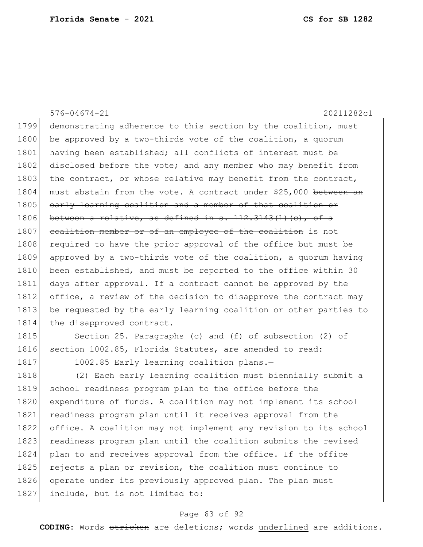576-04674-21 20211282c1 1799 demonstrating adherence to this section by the coalition, must 1800 be approved by a two-thirds vote of the coalition, a quorum 1801 having been established; all conflicts of interest must be 1802 disclosed before the vote; and any member who may benefit from 1803 the contract, or whose relative may benefit from the contract, 1804 must abstain from the vote. A contract under \$25,000 between an 1805 early learning coalition and a member of that coalition or 1806 between a relative, as defined in s.  $112.3143(1)(e)$ , of a 1807 coalition member or of an employee of the coalition is not 1808 required to have the prior approval of the office but must be 1809 approved by a two-thirds vote of the coalition, a quorum having 1810 been established, and must be reported to the office within 30 1811 days after approval. If a contract cannot be approved by the 1812 office, a review of the decision to disapprove the contract may 1813 be requested by the early learning coalition or other parties to 1814 the disapproved contract.

1815 Section 25. Paragraphs (c) and (f) of subsection (2) of 1816 section 1002.85, Florida Statutes, are amended to read:

1817 1002.85 Early learning coalition plans.

1818 (2) Each early learning coalition must biennially submit a 1819 school readiness program plan to the office before the 1820 expenditure of funds. A coalition may not implement its school 1821 readiness program plan until it receives approval from the 1822 office. A coalition may not implement any revision to its school 1823 readiness program plan until the coalition submits the revised 1824 plan to and receives approval from the office. If the office 1825 rejects a plan or revision, the coalition must continue to 1826 operate under its previously approved plan. The plan must 1827 include, but is not limited to:

### Page 63 of 92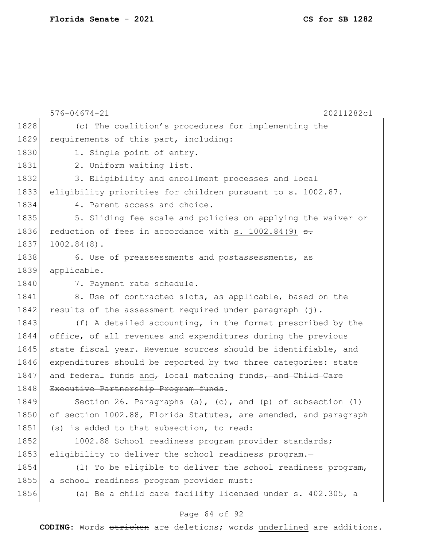|      | $576 - 04674 - 21$<br>20211282c1                                 |
|------|------------------------------------------------------------------|
| 1828 | (c) The coalition's procedures for implementing the              |
| 1829 | requirements of this part, including:                            |
| 1830 | 1. Single point of entry.                                        |
| 1831 | 2. Uniform waiting list.                                         |
| 1832 | 3. Eligibility and enrollment processes and local                |
| 1833 | eligibility priorities for children pursuant to s. 1002.87.      |
| 1834 | 4. Parent access and choice.                                     |
| 1835 | 5. Sliding fee scale and policies on applying the waiver or      |
| 1836 | reduction of fees in accordance with s. $1002.84(9)$ s.          |
| 1837 | $1002.84(8)$ .                                                   |
| 1838 | 6. Use of preassessments and postassessments, as                 |
| 1839 | applicable.                                                      |
| 1840 | 7. Payment rate schedule.                                        |
| 1841 | 8. Use of contracted slots, as applicable, based on the          |
| 1842 | results of the assessment required under paragraph (j).          |
| 1843 | (f) A detailed accounting, in the format prescribed by the       |
| 1844 | office, of all revenues and expenditures during the previous     |
| 1845 | state fiscal year. Revenue sources should be identifiable, and   |
| 1846 | expenditures should be reported by two three categories: state   |
| 1847 | and federal funds and, local matching funds, and Child Care      |
| 1848 | Executive Partnership Program funds.                             |
| 1849 | Section 26. Paragraphs (a), $(c)$ , and $(p)$ of subsection (1)  |
| 1850 | of section 1002.88, Florida Statutes, are amended, and paragraph |
| 1851 | (s) is added to that subsection, to read:                        |
| 1852 | 1002.88 School readiness program provider standards;             |
| 1853 | eligibility to deliver the school readiness program.-            |
| 1854 | (1) To be eligible to deliver the school readiness program,      |
| 1855 | a school readiness program provider must:                        |
| 1856 | (a) Be a child care facility licensed under s. 402.305, a        |
|      |                                                                  |

# Page 64 of 92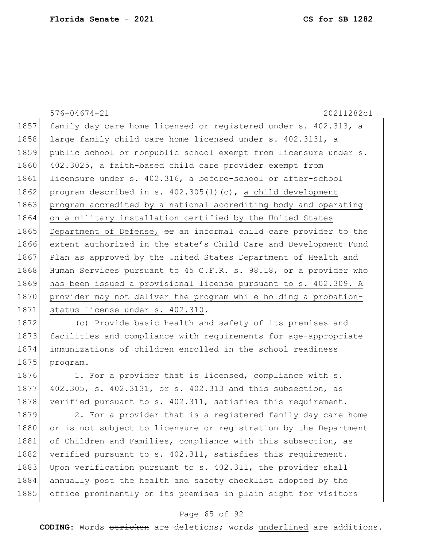576-04674-21 20211282c1 1857 family day care home licensed or registered under s. 402.313, a 1858 large family child care home licensed under s. 402.3131, a 1859 public school or nonpublic school exempt from licensure under s. 1860 402.3025, a faith-based child care provider exempt from 1861 licensure under s. 402.316, a before-school or after-school 1862 program described in s. 402.305(1)(c), a child development 1863 program accredited by a national accrediting body and operating 1864 on a military installation certified by the United States 1865 Department of Defense,  $\theta$ r an informal child care provider to the 1866 extent authorized in the state's Child Care and Development Fund 1867 Plan as approved by the United States Department of Health and 1868 Human Services pursuant to 45 C.F.R. s. 98.18, or a provider who 1869 has been issued a provisional license pursuant to s. 402.309. A 1870 provider may not deliver the program while holding a probation-1871 status license under s. 402.310.

1872 (c) Provide basic health and safety of its premises and 1873 facilities and compliance with requirements for age-appropriate 1874 immunizations of children enrolled in the school readiness 1875 program.

1876 1. For a provider that is licensed, compliance with s. 1877 402.305, s. 402.3131, or s. 402.313 and this subsection, as 1878 verified pursuant to s. 402.311, satisfies this requirement.

1879 2. For a provider that is a registered family day care home 1880 or is not subject to licensure or registration by the Department 1881 of Children and Families, compliance with this subsection, as 1882 verified pursuant to s. 402.311, satisfies this requirement. 1883 Upon verification pursuant to s.  $402.311$ , the provider shall 1884 annually post the health and safety checklist adopted by the 1885 office prominently on its premises in plain sight for visitors

#### Page 65 of 92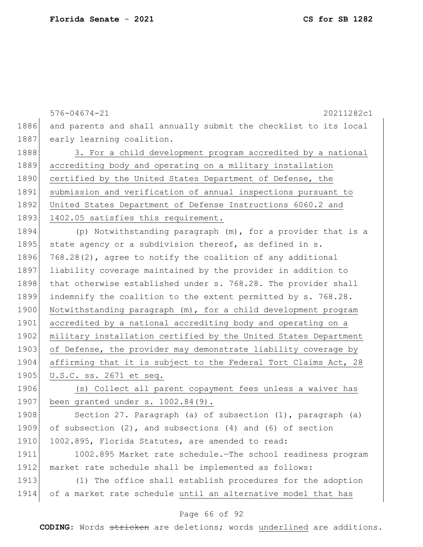576-04674-21 20211282c1 1886 and parents and shall annually submit the checklist to its local 1887 early learning coalition. 1888 3. For a child development program accredited by a national 1889 accrediting body and operating on a military installation 1890 certified by the United States Department of Defense, the 1891 submission and verification of annual inspections pursuant to 1892 United States Department of Defense Instructions 6060.2 and 1893 1402.05 satisfies this requirement. 1894 (p) Notwithstanding paragraph (m), for a provider that is a 1895 state agency or a subdivision thereof, as defined in s. 1896 768.28(2), agree to notify the coalition of any additional 1897 liability coverage maintained by the provider in addition to 1898 that otherwise established under s. 768.28. The provider shall 1899 indemnify the coalition to the extent permitted by s. 768.28. 1900 Notwithstanding paragraph (m), for a child development program 1901 accredited by a national accrediting body and operating on a 1902 military installation certified by the United States Department 1903 of Defense, the provider may demonstrate liability coverage by 1904 affirming that it is subject to the Federal Tort Claims Act, 28 1905 U.S.C. ss. 2671 et seq. 1906 (s) Collect all parent copayment fees unless a waiver has 1907 been granted under s. 1002.84(9). 1908 Section 27. Paragraph (a) of subsection (1), paragraph (a) 1909 of subsection (2), and subsections (4) and (6) of section 1910 1002.895, Florida Statutes, are amended to read: 1911 1002.895 Market rate schedule.—The school readiness program 1912 market rate schedule shall be implemented as follows: 1913 (1) The office shall establish procedures for the adoption 1914 of a market rate schedule until an alternative model that has

### Page 66 of 92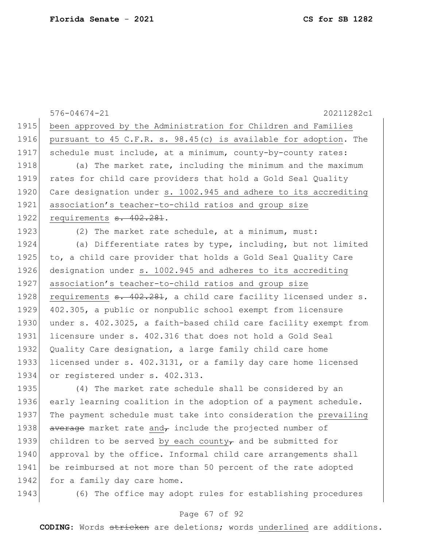|      | $576 - 04674 - 21$<br>20211282c1                                             |
|------|------------------------------------------------------------------------------|
| 1915 | been approved by the Administration for Children and Families                |
| 1916 | pursuant to 45 C.F.R. s. 98.45(c) is available for adoption. The             |
| 1917 | schedule must include, at a minimum, county-by-county rates:                 |
| 1918 | (a) The market rate, including the minimum and the maximum                   |
| 1919 | rates for child care providers that hold a Gold Seal Quality                 |
| 1920 | Care designation under s. 1002.945 and adhere to its accrediting             |
| 1921 | association's teacher-to-child ratios and group size                         |
| 1922 | requirements <del>s. 402.281</del> .                                         |
| 1923 | (2) The market rate schedule, at a minimum, must:                            |
| 1924 | (a) Differentiate rates by type, including, but not limited                  |
| 1925 | to, a child care provider that holds a Gold Seal Quality Care                |
| 1926 | designation under s. 1002.945 and adheres to its accrediting                 |
| 1927 | association's teacher-to-child ratios and group size                         |
| 1928 | requirements <del>s. 402.281</del> , a child care facility licensed under s. |
| 1929 | 402.305, a public or nonpublic school exempt from licensure                  |
| 1930 | under s. 402.3025, a faith-based child care facility exempt from             |
| 1931 | licensure under s. 402.316 that does not hold a Gold Seal                    |
| 1932 | Quality Care designation, a large family child care home                     |
| 1933 | licensed under s. 402.3131, or a family day care home licensed               |
| 1934 | or registered under s. 402.313.                                              |
| 1935 | (4) The market rate schedule shall be considered by an                       |
| 1936 | early learning coalition in the adoption of a payment schedule.              |
| 1937 | The payment schedule must take into consideration the prevailing             |
| 1938 | average market rate and, include the projected number of                     |
| 1939 | children to be served by each county $_{\tau}$ and be submitted for          |
| 1940 | approval by the office. Informal child care arrangements shall               |
| 1941 | be reimbursed at not more than 50 percent of the rate adopted                |
| 1942 | for a family day care home.                                                  |
| 1943 | (6) The office may adopt rules for establishing procedures                   |

# Page 67 of 92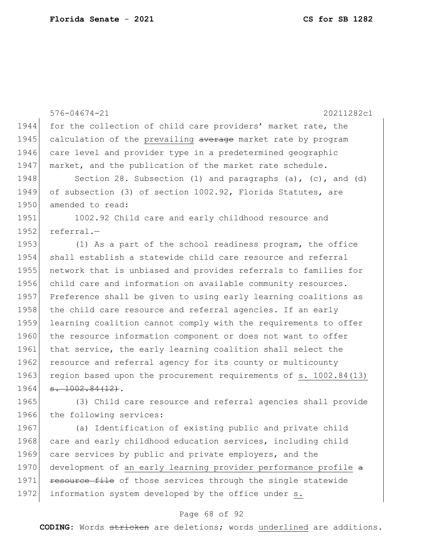576-04674-21 20211282c1 1944 for the collection of child care providers' market rate, the 1945 calculation of the prevailing average market rate by program 1946 care level and provider type in a predetermined geographic 1947 market, and the publication of the market rate schedule. 1948 Section 28. Subsection (1) and paragraphs (a), (c), and (d) 1949 of subsection (3) of section 1002.92, Florida Statutes, are 1950 amended to read: 1951 1002.92 Child care and early childhood resource and 1952 referral.-1953 (1) As a part of the school readiness program, the office 1954 shall establish a statewide child care resource and referral 1955 network that is unbiased and provides referrals to families for 1956 child care and information on available community resources. 1957 Preference shall be given to using early learning coalitions as 1958 the child care resource and referral agencies. If an early 1959 learning coalition cannot comply with the requirements to offer 1960 the resource information component or does not want to offer 1961 that service, the early learning coalition shall select the 1962 resource and referral agency for its county or multicounty 1963 region based upon the procurement requirements of s. 1002.84(13)  $1964$   $\overline{5.1002.84(12)}$ . 1965 (3) Child care resource and referral agencies shall provide 1966 the following services: 1967 (a) Identification of existing public and private child 1968 care and early childhood education services, including child 1969 care services by public and private employers, and the

1970 development of an early learning provider performance profile a 1971 **resource file** of those services through the single statewide 1972 information system developed by the office under s.

#### Page 68 of 92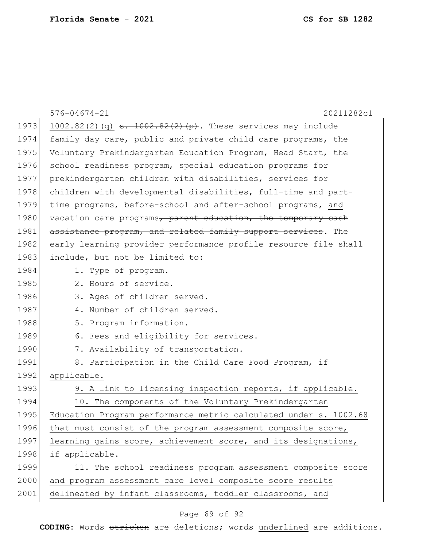|      | $576 - 04674 - 21$<br>20211282c1                                     |
|------|----------------------------------------------------------------------|
| 1973 | 1002.82(2)(q) $\frac{1002.82(2)}{9}$ (p). These services may include |
| 1974 | family day care, public and private child care programs, the         |
| 1975 | Voluntary Prekindergarten Education Program, Head Start, the         |
| 1976 | school readiness program, special education programs for             |
| 1977 | prekindergarten children with disabilities, services for             |
| 1978 | children with developmental disabilities, full-time and part-        |
| 1979 | time programs, before-school and after-school programs, and          |
| 1980 | vacation care programs, parent education, the temporary cash         |
| 1981 | assistance program, and related family support services. The         |
| 1982 | early learning provider performance profile resource file shall      |
| 1983 | include, but not be limited to:                                      |
| 1984 | 1. Type of program.                                                  |
| 1985 | 2. Hours of service.                                                 |
| 1986 | 3. Ages of children served.                                          |
| 1987 | 4. Number of children served.                                        |
| 1988 | 5. Program information.                                              |
| 1989 | 6. Fees and eligibility for services.                                |
| 1990 | 7. Availability of transportation.                                   |
| 1991 | 8. Participation in the Child Care Food Program, if                  |
| 1992 | applicable.                                                          |
| 1993 | 9. A link to licensing inspection reports, if applicable.            |
| 1994 | 10. The components of the Voluntary Prekindergarten                  |
| 1995 | Education Program performance metric calculated under s. 1002.68     |
| 1996 | that must consist of the program assessment composite score,         |
| 1997 | learning gains score, achievement score, and its designations,       |
| 1998 | if applicable.                                                       |
| 1999 | 11. The school readiness program assessment composite score          |
| 2000 | and program assessment care level composite score results            |
| 2001 | delineated by infant classrooms, toddler classrooms, and             |

# Page 69 of 92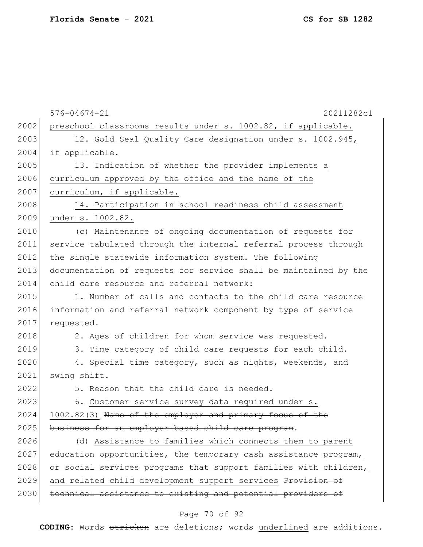|      | $576 - 04674 - 21$<br>20211282c1                                 |
|------|------------------------------------------------------------------|
| 2002 | preschool classrooms results under s. 1002.82, if applicable.    |
| 2003 | 12. Gold Seal Quality Care designation under s. 1002.945,        |
| 2004 | if applicable.                                                   |
| 2005 | 13. Indication of whether the provider implements a              |
| 2006 | curriculum approved by the office and the name of the            |
| 2007 | curriculum, if applicable.                                       |
| 2008 | 14. Participation in school readiness child assessment           |
| 2009 | under s. 1002.82.                                                |
| 2010 | (c) Maintenance of ongoing documentation of requests for         |
| 2011 | service tabulated through the internal referral process through  |
| 2012 | the single statewide information system. The following           |
| 2013 | documentation of requests for service shall be maintained by the |
| 2014 | child care resource and referral network:                        |
| 2015 | 1. Number of calls and contacts to the child care resource       |
| 2016 | information and referral network component by type of service    |
| 2017 | requested.                                                       |
| 2018 | 2. Ages of children for whom service was requested.              |
| 2019 | 3. Time category of child care requests for each child.          |
| 2020 | 4. Special time category, such as nights, weekends, and          |
| 2021 | swing shift.                                                     |
| 2022 | 5. Reason that the child care is needed.                         |
| 2023 | 6. Customer service survey data required under s.                |
| 2024 | 1002.82(3) Name of the employer and primary focus of the         |
| 2025 | business for an employer-based child care program.               |
| 2026 | (d) Assistance to families which connects them to parent         |
| 2027 | education opportunities, the temporary cash assistance program,  |
| 2028 | or social services programs that support families with children, |
| 2029 | and related child development support services Provision of      |
| 2030 | technical assistance to existing and potential providers of      |

# Page 70 of 92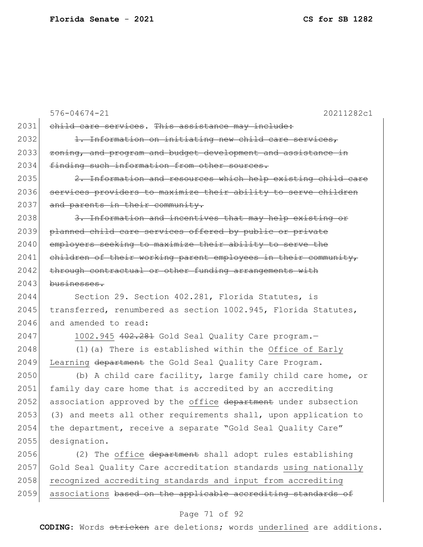576-04674-21 20211282c1 2031 child care services. This assistance may include: 2032 1. Information on initiating new child care services, 2033 zoning, and program and budget development and assistance in 2034 finding such information from other sources. 2035 2. Information and resources which help existing child care 2036 services providers to maximize their ability to serve children 2037 and parents in their community. 2038 3. Information and incentives that may help existing or 2039 planned child care services offered by public or private 2040 employers seeking to maximize their ability to serve the  $2041$  children of their working parent employees in their community, 2042 through contractual or other funding arrangements with 2043 businesses. 2044 Section 29. Section 402.281, Florida Statutes, is 2045 transferred, renumbered as section 1002.945, Florida Statutes, 2046 and amended to read: 2047 1002.945 402.281 Gold Seal Quality Care program. 2048  $(1)$  (a) There is established within the Office of Early 2049 Learning department the Gold Seal Quality Care Program. 2050 (b) A child care facility, large family child care home, or 2051 family day care home that is accredited by an accrediting 2052 association approved by the office department under subsection  $2053$  (3) and meets all other requirements shall, upon application to 2054 the department, receive a separate "Gold Seal Quality Care" 2055 designation. 2056 (2) The office department shall adopt rules establishing 2057 Gold Seal Quality Care accreditation standards using nationally 2058 recognized accrediting standards and input from accrediting 2059 associations based on the applicable accrediting standards of

### Page 71 of 92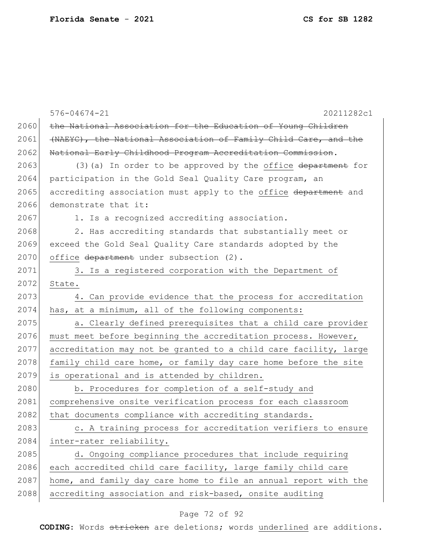|      | $576 - 04674 - 21$<br>20211282c1                                 |
|------|------------------------------------------------------------------|
| 2060 | the National Association for the Education of Young Children     |
| 2061 | (NAEYC), the National Association of Family Child Care, and the  |
| 2062 | National Early Childhood Program Accreditation Commission.       |
| 2063 | $(3)$ (a) In order to be approved by the office department for   |
| 2064 | participation in the Gold Seal Quality Care program, an          |
| 2065 | accrediting association must apply to the office department and  |
| 2066 | demonstrate that it:                                             |
| 2067 | 1. Is a recognized accrediting association.                      |
| 2068 | 2. Has accrediting standards that substantially meet or          |
| 2069 | exceed the Gold Seal Quality Care standards adopted by the       |
| 2070 | office department under subsection (2).                          |
| 2071 | 3. Is a registered corporation with the Department of            |
| 2072 | State.                                                           |
| 2073 | 4. Can provide evidence that the process for accreditation       |
| 2074 | has, at a minimum, all of the following components:              |
| 2075 | a. Clearly defined prerequisites that a child care provider      |
| 2076 | must meet before beginning the accreditation process. However,   |
| 2077 | accreditation may not be granted to a child care facility, large |
| 2078 | family child care home, or family day care home before the site  |
| 2079 | is operational and is attended by children.                      |
| 2080 | b. Procedures for completion of a self-study and                 |
| 2081 | comprehensive onsite verification process for each classroom     |
| 2082 | that documents compliance with accrediting standards.            |
| 2083 | c. A training process for accreditation verifiers to ensure      |
| 2084 | inter-rater reliability.                                         |
| 2085 | d. Ongoing compliance procedures that include requiring          |
| 2086 | each accredited child care facility, large family child care     |
| 2087 | home, and family day care home to file an annual report with the |
| 2088 | accrediting association and risk-based, onsite auditing          |

# Page 72 of 92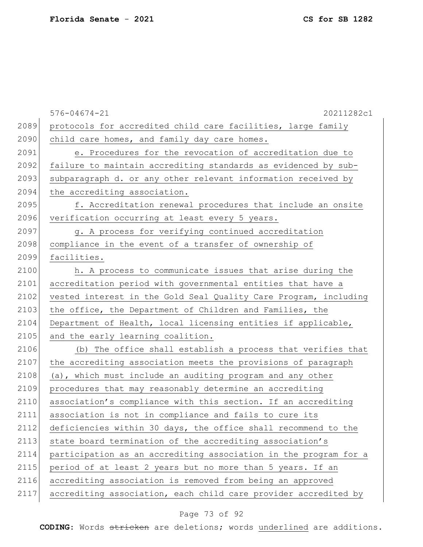|      | $576 - 04674 - 21$<br>20211282c1                                 |
|------|------------------------------------------------------------------|
| 2089 | protocols for accredited child care facilities, large family     |
| 2090 | child care homes, and family day care homes.                     |
| 2091 | e. Procedures for the revocation of accreditation due to         |
| 2092 | failure to maintain accrediting standards as evidenced by sub-   |
| 2093 | subparagraph d. or any other relevant information received by    |
| 2094 | the accrediting association.                                     |
| 2095 | f. Accreditation renewal procedures that include an onsite       |
| 2096 | verification occurring at least every 5 years.                   |
| 2097 | g. A process for verifying continued accreditation               |
| 2098 | compliance in the event of a transfer of ownership of            |
| 2099 | facilities.                                                      |
| 2100 | h. A process to communicate issues that arise during the         |
| 2101 | accreditation period with governmental entities that have a      |
| 2102 | vested interest in the Gold Seal Quality Care Program, including |
| 2103 | the office, the Department of Children and Families, the         |
| 2104 | Department of Health, local licensing entities if applicable,    |
| 2105 | and the early learning coalition.                                |
| 2106 | (b) The office shall establish a process that verifies that      |
| 2107 | the accrediting association meets the provisions of paragraph    |
| 2108 | (a), which must include an auditing program and any other        |
| 2109 | procedures that may reasonably determine an accrediting          |
| 2110 | association's compliance with this section. If an accrediting    |
| 2111 | association is not in compliance and fails to cure its           |
| 2112 | deficiencies within 30 days, the office shall recommend to the   |
| 2113 | state board termination of the accrediting association's         |
| 2114 | participation as an accrediting association in the program for a |
| 2115 | period of at least 2 years but no more than 5 years. If an       |
| 2116 | accrediting association is removed from being an approved        |
| 2117 | accrediting association, each child care provider accredited by  |

# Page 73 of 92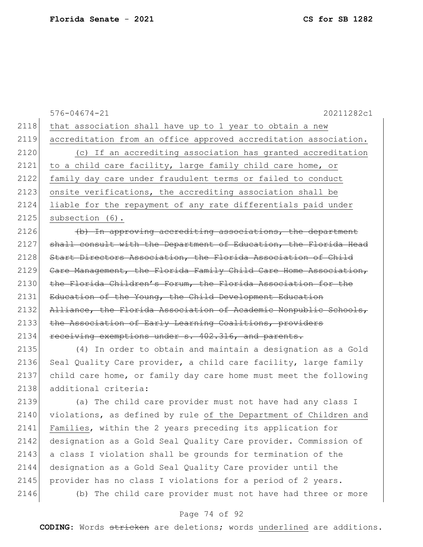|      | $576 - 04674 - 21$<br>20211282c1                                 |
|------|------------------------------------------------------------------|
| 2118 | that association shall have up to 1 year to obtain a new         |
| 2119 | accreditation from an office approved accreditation association. |
| 2120 | (c) If an accrediting association has granted accreditation      |
| 2121 | to a child care facility, large family child care home, or       |
| 2122 | family day care under fraudulent terms or failed to conduct      |
| 2123 | onsite verifications, the accrediting association shall be       |
| 2124 | liable for the repayment of any rate differentials paid under    |
| 2125 | subsection (6).                                                  |
| 2126 | (b) In approving accrediting associations, the department        |
| 2127 | shall consult with the Department of Education, the Florida Head |
| 2128 | Start Directors Association, the Florida Association of Child    |
| 2129 | Care Management, the Florida Family Child Care Home Association, |
| 2130 | the Florida Children's Forum, the Florida Association for the    |
| 2131 | Education of the Young, the Child Development Education          |
| 2132 | Alliance, the Florida Association of Academic Nonpublic Schools, |
| 2133 | the Association of Early Learning Coalitions, providers          |
| 2134 | receiving exemptions under s. 402.316, and parents.              |
| 2135 | (4) In order to obtain and maintain a designation as a Gold      |
| 2136 | Seal Quality Care provider, a child care facility, large family  |
| 2137 | child care home, or family day care home must meet the following |
| 2138 | additional criteria:                                             |
| 2139 | (a) The child care provider must not have had any class I        |
| 2140 | violations, as defined by rule of the Department of Children and |
| 2141 | Families, within the 2 years preceding its application for       |
| 2142 | designation as a Gold Seal Quality Care provider. Commission of  |
| 2143 | a class I violation shall be grounds for termination of the      |
| 2144 | designation as a Gold Seal Quality Care provider until the       |
| 2145 | provider has no class I violations for a period of 2 years.      |
| 2146 | (b) The child care provider must not have had three or more      |

# Page 74 of 92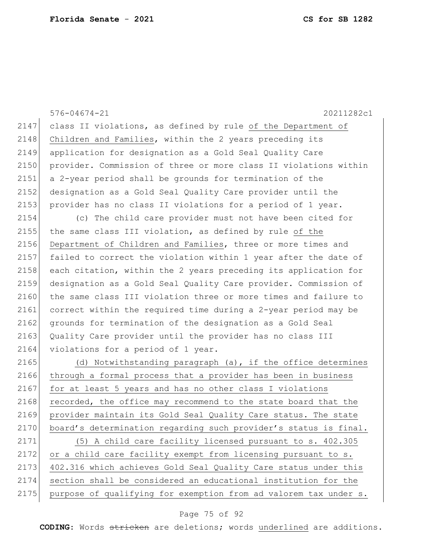|      | $576 - 04674 - 21$<br>20211282c1                                 |
|------|------------------------------------------------------------------|
| 2147 | class II violations, as defined by rule of the Department of     |
| 2148 | Children and Families, within the 2 years preceding its          |
| 2149 | application for designation as a Gold Seal Quality Care          |
| 2150 | provider. Commission of three or more class II violations within |
| 2151 | a 2-year period shall be grounds for termination of the          |
| 2152 | designation as a Gold Seal Quality Care provider until the       |
| 2153 | provider has no class II violations for a period of 1 year.      |
| 2154 | (c) The child care provider must not have been cited for         |
| 2155 | the same class III violation, as defined by rule of the          |
| 2156 | Department of Children and Families, three or more times and     |
| 2157 | failed to correct the violation within 1 year after the date of  |
| 2158 | each citation, within the 2 years preceding its application for  |
| 2159 | designation as a Gold Seal Quality Care provider. Commission of  |
| 2160 | the same class III violation three or more times and failure to  |
| 2161 | correct within the required time during a 2-year period may be   |
| 2162 | grounds for termination of the designation as a Gold Seal        |
| 2163 | Quality Care provider until the provider has no class III        |
| 2164 | violations for a period of 1 year.                               |
| 2165 | (d) Notwithstanding paragraph (a), if the office determines      |
| 2166 | through a formal process that a provider has been in business    |
| 2167 | for at least 5 years and has no other class I violations         |
| 2168 | recorded, the office may recommend to the state board that the   |
| 2169 | provider maintain its Gold Seal Quality Care status. The state   |
| 2170 | board's determination regarding such provider's status is final. |
| 2171 | (5) A child care facility licensed pursuant to s. 402.305        |
| 2172 | or a child care facility exempt from licensing pursuant to s.    |
| 2173 | 402.316 which achieves Gold Seal Quality Care status under this  |
| 2174 | section shall be considered an educational institution for the   |
| 2175 | purpose of qualifying for exemption from ad valorem tax under s. |
|      |                                                                  |

# Page 75 of 92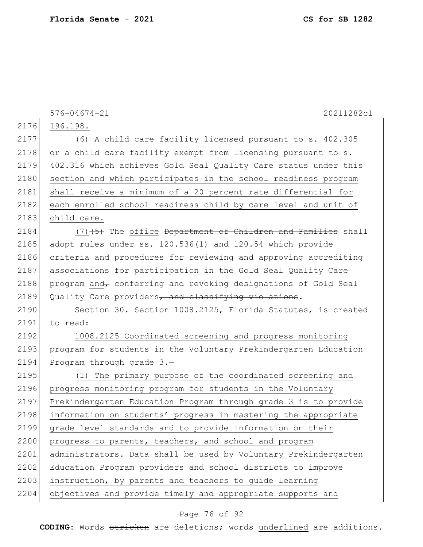576-04674-21 20211282c1 2176 196.198. 2177 (6) A child care facility licensed pursuant to s. 402.305 2178 or a child care facility exempt from licensing pursuant to s. 2179 402.316 which achieves Gold Seal Quality Care status under this 2180 section and which participates in the school readiness program 2181 shall receive a minimum of a 20 percent rate differential for 2182 each enrolled school readiness child by care level and unit of 2183 child care.  $2184$  (7) $\left(5\right)$  The office Department of Children and Families shall 2185 adopt rules under ss. 120.536(1) and 120.54 which provide 2186 criteria and procedures for reviewing and approving accrediting 2187 associations for participation in the Gold Seal Quality Care 2188 program and $_{\tau}$  conferring and revoking designations of Gold Seal 2189 Quality Care providers, and classifying violations. 2190 Section 30. Section 1008.2125, Florida Statutes, is created 2191 to read: 2192 1008.2125 Coordinated screening and progress monitoring 2193 program for students in the Voluntary Prekindergarten Education 2194 Program through grade 3.-2195 (1) The primary purpose of the coordinated screening and 2196 progress monitoring program for students in the Voluntary 2197 Prekindergarten Education Program through grade 3 is to provide 2198 information on students' progress in mastering the appropriate 2199 grade level standards and to provide information on their 2200 progress to parents, teachers, and school and program 2201 administrators. Data shall be used by Voluntary Prekindergarten 2202 Education Program providers and school districts to improve 2203 instruction, by parents and teachers to guide learning 2204 objectives and provide timely and appropriate supports and

### Page 76 of 92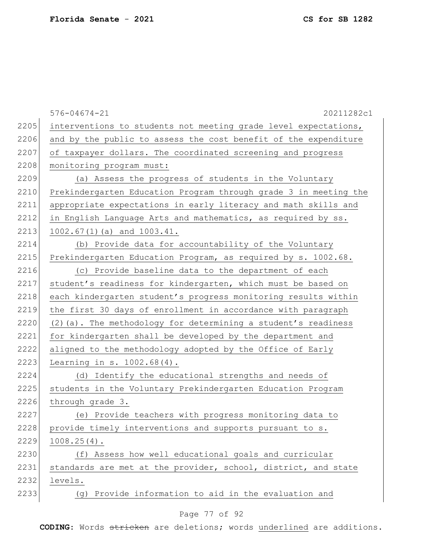|      | $576 - 04674 - 21$<br>20211282c1                                 |
|------|------------------------------------------------------------------|
| 2205 | interventions to students not meeting grade level expectations,  |
| 2206 | and by the public to assess the cost benefit of the expenditure  |
| 2207 | of taxpayer dollars. The coordinated screening and progress      |
| 2208 | monitoring program must:                                         |
| 2209 | (a) Assess the progress of students in the Voluntary             |
| 2210 | Prekindergarten Education Program through grade 3 in meeting the |
| 2211 | appropriate expectations in early literacy and math skills and   |
| 2212 | in English Language Arts and mathematics, as required by ss.     |
| 2213 | $1002.67(1)$ (a) and $1003.41$ .                                 |
| 2214 | Provide data for accountability of the Voluntary<br>(b)          |
| 2215 | Prekindergarten Education Program, as required by s. 1002.68.    |
| 2216 | (c) Provide baseline data to the department of each              |
| 2217 | student's readiness for kindergarten, which must be based on     |
| 2218 | each kindergarten student's progress monitoring results within   |
| 2219 | the first 30 days of enrollment in accordance with paragraph     |
| 2220 | (2) (a). The methodology for determining a student's readiness   |
| 2221 | for kindergarten shall be developed by the department and        |
| 2222 | aligned to the methodology adopted by the Office of Early        |
| 2223 | Learning in $s. 1002.68(4)$ .                                    |
| 2224 | Identify the educational strengths and needs of<br>(d)           |
| 2225 | students in the Voluntary Prekindergarten Education Program      |
| 2226 | through grade 3.                                                 |
| 2227 | (e) Provide teachers with progress monitoring data to            |
| 2228 | provide timely interventions and supports pursuant to s.         |
| 2229 | $1008.25(4)$ .                                                   |
| 2230 | (f) Assess how well educational goals and curricular             |
| 2231 | standards are met at the provider, school, district, and state   |
| 2232 | levels.                                                          |
| 2233 | Provide information to aid in the evaluation and<br>(a)          |
|      |                                                                  |

# Page 77 of 92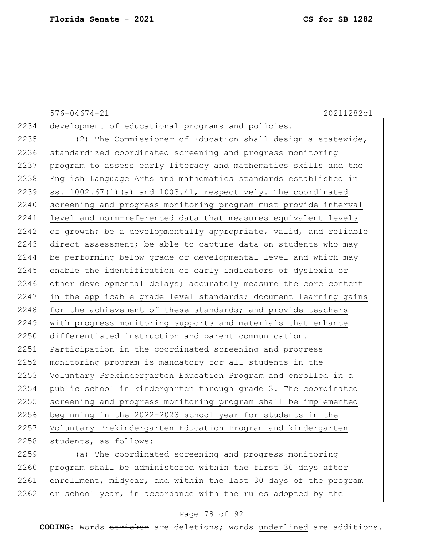576-04674-21 20211282c1 2234 development of educational programs and policies. 2235 (2) The Commissioner of Education shall design a statewide, 2236 standardized coordinated screening and progress monitoring 2237 program to assess early literacy and mathematics skills and the 2238 English Language Arts and mathematics standards established in 2239 ss.  $1002.67(1)$  (a) and  $1003.41$ , respectively. The coordinated 2240 screening and progress monitoring program must provide interval 2241 level and norm-referenced data that measures equivalent levels 2242 of growth; be a developmentally appropriate, valid, and reliable 2243 direct assessment; be able to capture data on students who may 2244 be performing below grade or developmental level and which may 2245 enable the identification of early indicators of dyslexia or 2246 other developmental delays; accurately measure the core content 2247 in the applicable grade level standards; document learning gains 2248 for the achievement of these standards; and provide teachers 2249 with progress monitoring supports and materials that enhance 2250 differentiated instruction and parent communication. 2251 Participation in the coordinated screening and progress 2252 monitoring program is mandatory for all students in the 2253 Voluntary Prekindergarten Education Program and enrolled in a 2254 public school in kindergarten through grade 3. The coordinated 2255 screening and progress monitoring program shall be implemented 2256 beginning in the 2022-2023 school year for students in the 2257 Voluntary Prekindergarten Education Program and kindergarten 2258 students, as follows: 2259 (a) The coordinated screening and progress monitoring 2260 program shall be administered within the first 30 days after 2261 enrollment, midyear, and within the last 30 days of the program 2262 or school year, in accordance with the rules adopted by the

#### Page 78 of 92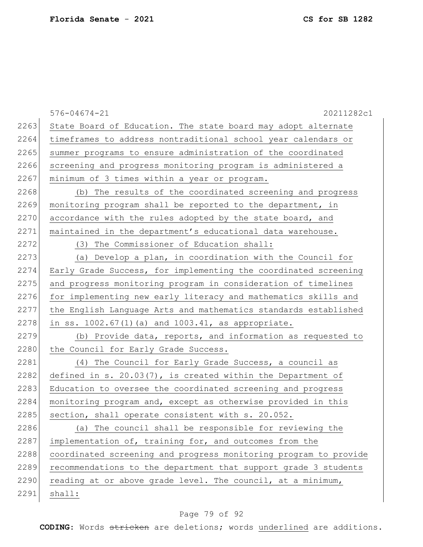|      | $576 - 04674 - 21$<br>20211282c1                                 |
|------|------------------------------------------------------------------|
| 2263 | State Board of Education. The state board may adopt alternate    |
| 2264 | timeframes to address nontraditional school year calendars or    |
| 2265 | summer programs to ensure administration of the coordinated      |
| 2266 | screening and progress monitoring program is administered a      |
| 2267 | minimum of 3 times within a year or program.                     |
| 2268 | (b) The results of the coordinated screening and progress        |
| 2269 | monitoring program shall be reported to the department, in       |
| 2270 | accordance with the rules adopted by the state board, and        |
| 2271 | maintained in the department's educational data warehouse.       |
| 2272 | (3) The Commissioner of Education shall:                         |
| 2273 | (a) Develop a plan, in coordination with the Council for         |
| 2274 | Early Grade Success, for implementing the coordinated screening  |
| 2275 | and progress monitoring program in consideration of timelines    |
| 2276 | for implementing new early literacy and mathematics skills and   |
| 2277 | the English Language Arts and mathematics standards established  |
| 2278 | in ss. $1002.67(1)$ (a) and $1003.41$ , as appropriate.          |
| 2279 | (b) Provide data, reports, and information as requested to       |
| 2280 | the Council for Early Grade Success.                             |
| 2281 | (4) The Council for Early Grade Success, a council as            |
| 2282 | defined in s. $20.03(7)$ , is created within the Department of   |
| 2283 | Education to oversee the coordinated screening and progress      |
| 2284 | monitoring program and, except as otherwise provided in this     |
| 2285 | section, shall operate consistent with s. 20.052.                |
| 2286 | (a) The council shall be responsible for reviewing the           |
| 2287 | implementation of, training for, and outcomes from the           |
| 2288 | coordinated screening and progress monitoring program to provide |
| 2289 | recommendations to the department that support grade 3 students  |
| 2290 | reading at or above grade level. The council, at a minimum,      |
| 2291 | shall:                                                           |

# Page 79 of 92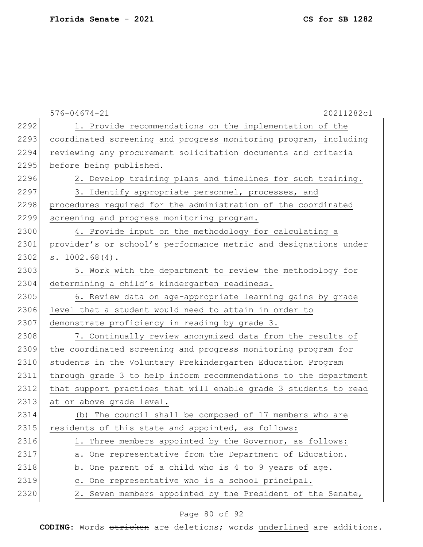|      | $576 - 04674 - 21$<br>20211282c1                                 |
|------|------------------------------------------------------------------|
| 2292 | 1. Provide recommendations on the implementation of the          |
| 2293 | coordinated screening and progress monitoring program, including |
| 2294 | reviewing any procurement solicitation documents and criteria    |
| 2295 | before being published.                                          |
| 2296 | 2. Develop training plans and timelines for such training.       |
| 2297 | 3. Identify appropriate personnel, processes, and                |
| 2298 | procedures required for the administration of the coordinated    |
| 2299 | screening and progress monitoring program.                       |
| 2300 | 4. Provide input on the methodology for calculating a            |
| 2301 | provider's or school's performance metric and designations under |
| 2302 | s. 1002.68(4).                                                   |
| 2303 | 5. Work with the department to review the methodology for        |
| 2304 | determining a child's kindergarten readiness.                    |
| 2305 | 6. Review data on age-appropriate learning gains by grade        |
| 2306 | level that a student would need to attain in order to            |
| 2307 | demonstrate proficiency in reading by grade 3.                   |
| 2308 | 7. Continually review anonymized data from the results of        |
| 2309 | the coordinated screening and progress monitoring program for    |
| 2310 | students in the Voluntary Prekindergarten Education Program      |
| 2311 | through grade 3 to help inform recommendations to the department |
| 2312 | that support practices that will enable grade 3 students to read |
| 2313 | at or above grade level.                                         |
| 2314 | (b) The council shall be composed of 17 members who are          |
| 2315 | residents of this state and appointed, as follows:               |
| 2316 | 1. Three members appointed by the Governor, as follows:          |
| 2317 | a. One representative from the Department of Education.          |
| 2318 | b. One parent of a child who is 4 to 9 years of age.             |
| 2319 | c. One representative who is a school principal.                 |
| 2320 | 2. Seven members appointed by the President of the Senate,       |

# Page 80 of 92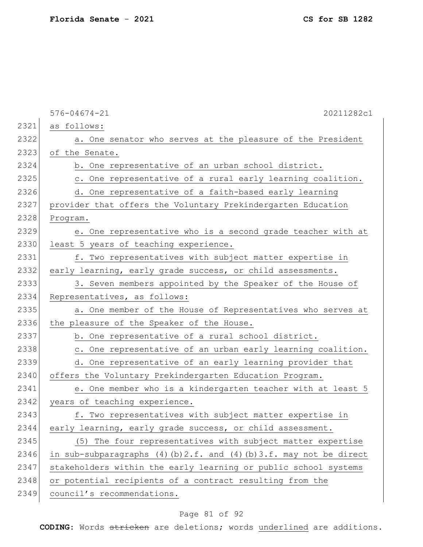576-04674-21 20211282c1 2321 as follows: 2322 a. One senator who serves at the pleasure of the President 2323 of the Senate. 2324 b. One representative of an urban school district. 2325 c. One representative of a rural early learning coalition. 2326 d. One representative of a faith-based early learning 2327 provider that offers the Voluntary Prekindergarten Education 2328 Program. 2329 e. One representative who is a second grade teacher with at 2330 least 5 years of teaching experience. 2331 f. Two representatives with subject matter expertise in 2332 early learning, early grade success, or child assessments. 2333 3. Seven members appointed by the Speaker of the House of 2334 Representatives, as follows: 2335 a. One member of the House of Representatives who serves at 2336 the pleasure of the Speaker of the House. 2337 b. One representative of a rural school district. 2338 c. One representative of an urban early learning coalition. 2339 d. One representative of an early learning provider that 2340 offers the Voluntary Prekindergarten Education Program. 2341 e. One member who is a kindergarten teacher with at least 5 2342 years of teaching experience. 2343 f. Two representatives with subject matter expertise in 2344 early learning, early grade success, or child assessment. 2345 (5) The four representatives with subject matter expertise 2346 in sub-subparagraphs (4)(b)2.f. and (4)(b)3.f. may not be direct 2347 stakeholders within the early learning or public school systems 2348 or potential recipients of a contract resulting from the 2349 council's recommendations.

#### Page 81 of 92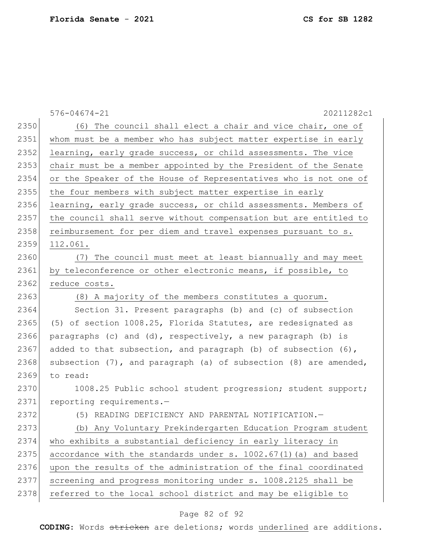576-04674-21 20211282c1 2350 (6) The council shall elect a chair and vice chair, one of 2351 whom must be a member who has subject matter expertise in early 2352 learning, early grade success, or child assessments. The vice 2353 chair must be a member appointed by the President of the Senate 2354 or the Speaker of the House of Representatives who is not one of 2355 | the four members with subject matter expertise in early 2356 learning, early grade success, or child assessments. Members of 2357 the council shall serve without compensation but are entitled to 2358 reimbursement for per diem and travel expenses pursuant to s. 2359 112.061. 2360 (7) The council must meet at least biannually and may meet 2361 by teleconference or other electronic means, if possible, to 2362 reduce costs. 2363 (8) A majority of the members constitutes a quorum. 2364 Section 31. Present paragraphs (b) and (c) of subsection 2365 (5) of section 1008.25, Florida Statutes, are redesignated as 2366 paragraphs (c) and (d), respectively, a new paragraph (b) is 2367 added to that subsection, and paragraph (b) of subsection (6), 2368 subsection  $(7)$ , and paragraph (a) of subsection  $(8)$  are amended, 2369 to read: 2370 1008.25 Public school student progression; student support; 2371 reporting requirements.-2372 (5) READING DEFICIENCY AND PARENTAL NOTIFICATION. 2373 (b) Any Voluntary Prekindergarten Education Program student 2374 who exhibits a substantial deficiency in early literacy in 2375 accordance with the standards under  $s. 1002.67(1)$  (a) and based 2376 upon the results of the administration of the final coordinated 2377 screening and progress monitoring under s. 1008.2125 shall be 2378 referred to the local school district and may be eligible to

#### Page 82 of 92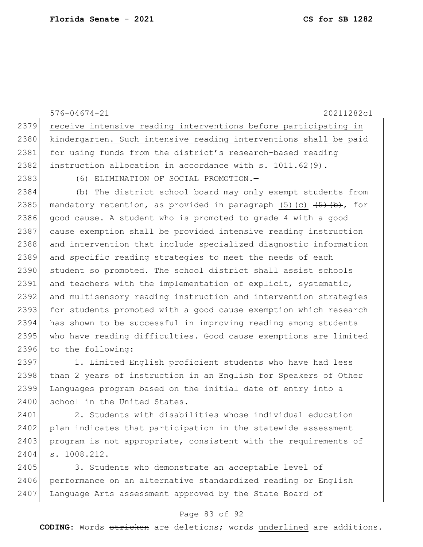576-04674-21 20211282c1 2379 receive intensive reading interventions before participating in 2380 kindergarten. Such intensive reading interventions shall be paid 2381 for using funds from the district's research-based reading 2382 | instruction allocation in accordance with s. 1011.62(9). 2383 (6) ELIMINATION OF SOCIAL PROMOTION. 2384 (b) The district school board may only exempt students from 2385 mandatory retention, as provided in paragraph  $(5)$  (c)  $\overline{(5)$  (b), for 2386 good cause. A student who is promoted to grade 4 with a good 2387 cause exemption shall be provided intensive reading instruction 2388 and intervention that include specialized diagnostic information 2389 and specific reading strategies to meet the needs of each 2390 student so promoted. The school district shall assist schools 2391 and teachers with the implementation of explicit, systematic, 2392 and multisensory reading instruction and intervention strategies 2393 for students promoted with a good cause exemption which research 2394 has shown to be successful in improving reading among students 2395 who have reading difficulties. Good cause exemptions are limited 2396 to the following: 2397 1. Limited English proficient students who have had less

2398 than 2 years of instruction in an English for Speakers of Other 2399 Languages program based on the initial date of entry into a 2400 school in the United States.

2401 2. Students with disabilities whose individual education 2402 plan indicates that participation in the statewide assessment 2403 program is not appropriate, consistent with the requirements of 2404 s. 1008.212.

2405 3. Students who demonstrate an acceptable level of 2406 performance on an alternative standardized reading or English 2407 Language Arts assessment approved by the State Board of

#### Page 83 of 92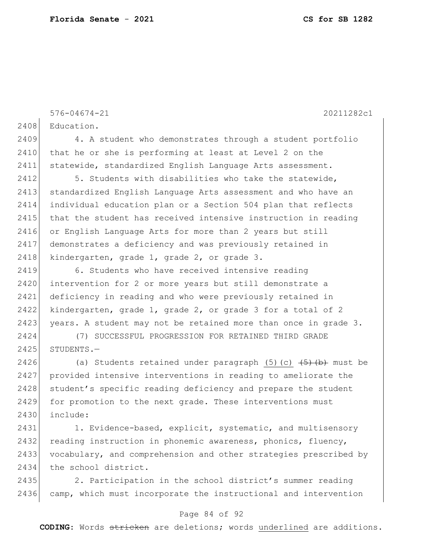576-04674-21 20211282c1 2408 Education. 2409 4. A student who demonstrates through a student portfolio 2410 that he or she is performing at least at Level 2 on the 2411 statewide, standardized English Language Arts assessment. 2412 5. Students with disabilities who take the statewide, 2413 standardized English Language Arts assessment and who have an 2414 individual education plan or a Section 504 plan that reflects 2415 that the student has received intensive instruction in reading 2416 or English Language Arts for more than 2 years but still 2417 demonstrates a deficiency and was previously retained in 2418 kindergarten, grade 1, grade 2, or grade 3. 2419 6. Students who have received intensive reading 2420 intervention for 2 or more years but still demonstrate a 2421 deficiency in reading and who were previously retained in 2422 kindergarten, grade 1, grade 2, or grade 3 for a total of 2 2423 years. A student may not be retained more than once in grade 3.

2424 (7) SUCCESSFUL PROGRESSION FOR RETAINED THIRD GRADE  $2425$  STUDENTS. -

2426 (a) Students retained under paragraph  $(5)$  (c)  $\overline{(5)}$  (b) must be 2427 provided intensive interventions in reading to ameliorate the 2428 student's specific reading deficiency and prepare the student 2429 for promotion to the next grade. These interventions must 2430 include:

2431 1. Evidence-based, explicit, systematic, and multisensory 2432 reading instruction in phonemic awareness, phonics, fluency, 2433 vocabulary, and comprehension and other strategies prescribed by 2434 the school district.

2435 2. Participation in the school district's summer reading 2436 camp, which must incorporate the instructional and intervention

#### Page 84 of 92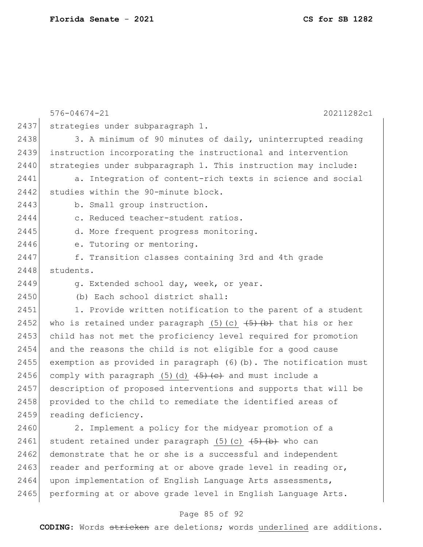|      | $576 - 04674 - 21$<br>20211282c1                                                  |
|------|-----------------------------------------------------------------------------------|
| 2437 | strategies under subparagraph 1.                                                  |
| 2438 | 3. A minimum of 90 minutes of daily, uninterrupted reading                        |
| 2439 | instruction incorporating the instructional and intervention                      |
| 2440 | strategies under subparagraph 1. This instruction may include:                    |
| 2441 | a. Integration of content-rich texts in science and social                        |
| 2442 | studies within the 90-minute block.                                               |
| 2443 | b. Small group instruction.                                                       |
| 2444 | c. Reduced teacher-student ratios.                                                |
| 2445 | d. More frequent progress monitoring.                                             |
| 2446 | e. Tutoring or mentoring.                                                         |
| 2447 | f. Transition classes containing 3rd and 4th grade                                |
| 2448 | students.                                                                         |
| 2449 | g. Extended school day, week, or year.                                            |
| 2450 | (b) Each school district shall:                                                   |
| 2451 | 1. Provide written notification to the parent of a student                        |
| 2452 | who is retained under paragraph $(5)$ $(c)$ $(\frac{5}{6})$ that his or her       |
| 2453 | child has not met the proficiency level required for promotion                    |
| 2454 | and the reasons the child is not eligible for a good cause                        |
| 2455 | exemption as provided in paragraph (6)(b). The notification must                  |
| 2456 | comply with paragraph (5) (d) $\left( \frac{5}{5} \right)$ (e) and must include a |
| 2457 | description of proposed interventions and supports that will be                   |
| 2458 | provided to the child to remediate the identified areas of                        |
| 2459 | reading deficiency.                                                               |
| 2460 | 2. Implement a policy for the midyear promotion of a                              |
| 2461 | student retained under paragraph $(5)$ $(c)$ $(\frac{5}{6})$ $(b)$ who can        |
| 2462 | demonstrate that he or she is a successful and independent                        |
| 2463 | reader and performing at or above grade level in reading or,                      |
| 2464 | upon implementation of English Language Arts assessments,                         |
| 2465 | performing at or above grade level in English Language Arts.                      |

# Page 85 of 92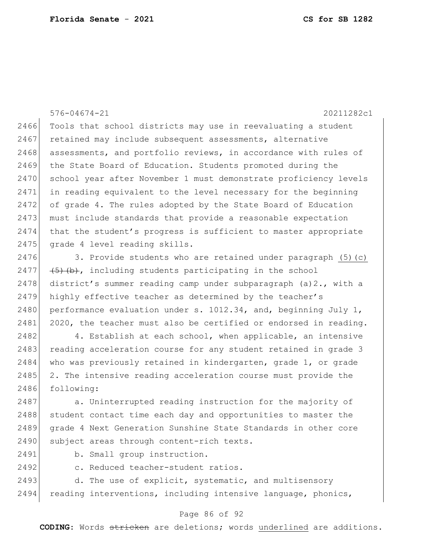576-04674-21 20211282c1 2466 Tools that school districts may use in reevaluating a student 2467 retained may include subsequent assessments, alternative 2468 assessments, and portfolio reviews, in accordance with rules of 2469 the State Board of Education. Students promoted during the 2470 school year after November 1 must demonstrate proficiency levels 2471 in reading equivalent to the level necessary for the beginning 2472 of grade 4. The rules adopted by the State Board of Education 2473 must include standards that provide a reasonable expectation 2474 that the student's progress is sufficient to master appropriate 2475 grade 4 level reading skills. 2476 3. Provide students who are retained under paragraph  $(5)(c)$ 2477  $(5)$   $(b)$ , including students participating in the school 2478 district's summer reading camp under subparagraph  $(a)2$ ., with a 2479 highly effective teacher as determined by the teacher's 2480 performance evaluation under s.  $1012.34$ , and, beginning July 1, 2481 2020, the teacher must also be certified or endorsed in reading. 2482 4. Establish at each school, when applicable, an intensive 2483 reading acceleration course for any student retained in grade 3 2484 who was previously retained in kindergarten, grade 1, or grade 2485 2. The intensive reading acceleration course must provide the 2486 following: 2487 a. Uninterrupted reading instruction for the majority of

2488 student contact time each day and opportunities to master the 2489 grade 4 Next Generation Sunshine State Standards in other core 2490 subject areas through content-rich texts.

2491 b. Small group instruction.

2492 c. Reduced teacher-student ratios.

2493 d. The use of explicit, systematic, and multisensory 2494 reading interventions, including intensive language, phonics,

#### Page 86 of 92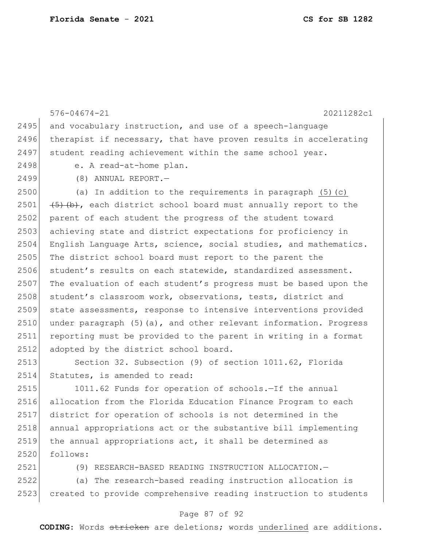576-04674-21 20211282c1  $2495$  and vocabulary instruction, and use of a speech-language 2496 therapist if necessary, that have proven results in accelerating 2497 student reading achievement within the same school year. 2498 e. A read-at-home plan. 2499 (8) ANNUAL REPORT.—  $2500$  (a) In addition to the requirements in paragraph (5)(c) 2501  $(5)$  (b), each district school board must annually report to the 2502 parent of each student the progress of the student toward 2503 achieving state and district expectations for proficiency in 2504 English Language Arts, science, social studies, and mathematics. 2505 The district school board must report to the parent the 2506 student's results on each statewide, standardized assessment. 2507 The evaluation of each student's progress must be based upon the 2508 student's classroom work, observations, tests, district and 2509 state assessments, response to intensive interventions provided 2510 under paragraph (5)(a), and other relevant information. Progress 2511 reporting must be provided to the parent in writing in a format 2512 adopted by the district school board. 2513 Section 32. Subsection (9) of section 1011.62, Florida 2514 Statutes, is amended to read: 2515 1011.62 Funds for operation of schools.—If the annual 2516 allocation from the Florida Education Finance Program to each 2517 district for operation of schools is not determined in the 2518 annual appropriations act or the substantive bill implementing

2519 the annual appropriations act, it shall be determined as 2520 follows:

2521 (9) RESEARCH-BASED READING INSTRUCTION ALLOCATION.—

2522 (a) The research-based reading instruction allocation is 2523 created to provide comprehensive reading instruction to students

#### Page 87 of 92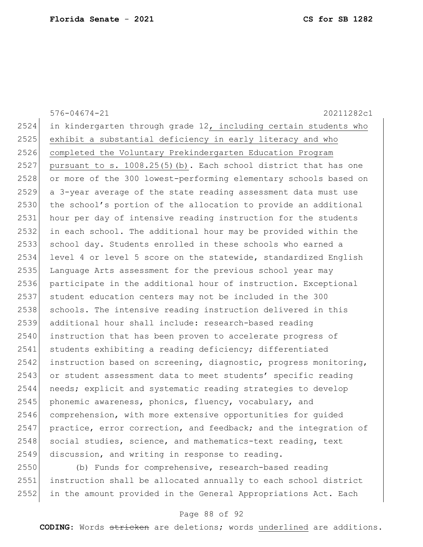|      | $576 - 04674 - 21$<br>20211282c1                                 |
|------|------------------------------------------------------------------|
| 2524 | in kindergarten through grade 12, including certain students who |
| 2525 | exhibit a substantial deficiency in early literacy and who       |
| 2526 | completed the Voluntary Prekindergarten Education Program        |
| 2527 | pursuant to s. 1008.25(5)(b). Each school district that has one  |
| 2528 | or more of the 300 lowest-performing elementary schools based on |
| 2529 | a 3-year average of the state reading assessment data must use   |
| 2530 | the school's portion of the allocation to provide an additional  |
| 2531 | hour per day of intensive reading instruction for the students   |
| 2532 | in each school. The additional hour may be provided within the   |
| 2533 | school day. Students enrolled in these schools who earned a      |
| 2534 | level 4 or level 5 score on the statewide, standardized English  |
| 2535 | Language Arts assessment for the previous school year may        |
| 2536 | participate in the additional hour of instruction. Exceptional   |
| 2537 | student education centers may not be included in the 300         |
| 2538 | schools. The intensive reading instruction delivered in this     |
| 2539 | additional hour shall include: research-based reading            |
| 2540 | instruction that has been proven to accelerate progress of       |
| 2541 | students exhibiting a reading deficiency; differentiated         |
| 2542 | instruction based on screening, diagnostic, progress monitoring, |
| 2543 | or student assessment data to meet students' specific reading    |
| 2544 | needs; explicit and systematic reading strategies to develop     |
| 2545 | phonemic awareness, phonics, fluency, vocabulary, and            |
| 2546 | comprehension, with more extensive opportunities for guided      |
| 2547 | practice, error correction, and feedback; and the integration of |
| 2548 | social studies, science, and mathematics-text reading, text      |
| 2549 | discussion, and writing in response to reading.                  |
| 2550 | (b) Funds for comprehensive research-based reading               |

 (b) Funds for comprehensive, research-based reading instruction shall be allocated annually to each school district in the amount provided in the General Appropriations Act. Each

## Page 88 of 92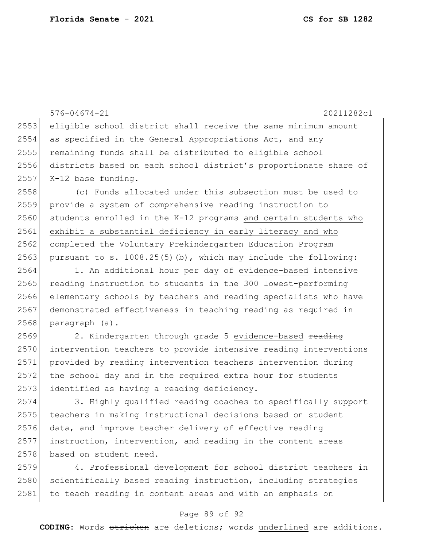576-04674-21 20211282c1 2553 eligible school district shall receive the same minimum amount 2554 as specified in the General Appropriations Act, and any 2555 remaining funds shall be distributed to eligible school 2556 districts based on each school district's proportionate share of  $2557$  K-12 base funding. 2558 (c) Funds allocated under this subsection must be used to 2559 provide a system of comprehensive reading instruction to  $2560$  students enrolled in the K-12 programs and certain students who 2561 exhibit a substantial deficiency in early literacy and who 2562 completed the Voluntary Prekindergarten Education Program 2563 pursuant to s. 1008.25(5)(b), which may include the following: 2564 1. An additional hour per day of evidence-based intensive 2565 reading instruction to students in the 300 lowest-performing 2566 elementary schools by teachers and reading specialists who have 2567 demonstrated effectiveness in teaching reading as required in 2568 paragraph (a). 2569 2. Kindergarten through grade 5 evidence-based reading 2570 intervention teachers to provide intensive reading interventions 2571 provided by reading intervention teachers intervention during 2572 the school day and in the required extra hour for students 2573 identified as having a reading deficiency. 2574 3. Highly qualified reading coaches to specifically support 2575 teachers in making instructional decisions based on student

2576 data, and improve teacher delivery of effective reading 2577 instruction, intervention, and reading in the content areas 2578 based on student need.

2579 4. Professional development for school district teachers in 2580 scientifically based reading instruction, including strategies 2581 to teach reading in content areas and with an emphasis on

#### Page 89 of 92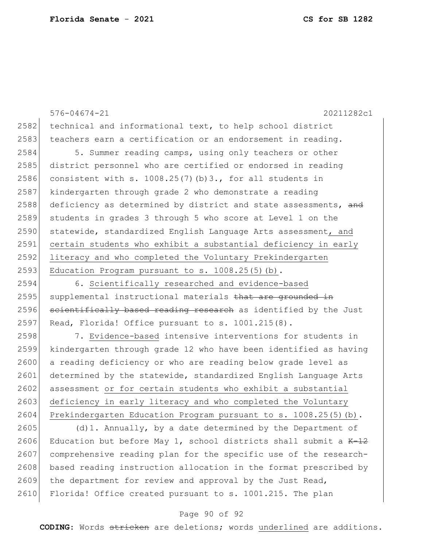576-04674-21 20211282c1 2582 technical and informational text, to help school district 2583 teachers earn a certification or an endorsement in reading. 2584 5. Summer reading camps, using only teachers or other 2585 district personnel who are certified or endorsed in reading 2586 consistent with s. 1008.25(7)(b)3., for all students in 2587 kindergarten through grade 2 who demonstrate a reading 2588 deficiency as determined by district and state assessments, and 2589 students in grades 3 through 5 who score at Level 1 on the 2590 statewide, standardized English Language Arts assessment, and 2591 certain students who exhibit a substantial deficiency in early 2592 literacy and who completed the Voluntary Prekindergarten 2593 Education Program pursuant to s.  $1008.25(5)(b)$ . 2594 6. Scientifically researched and evidence-based 2595 supplemental instructional materials that are grounded in  $2596$  scientifically based reading research as identified by the Just 2597 Read, Florida! Office pursuant to s.  $1001.215(8)$ . 2598 7. Evidence-based intensive interventions for students in 2599 kindergarten through grade 12 who have been identified as having 2600 a reading deficiency or who are reading below grade level as 2601 determined by the statewide, standardized English Language Arts 2602 assessment or for certain students who exhibit a substantial 2603 deficiency in early literacy and who completed the Voluntary

2604 Prekindergarten Education Program pursuant to s. 1008.25(5)(b).

2605 (d)1. Annually, by a date determined by the Department of 2606 Education but before May 1, school districts shall submit a  $K-12$ 2607 comprehensive reading plan for the specific use of the research-2608 based reading instruction allocation in the format prescribed by 2609 the department for review and approval by the Just Read, 2610 Florida! Office created pursuant to s. 1001.215. The plan

#### Page 90 of 92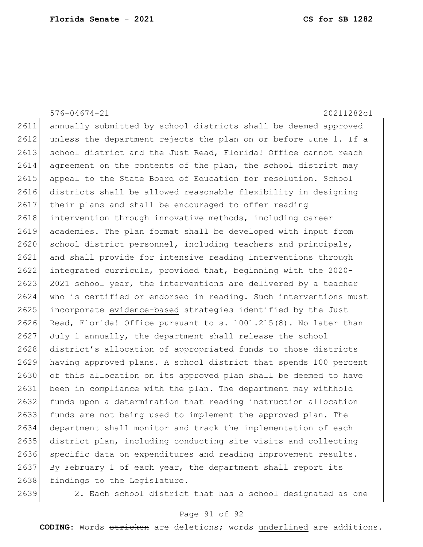|      | $576 - 04674 - 21$<br>20211282c1                                 |
|------|------------------------------------------------------------------|
| 2611 | annually submitted by school districts shall be deemed approved  |
| 2612 | unless the department rejects the plan on or before June 1. If a |
| 2613 | school district and the Just Read, Florida! Office cannot reach  |
| 2614 | agreement on the contents of the plan, the school district may   |
| 2615 | appeal to the State Board of Education for resolution. School    |
| 2616 | districts shall be allowed reasonable flexibility in designing   |
| 2617 | their plans and shall be encouraged to offer reading             |
| 2618 | intervention through innovative methods, including career        |
| 2619 | academies. The plan format shall be developed with input from    |
| 2620 | school district personnel, including teachers and principals,    |
| 2621 | and shall provide for intensive reading interventions through    |
| 2622 | integrated curricula, provided that, beginning with the 2020-    |
| 2623 | 2021 school year, the interventions are delivered by a teacher   |
| 2624 | who is certified or endorsed in reading. Such interventions must |
| 2625 | incorporate evidence-based strategies identified by the Just     |
| 2626 | Read, Florida! Office pursuant to s. 1001.215(8). No later than  |
| 2627 | July 1 annually, the department shall release the school         |
| 2628 | district's allocation of appropriated funds to those districts   |
| 2629 | having approved plans. A school district that spends 100 percent |
| 2630 | of this allocation on its approved plan shall be deemed to have  |
| 2631 | been in compliance with the plan. The department may withhold    |
| 2632 | funds upon a determination that reading instruction allocation   |
| 2633 | funds are not being used to implement the approved plan. The     |
| 2634 | department shall monitor and track the implementation of each    |
| 2635 | district plan, including conducting site visits and collecting   |
| 2636 | specific data on expenditures and reading improvement results.   |
| 2637 | By February 1 of each year, the department shall report its      |
| 2638 | findings to the Legislature.                                     |
| 2639 | 2. Each school district that has a school designated as one      |

# Page 91 of 92